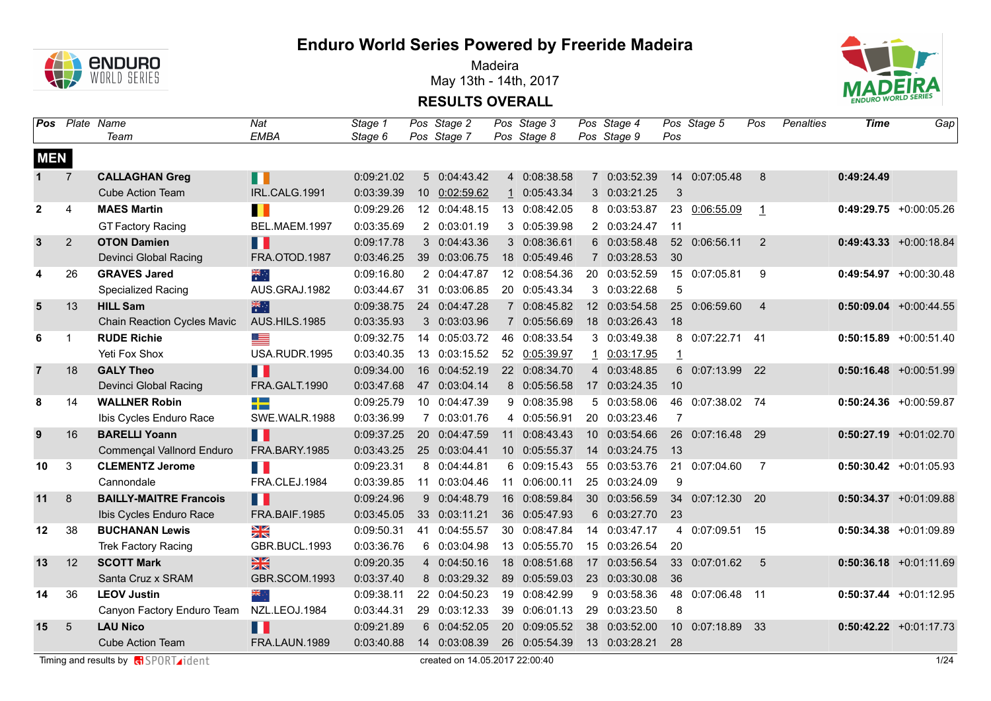

Madeira May 13th - 14th, 2017



**RESULTS OVERALL**

|                | <b>Pos</b> Plate Name | Team                          | Nat<br><b>EMBA</b> | Stage 1<br>Stage 6 |    | Pos Stage 2<br>Pos Stage 7 | Pos Stage 3<br>Pos Stage 8 |                 | Pos Stage 4<br>Pos Stage 9 | Pos            | Pos Stage 5      | Pos             | Penalties | Time       | Gap                       |
|----------------|-----------------------|-------------------------------|--------------------|--------------------|----|----------------------------|----------------------------|-----------------|----------------------------|----------------|------------------|-----------------|-----------|------------|---------------------------|
| <b>MEN</b>     |                       |                               |                    |                    |    |                            |                            |                 |                            |                |                  |                 |           |            |                           |
| $\mathbf{1}$   | 7                     | <b>CALLAGHAN Greg</b>         | П                  | 0:09:21.02         |    | 5 0:04:43.42               | 4 0:08:38.58               |                 | 7 0:03:52.39               |                | 14 0:07:05.48    | 8               |           | 0:49:24.49 |                           |
|                |                       | <b>Cube Action Team</b>       | IRL.CALG.1991      | 0:03:39.39         |    | 10 0:02:59.62              | 1 0:05:43.34               |                 | 3 0:03:21.25               | $\mathbf{3}$   |                  |                 |           |            |                           |
| $\overline{2}$ | $\overline{4}$        | <b>MAES Martin</b>            | $\blacksquare$     | 0:09:29.26         |    | 12 0:04:48.15              | 13 0:08:42.05              |                 | 8 0:03:53.87               | 23             | 0:06:55.09       | $\mathbf{1}$    |           |            | $0:49:29.75 + 0:00:05.26$ |
|                |                       | <b>GT Factory Racing</b>      | BEL.MAEM.1997      | 0:03:35.69         |    | 2 0:03:01.19               | 3 0:05:39.98               |                 | 2 0:03:24.47               | $-11$          |                  |                 |           |            |                           |
| 3              | $\overline{2}$        | <b>OTON Damien</b>            | n T                | 0:09:17.78         |    | 3 0:04:43.36               | 3 0:08:36.61               |                 | 6 0:03:58.48               |                | 52 0:06:56.11    | 2               |           |            | $0:49:43.33 + 0:00:18.84$ |
|                |                       | Devinci Global Racing         | FRA.OTOD.1987      | 0:03:46.25         |    | 39 0:03:06.75              | 18 0:05:49.46              |                 | 7 0:03:28.53               | 30             |                  |                 |           |            |                           |
| 4              | 26                    | <b>GRAVES Jared</b>           | ्हें               | 0:09:16.80         |    | 2 0:04:47.87               | 12 0:08:54.36              | 20              | 0:03:52.59                 |                | 15 0:07:05.81    | 9               |           |            | $0:49:54.97$ +0:00:30.48  |
|                |                       | Specialized Racing            | AUS.GRAJ.1982      | 0:03:44.67         |    | 31 0:03:06.85              | 20 0:05:43.34              |                 | 3 0:03:22.68               | 5              |                  |                 |           |            |                           |
| 5              | 13                    | <b>HILL Sam</b>               | 米村                 | 0:09:38.75         |    | 24 0:04:47.28              | 7 0:08:45.82               |                 | 12 0:03:54.58              |                | 25 0:06:59.60    | $\overline{4}$  |           |            | $0:50:09.04$ +0:00:44.55  |
|                |                       | Chain Reaction Cycles Mavic   | AUS.HILS.1985      | 0:03:35.93         |    | 3 0:03:03.96               | 7 0:05:56.69               |                 | 18 0:03:26.43              | 18             |                  |                 |           |            |                           |
| 6              |                       | <b>RUDE Richie</b>            | Œ                  | 0:09:32.75         |    | 14 0:05:03.72              | 46 0:08:33.54              |                 | 3 0:03:49.38               |                | 8 0:07:22.71 41  |                 |           |            | $0:50:15.89$ +0:00:51.40  |
|                |                       | Yeti Fox Shox                 | USA.RUDR.1995      | 0:03:40.35         |    | 13 0:03:15.52              | 52 0:05:39.97              |                 | 1 0:03:17.95               | $\overline{1}$ |                  |                 |           |            |                           |
| $\overline{7}$ | 18                    | <b>GALY Theo</b>              | H I                | 0:09:34.00         | 16 | 0:04:52.19                 | 22 0:08:34.70              |                 | 4 0:03:48.85               |                | 6 0:07:13.99 22  |                 |           |            | $0:50:16.48$ +0:00:51.99  |
|                |                       | Devinci Global Racing         | FRA.GALT.1990      | 0:03:47.68         |    | 47 0:03:04.14              | 8 0:05:56.58               |                 | 17 0:03:24.35              | 10             |                  |                 |           |            |                           |
| 8              | 14                    | <b>WALLNER Robin</b>          | $\Box$<br>--       | 0:09:25.79         | 10 | 0:04:47.39                 | 9 0:08:35.98               |                 | 5 0:03:58.06               |                | 46 0:07:38.02 74 |                 |           |            | $0:50:24.36$ +0:00:59.87  |
|                |                       | Ibis Cycles Enduro Race       | SWE.WALR.1988      | 0:03:36.99         |    | 7 0:03:01.76               | 4 0:05:56.91               |                 | 20 0:03:23.46              | $\overline{7}$ |                  |                 |           |            |                           |
| 9              | 16                    | <b>BARELLI Yoann</b>          | H                  | 0:09:37.25         |    | 20 0:04:47.59              | 11 0:08:43.43              | 10 <sup>1</sup> | 0:03:54.66                 | 26             | 0:07:16.48 29    |                 |           |            | $0:50:27.19$ +0:01:02.70  |
|                |                       | Commençal Vallnord Enduro     | FRA.BARY.1985      | 0:03:43.25         |    | 25 0:03:04.41              | 10 0:05:55.37              |                 | 14 0:03:24.75              | 13             |                  |                 |           |            |                           |
| 10             | 3                     | <b>CLEMENTZ Jerome</b>        | E.                 | 0:09:23.31         |    | 8 0:04:44.81               | 6 0:09:15.43               | 55              | 0:03:53.76                 | 21             | 0:07:04.60       | $\overline{7}$  |           |            | $0:50:30.42$ +0:01:05.93  |
|                |                       | Cannondale                    | FRA.CLEJ.1984      | 0:03:39.85         |    | 11 0:03:04.46              | 11 0:06:00.11              |                 | 25 0:03:24.09              | 9              |                  |                 |           |            |                           |
| 11             | 8                     | <b>BAILLY-MAITRE Francois</b> | Ш                  | 0:09:24.96         |    | 9 0:04:48.79               | 16 0:08:59.84              |                 | 30 0:03:56.59              |                | 34 0:07:12.30 20 |                 |           |            | $0:50:34.37$ +0:01:09.88  |
|                |                       | Ibis Cycles Enduro Race       | FRA.BAIF.1985      | 0:03:45.05         |    | 33 0:03:11.21              | 36 0:05:47.93              |                 | 6 0:03:27.70               | 23             |                  |                 |           |            |                           |
| $12 \,$        | 38                    | <b>BUCHANAN Lewis</b>         | XK                 | 0:09:50.31         | 41 | 0:04:55.57                 | 30 0:08:47.84              | 14              | 0:03:47.17                 | $\overline{4}$ | 0:07:09.51 15    |                 |           |            | $0:50:34.38$ +0:01:09.89  |
|                |                       | <b>Trek Factory Racing</b>    | GBR.BUCL.1993      | 0:03:36.76         |    | 6 0:03:04.98               | 13 0:05:55.70              |                 | 15 0:03:26.54              | 20             |                  |                 |           |            |                           |
| 13             | 12                    | <b>SCOTT Mark</b>             | 黑                  | 0:09:20.35         |    | 4 0:04:50.16               | 18 0:08:51.68              | 17              | 0:03:56.54                 |                | 33 0:07:01.62    | $5\phantom{.0}$ |           |            | $0:50:36.18$ +0:01:11.69  |
|                |                       | Santa Cruz x SRAM             | GBR.SCOM.1993      | 0:03:37.40         |    | 8 0:03:29.32               | 89 0:05:59.03              |                 | 23 0:03:30.08              | 36             |                  |                 |           |            |                           |
| 14             | 36                    | <b>LEOV Justin</b>            | ▓                  | 0:09:38.11         |    | 22 0:04:50.23              | 19 0:08:42.99              | 9               | 0:03:58.36                 |                | 48 0:07:06.48 11 |                 |           |            | $0:50:37.44 +0:01:12.95$  |
|                |                       | Canyon Factory Enduro Team    | NZL.LEOJ.1984      | 0:03:44.31         |    | 29 0:03:12.33              | 39 0:06:01.13              |                 | 29 0:03:23.50              | 8              |                  |                 |           |            |                           |
| 15             | 5                     | <b>LAU Nico</b>               | H.                 | 0:09:21.89         |    | 6 0:04:52.05               | 20 0:09:05.52              | 38              | 0:03:52.00                 |                | 10 0:07:18.89    | 33              |           |            | $0:50:42.22 +0:01:17.73$  |
|                |                       | <b>Cube Action Team</b>       | FRA.LAUN.1989      | 0:03:40.88         |    | 14 0:03:08.39              | 26 0:05:54.39              |                 | 13 0:03:28.21              | 28             |                  |                 |           |            |                           |

Timing and results by **c**ondent and results by **condentifying the COVID-124** 1/24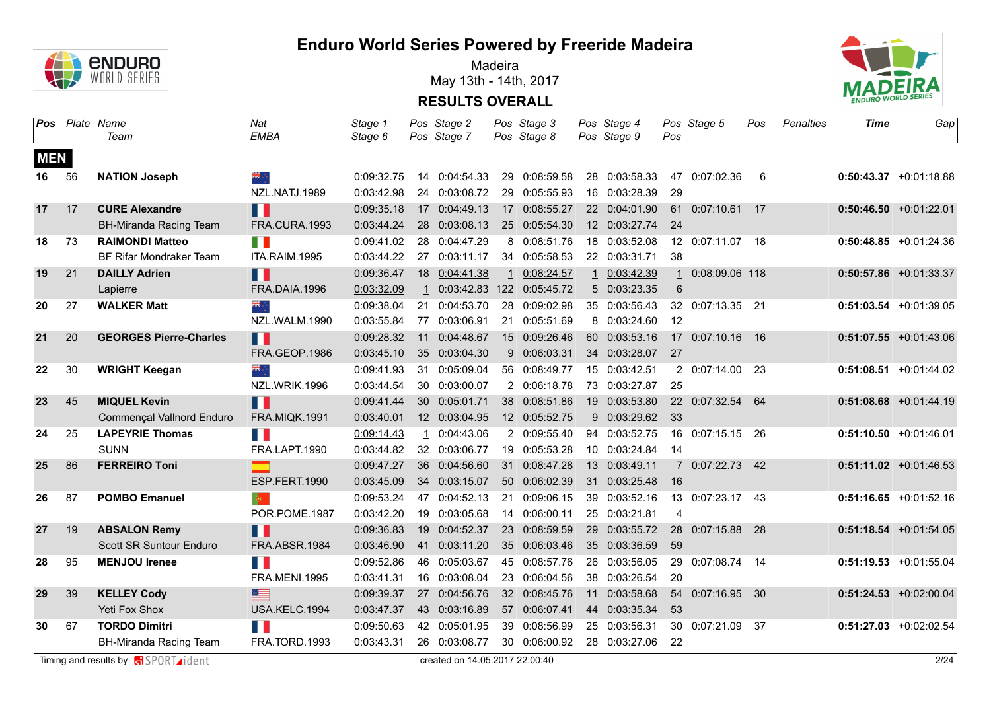

Madeira May 13th - 14th, 2017



|            |    | Pos Plate Name<br>Team         | Nat<br><b>EMBA</b>   | Stage 1<br>Stage 6 |    | Pos Stage 2<br>Pos Stage 7  | Pos Stage 3<br>Pos Stage 8 |              | Pos Stage 4<br>Pos Stage 9 | Pos          | Pos Stage 5      | Pos | Penalties | Time | Gap                       |
|------------|----|--------------------------------|----------------------|--------------------|----|-----------------------------|----------------------------|--------------|----------------------------|--------------|------------------|-----|-----------|------|---------------------------|
| <b>MEN</b> |    |                                |                      |                    |    |                             |                            |              |                            |              |                  |     |           |      |                           |
| 16         | 56 | <b>NATION Joseph</b>           | ▓                    | 0:09:32.75         |    | 14 0:04:54.33               | 29 0:08:59.58              |              | 28 0:03:58.33              |              | 47 0:07:02.36    | 6   |           |      | $0:50:43.37$ +0:01:18.88  |
|            |    |                                | NZL.NATJ.1989        | 0:03:42.98         |    | 24 0:03:08.72               | 29 0:05:55.93              |              | 16 0:03:28.39              | 29           |                  |     |           |      |                           |
| 17         | 17 | <b>CURE Alexandre</b>          | Ш                    | 0:09:35.18         |    | 17 0:04:49.13               | 17 0:08:55.27              |              | 22 0:04:01.90              |              | 61 0:07:10.61 17 |     |           |      | $0:50:46.50 +0:01:22.01$  |
|            |    | <b>BH-Miranda Racing Team</b>  | FRA.CURA.1993        | 0:03:44.24         |    | 28 0:03:08.13               | 25 0:05:54.30              |              | 12 0:03:27.74 24           |              |                  |     |           |      |                           |
| 18         | 73 | <b>RAIMONDI Matteo</b>         | n l                  | 0:09:41.02         |    | 28 0:04:47.29               | 8 0:08:51.76               |              | 18 0:03:52.08              |              | 12 0:07:11.07 18 |     |           |      | $0:50:48.85$ +0:01:24.36  |
|            |    | <b>BF Rifar Mondraker Team</b> | ITA.RAIM.1995        | 0:03:44.22         |    | 27 0:03:11.17               | 34 0:05:58.53              |              | 22 0:03:31.71              | 38           |                  |     |           |      |                           |
| 19         | 21 | <b>DAILLY Adrien</b>           | Ш                    | 0:09:36.47         | 18 | 0:04:41.38                  | 1 0:08:24.57               | $\mathbf{1}$ | 0:03:42.39                 | $\mathbf{1}$ | 0:08:09.06 118   |     |           |      | $0:50:57.86$ +0:01:33.37  |
|            |    | Lapierre                       | FRA.DAIA.1996        | 0:03:32.09         |    | 1 0:03:42.83 122 0:05:45.72 |                            |              | 5 0:03:23.35               | 6            |                  |     |           |      |                           |
| 20         | 27 | <b>WALKER Matt</b>             | ÷, ek                | 0:09:38.04         | 21 | 0:04:53.70                  | 28 0:09:02.98              |              | 35 0:03:56.43              |              | 32 0:07:13.35 21 |     |           |      | $0:51:03.54 +0:01:39.05$  |
|            |    |                                | NZL.WALM.1990        | 0:03:55.84         |    | 77 0:03:06.91               | 21 0:05:51.69              |              | 8 0:03:24.60 12            |              |                  |     |           |      |                           |
| 21         | 20 | <b>GEORGES Pierre-Charles</b>  | Ш                    | 0:09:28.32         | 11 | 0:04:48.67                  | 15 0:09:26.46              | 60           | 0:03:53.16                 |              | 17 0:07:10.16    | 16  |           |      | $0:51:07.55$ +0:01:43.06  |
|            |    |                                | FRA.GEOP.1986        | 0:03:45.10         |    | 35 0:03:04.30               | 9 0:06:03.31               |              | 34 0:03:28.07              | 27           |                  |     |           |      |                           |
| 22         | 30 | <b>WRIGHT Keegan</b>           | ak ∴                 | 0:09:41.93         | 31 | 0:05:09.04                  | 56 0:08:49.77              |              | 15 0:03:42.51              |              | 2 0:07:14.00     | -23 |           |      | $0:51:08.51 + 0:01:44.02$ |
|            |    |                                | NZL.WRIK.1996        | 0:03:44.54         |    | 30 0:03:00.07               | 2 0:06:18.78               |              | 73 0:03:27.87              | 25           |                  |     |           |      |                           |
| 23         | 45 | <b>MIQUEL Kevin</b>            | H                    | 0:09:41.44         |    | 30 0:05:01.71               | 38 0:08:51.86              |              | 19 0:03:53.80              |              | 22 0:07:32.54    | 64  |           |      | $0:51:08.68$ +0:01:44.19  |
|            |    | Commençal Vallnord Enduro      | <b>FRA.MIQK.1991</b> | 0:03:40.01         |    | 12 0:03:04.95               | 12 0:05:52.75              |              | 9 0:03:29.62 33            |              |                  |     |           |      |                           |
| 24         | 25 | <b>LAPEYRIE Thomas</b>         | <b>TER</b>           | 0:09:14.43         |    | 1 0:04:43.06                | 2 0:09:55.40               |              | 94 0:03:52.75              |              | 16 0:07:15.15 26 |     |           |      | $0:51:10.50 + 0:01:46.01$ |
|            |    | <b>SUNN</b>                    | FRA.LAPT.1990        | 0:03:44.82         |    | 32 0:03:06.77               | 19 0:05:53.28              |              | 10 0:03:24.84 14           |              |                  |     |           |      |                           |
| 25         | 86 | <b>FERREIRO Toni</b>           |                      | 0:09:47.27         |    | 36 0:04:56.60               | 31 0:08:47.28              |              | 13 0:03:49.11              |              | 7 0:07:22.73 42  |     |           |      | $0:51:11.02 +0:01:46.53$  |
|            |    |                                | ESP.FERT.1990        | 0:03:45.09         |    | 34 0:03:15.07               | 50 0:06:02.39              |              | 31 0:03:25.48              | 16           |                  |     |           |      |                           |
| 26         | 87 | <b>POMBO Emanuel</b>           | $\bullet$            | 0:09:53.24         |    | 47 0:04:52.13               | 21 0:09:06.15              |              | 39 0:03:52.16              |              | 13 0:07:23.17 43 |     |           |      | $0:51:16.65 + 0:01:52.16$ |
|            |    |                                | POR.POME.1987        | 0:03:42.20         |    | 19 0:03:05.68               | 14 0:06:00.11              |              | 25 0:03:21.81              | 4            |                  |     |           |      |                           |
| 27         | 19 | <b>ABSALON Remy</b>            | Ш                    | 0:09:36.83         | 19 | 0:04:52.37                  | 23 0:08:59.59              | 29           | 0:03:55.72                 |              | 28 0:07:15.88 28 |     |           |      | $0:51:18.54 + 0:01:54.05$ |
|            |    | <b>Scott SR Suntour Enduro</b> | FRA.ABSR.1984        | 0:03:46.90         |    | 41 0:03:11.20               | 35 0:06:03.46              |              | 35 0:03:36.59              | 59           |                  |     |           |      |                           |
| 28         | 95 | <b>MENJOU Irenee</b>           | <b>TER</b>           | 0:09:52.86         |    | 46 0:05:03.67               | 45 0:08:57.76              | 26           | 0:03:56.05                 |              | 29 0:07:08.74    | 14  |           |      | $0:51:19.53 + 0:01:55.04$ |
|            |    |                                | <b>FRA.MENI.1995</b> | 0:03:41.31         |    | 16 0:03:08.04               | 23 0:06:04.56              |              | 38 0:03:26.54              | 20           |                  |     |           |      |                           |
| 29         | 39 | <b>KELLEY Cody</b>             | $\equiv$             | 0:09:39.37         |    | 27 0:04:56.76               | 32 0:08:45.76              | 11           | 0:03:58.68                 |              | 54 0:07:16.95 30 |     |           |      | $0:51:24.53$ +0:02:00.04  |
|            |    | Yeti Fox Shox                  | USA.KELC.1994        | 0:03:47.37         |    | 43 0:03:16.89               | 57 0:06:07.41              |              | 44 0:03:35.34              | 53           |                  |     |           |      |                           |
| 30         | 67 | <b>TORDO Dimitri</b>           | H I                  | 0:09:50.63         |    | 42 0:05:01.95               | 39 0:08:56.99              | 25           | 0:03:56.31                 |              | 30 0:07:21.09    | -37 |           |      | $0:51:27.03$ +0:02:02.54  |
|            |    | <b>BH-Miranda Racing Team</b>  | FRA.TORD.1993        | 0:03:43.31         |    | 26 0:03:08.77               | 30 0:06:00.92              |              | 28 0:03:27.06              | 22           |                  |     |           |      |                           |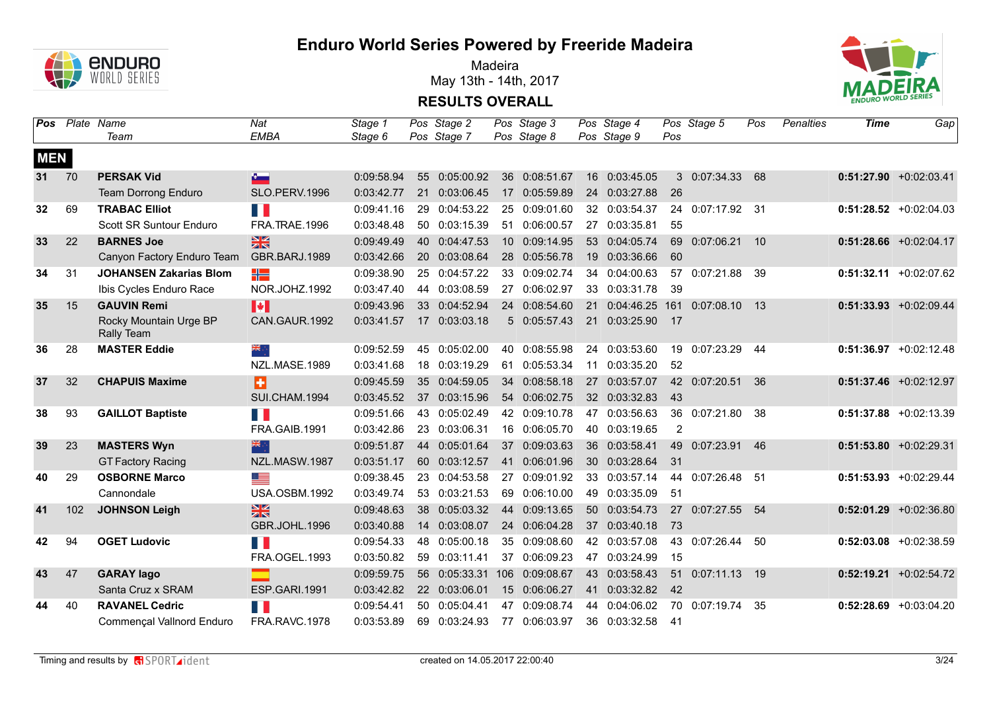

Madeira May 13th - 14th, 2017



|                 | <b>Pos</b> Plate Name | Team                                 | Nat<br><b>EMBA</b>   | Stage 1<br>Stage 6 |     | Pos Stage 2<br>Pos Stage 7 |                 | Pos Stage 3<br>Pos Stage 8 |    | Pos Stage 4<br>Pos Stage 9 | Pos   | Pos Stage 5      | Pos | Penalties | Time | Gap                       |
|-----------------|-----------------------|--------------------------------------|----------------------|--------------------|-----|----------------------------|-----------------|----------------------------|----|----------------------------|-------|------------------|-----|-----------|------|---------------------------|
| <b>MEN</b>      |                       |                                      |                      |                    |     |                            |                 |                            |    |                            |       |                  |     |           |      |                           |
| 31 <sup>1</sup> | 70                    | <b>PERSAK Vid</b>                    | $\bullet$            | 0:09:58.94         |     | 55 0:05:00.92              | 36              | 0:08:51.67                 |    | 16 0:03:45.05              |       | 3 0:07:34.33     | 68  |           |      | $0:51:27.90 +0:02:03.41$  |
|                 |                       | Team Dorrong Enduro                  | SLO.PERV.1996        | 0:03:42.77         |     | 21 0:03:06.45              |                 | 17 0:05:59.89              |    | 24 0:03:27.88              | 26    |                  |     |           |      |                           |
| 32              | 69                    | <b>TRABAC Elliot</b>                 | H I                  | 0:09:41.16         | 29  | 0:04:53.22                 |                 | 25 0:09:01.60              |    | 32 0:03:54.37              |       | 24 0:07:17.92 31 |     |           |      | $0:51:28.52$ +0:02:04.03  |
|                 |                       | Scott SR Suntour Enduro              | FRA.TRAE.1996        | 0:03:48.48         |     | 50 0:03:15.39              |                 | 51 0:06:00.57              | 27 | 0:03:35.81                 | 55    |                  |     |           |      |                           |
| 33              | 22                    | <b>BARNES Joe</b>                    | 米                    | 0:09:49.49         | 40  | 0:04:47.53                 | 10 <sup>°</sup> | 0:09:14.95                 | 53 | 0:04:05.74                 | 69    | 0:07:06.21       | 10  |           |      | $0:51:28.66$ +0:02:04.17  |
|                 |                       | Canyon Factory Enduro Team           | GBR.BARJ.1989        | 0:03:42.66         |     | 20 0:03:08.64              |                 | 28 0:05:56.78              |    | 19 0:03:36.66              | 60    |                  |     |           |      |                           |
| 34              | 31                    | <b>JOHANSEN Zakarias Blom</b>        | ╬                    | 0:09:38.90         |     | 25 0:04:57.22              |                 | 33 0:09:02.74              |    | 34 0:04:00.63              |       | 57 0:07:21.88    | 39  |           |      | $0:51:32.11 + 0:02:07.62$ |
|                 |                       | Ibis Cycles Enduro Race              | NOR.JOHZ.1992        | 0:03:47.40         |     | 44 0:03:08.59              |                 | 27 0:06:02.97              |    | 33 0:03:31.78              | -39   |                  |     |           |      |                           |
| 35              | 15                    | <b>GAUVIN Remi</b>                   | H                    | 0:09:43.96         |     | 33 0:04:52.94              |                 | 24 0:08:54.60              | 21 | 0:04:46.25                 | 161   | 0:07:08.10       | 13  |           |      | $0:51:33.93 + 0:02:09.44$ |
|                 |                       | Rocky Mountain Urge BP<br>Rally Team | CAN.GAUR.1992        | 0:03:41.57         |     | 17 0:03:03.18              |                 | 5 0:05:57.43               | 21 | 0:03:25.90                 | $-17$ |                  |     |           |      |                           |
| 36              | 28                    | <b>MASTER Eddie</b>                  | ▓                    | 0:09:52.59         |     | 45 0:05:02.00              | 40              | 0:08:55.98                 | 24 | 0:03:53.60                 | 19    | 0:07:23.29       | 44  |           |      | $0:51:36.97$ +0:02:12.48  |
|                 |                       |                                      | NZL.MASE.1989        | 0:03:41.68         | 18  | 0:03:19.29                 | 61              | 0:05:53.34                 | 11 | 0:03:35.20                 | 52    |                  |     |           |      |                           |
| 37              | 32                    | <b>CHAPUIS Maxime</b>                | B                    | 0:09:45.59         | 35  | 0:04:59.05                 | 34              | 0:08:58.18                 | 27 | 0:03:57.07                 |       | 42 0:07:20.51    | 36  |           |      | $0:51:37.46$ +0:02:12.97  |
|                 |                       |                                      | SUI.CHAM.1994        | 0:03:45.52         |     | 37 0:03:15.96              |                 | 54 0:06:02.75              |    | 32 0:03:32.83              | 43    |                  |     |           |      |                           |
| 38              | 93                    | <b>GAILLOT Baptiste</b>              | T F                  | 0:09:51.66         |     | 43 0:05:02.49              |                 | 42 0:09:10.78              | 47 | 0:03:56.63                 |       | 36 0:07:21.80    | -38 |           |      | $0:51:37.88$ +0:02:13.39  |
|                 |                       |                                      | FRA.GAIB.1991        | 0:03:42.86         |     | 23 0:03:06.31              |                 | 16 0:06:05.70              |    | 40 0:03:19.65              | 2     |                  |     |           |      |                           |
| 39              | 23                    | <b>MASTERS Wyn</b>                   | 米辛                   | 0:09:51.87         | 44  | 0:05:01.64                 | 37              | 0:09:03.63                 |    | 36 0:03:58.41              | 49    | 0:07:23.91       | 46  |           |      | $0:51:53.80 + 0:02:29.31$ |
|                 |                       | <b>GT Factory Racing</b>             | NZL.MASW.1987        | 0:03:51.17         |     | 60 0:03:12.57              | 41              | 0:06:01.96                 |    | 30 0:03:28.64              | 31    |                  |     |           |      |                           |
| 40              | 29                    | <b>OSBORNE Marco</b>                 | <u>est</u>           | 0:09:38.45         |     | 23 0:04:53.58              |                 | 27 0:09:01.92              |    | 33 0:03:57.14              |       | 44 0:07:26.48 51 |     |           |      | $0:51:53.93 + 0:02:29.44$ |
|                 |                       | Cannondale                           | USA.OSBM.1992        | 0:03:49.74         |     | 53 0:03:21.53              |                 | 69 0:06:10.00              |    | 49 0:03:35.09              | 51    |                  |     |           |      |                           |
| 41              | 102                   | <b>JOHNSON Leigh</b>                 | $\frac{N}{N}$        | 0:09:48.63         |     | 38 0:05:03.32              |                 | 44 0:09:13.65              |    | 50 0:03:54.73              |       | 27 0:07:27.55    | 54  |           |      | $0:52:01.29$ +0:02:36.80  |
|                 |                       |                                      | <b>GBR.JOHL.1996</b> | 0:03:40.88         |     | 14 0:03:08.07              |                 | 24 0:06:04.28              |    | 37 0:03:40.18              | 73    |                  |     |           |      |                           |
| 42              | 94                    | <b>OGET Ludovic</b>                  | H.                   | 0:09:54.33         | 48  | 0:05:00.18                 |                 | 35 0:09:08.60              |    | 42 0:03:57.08              | 43    | 0:07:26.44       | 50  |           |      | $0:52:03.08$ +0:02:38.59  |
|                 |                       |                                      | FRA.OGEL.1993        | 0:03:50.82         | 59  | 0:03:11.41                 |                 | 37 0:06:09.23              |    | 47 0:03:24.99              | 15    |                  |     |           |      |                           |
| 43              | 47                    | <b>GARAY lago</b>                    |                      | 0:09:59.75         |     | 56 0:05:33.31 106          |                 | 0:09:08.67                 |    | 43 0:03:58.43              | 51    | 0:07:11.13       | 19  |           |      | $0:52:19.21$ +0:02:54.72  |
|                 |                       | Santa Cruz x SRAM                    | ESP.GARI.1991        | 0:03:42.82         |     | 22 0:03:06.01              |                 | 15 0:06:06.27              |    | 41 0:03:32.82              | 42    |                  |     |           |      |                           |
| 44              | 40                    | <b>RAVANEL Cedric</b>                | H                    | 0:09:54.41         | 50. | 0:05:04.41                 |                 | 47 0:09:08.74              | 44 | 0:04:06.02                 |       | 70 0:07:19.74    | 35  |           |      | $0:52:28.69$ +0:03:04.20  |
|                 |                       | Commençal Vallnord Enduro            | <b>FRA.RAVC.1978</b> | 0:03:53.89         | 69  | 0:03:24.93                 |                 | 77 0:06:03.97              |    | 36 0:03:32.58              | - 41  |                  |     |           |      |                           |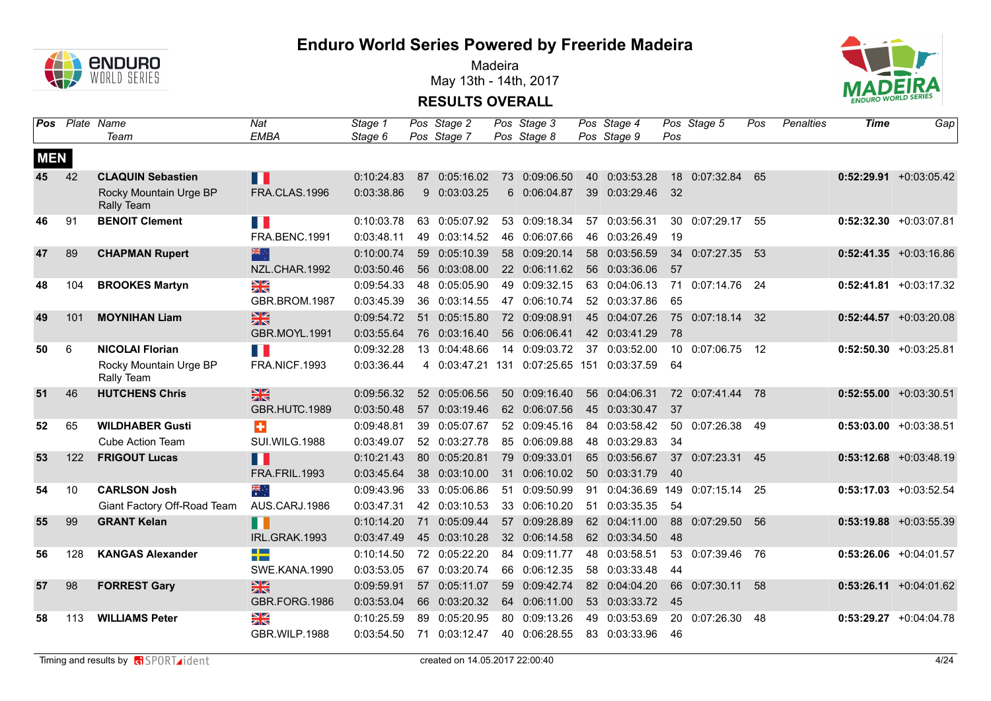

Madeira May 13th - 14th, 2017



| Pos        | Plate Name | Team                                 | Nat<br><b>EMBA</b>          | Stage 1<br>Stage 6 |    | Pos Stage 2<br>Pos Stage 7 | Pos Stage 3<br>Pos Stage 8 |    | Pos Stage 4<br>Pos Stage 9                 | Pos             | Pos Stage 5               | Pos  | <b>Penalties</b> | Time | Gap                       |
|------------|------------|--------------------------------------|-----------------------------|--------------------|----|----------------------------|----------------------------|----|--------------------------------------------|-----------------|---------------------------|------|------------------|------|---------------------------|
| <b>MEN</b> |            |                                      |                             |                    |    |                            |                            |    |                                            |                 |                           |      |                  |      |                           |
| 45         | 42         | <b>CLAQUIN Sebastien</b>             | M                           | 0:10:24.83         |    | 87 0:05:16.02              | 73 0:09:06.50              |    | 40 0:03:53.28                              |                 | 18 0:07:32.84             | 65   |                  |      | $0:52:29.91 + 0:03:05.42$ |
|            |            | Rocky Mountain Urge BP<br>Rally Team | FRA.CLAS.1996               | 0:03:38.86         |    | 9 0:03:03.25               | 6 0:06:04.87               |    | 39 0:03:29.46                              | 32              |                           |      |                  |      |                           |
| 46         | 91         | <b>BENOIT Clement</b>                | <b>TER</b>                  | 0:10:03.78         | 63 | 0:05:07.92                 | 53 0:09:18.34              | 57 | 0:03:56.31                                 |                 | 30 0:07:29.17             | -55  |                  |      | $0:52:32.30 +0:03:07.81$  |
|            |            |                                      | FRA.BENC.1991               | 0:03:48.11         | 49 | 0:03:14.52                 | 46 0:06:07.66              |    | 46 0:03:26.49                              | 19              |                           |      |                  |      |                           |
| 47         | 89         | <b>CHAPMAN Rupert</b>                | 器                           | 0:10:00.74         | 59 | 0:05:10.39                 | 58 0:09:20.14              |    | 58 0:03:56.59                              |                 | 34 0:07:27.35             | -53  |                  |      | $0:52:41.35 +0:03:16.86$  |
|            |            |                                      | NZL.CHAR.1992               | 0:03:50.46         |    | 56 0:03:08.00              | 22 0:06:11.62              |    | 56 0:03:36.06                              | 57              |                           |      |                  |      |                           |
| 48         | 104        | <b>BROOKES Martyn</b>                | XK                          | 0:09:54.33         | 48 | 0:05:05.90                 | 49 0:09:32.15              | 63 | 0:04:06.13                                 | 71              | $0:07:14.76$ 24           |      |                  |      | $0:52:41.81$ +0:03:17.32  |
|            |            |                                      | GBR.BROM.1987               | 0:03:45.39         | 36 | 0:03:14.55                 | 47 0:06:10.74              |    | 52 0:03:37.86                              | 65              |                           |      |                  |      |                           |
| 49         | 101        | <b>MOYNIHAN Liam</b>                 | $\frac{1}{2}$               | 0:09:54.72         | 51 | 0:05:15.80                 | 72 0:09:08.91              |    | 45 0:04:07.26                              |                 | 75 0:07:18.14             | 32   |                  |      | $0:52:44.57$ +0:03:20.08  |
|            |            |                                      | GBR.MOYL.1991               | 0:03:55.64         | 76 | 0:03:16.40                 | 56 0:06:06.41              |    | 42 0:03:41.29                              | 78              |                           |      |                  |      |                           |
| 50         | 6          | <b>NICOLAI Florian</b>               | $\mathcal{A}^{\mathcal{A}}$ | 0:09:32.28         | 13 | 0:04:48.66                 | 14 0:09:03.72              | 37 | 0:03:52.00                                 | 10 <sup>1</sup> | 0:07:06.75                | 12   |                  |      | $0:52:50.30$ +0:03:25.81  |
|            |            | Rocky Mountain Urge BP<br>Rally Team | FRA.NICF.1993               | 0:03:36.44         |    |                            |                            |    | 4 0:03:47.21 131 0:07:25.65 151 0:03:37.59 | 64              |                           |      |                  |      |                           |
| 51         | 46         | <b>HUTCHENS Chris</b>                | 黑                           | 0:09:56.32         |    | 52 0:05:06.56              | 50 0:09:16.40              |    | 56 0:04:06.31                              |                 | 72 0:07:41.44 78          |      |                  |      | $0:52:55.00 + 0:03:30.51$ |
|            |            |                                      | GBR.HUTC.1989               | 0:03:50.48         |    | 57 0:03:19.46              | 62 0:06:07.56              |    | 45 0:03:30.47                              | 37              |                           |      |                  |      |                           |
| 52         | 65         | <b>WILDHABER Gusti</b>               | ÷                           | 0:09:48.81         | 39 | 0:05:07.67                 | 52 0:09:45.16              | 84 | 0:03:58.42                                 | 50              | 0:07:26.38                | -49  |                  |      | $0:53:03.00 +0:03:38.51$  |
|            |            | <b>Cube Action Team</b>              | SUI.WILG.1988               | 0:03:49.07         |    | 52 0:03:27.78              | 85 0:06:09.88              |    | 48 0:03:29.83                              | 34              |                           |      |                  |      |                           |
| 53         | 122        | <b>FRIGOUT Lucas</b>                 | M.                          | 0:10:21.43         |    | 80 0:05:20.81              | 79 0:09:33.01              |    | 65 0:03:56.67                              | 37              | 0:07:23.31                | 45   |                  |      | $0:53:12.68$ +0:03:48.19  |
|            |            |                                      | FRA.FRIL.1993               | 0:03:45.64         |    | 38 0:03:10.00              | 31 0:06:10.02              |    | 50 0:03:31.79                              | - 40            |                           |      |                  |      |                           |
| 54         | 10         | <b>CARLSON Josh</b>                  | ÷<br>*                      | 0:09:43.96         | 33 | 0:05:06.86                 | 51 0:09:50.99              | 91 |                                            |                 | 0:04:36.69 149 0:07:15.14 | -25  |                  |      | $0:53:17.03 + 0:03:52.54$ |
|            |            | Giant Factory Off-Road Team          | AUS.CARJ.1986               | 0:03:47.31         |    | 42 0:03:10.53              | 33 0:06:10.20              |    | 51 0:03:35.35                              | 54              |                           |      |                  |      |                           |
| 55         | 99         | <b>GRANT Kelan</b>                   | H                           | 0:10:14.20         | 71 | 0:05:09.44                 | 57 0:09:28.89              |    | 62 0:04:11.00                              |                 | 88 0:07:29.50             | 56   |                  |      | $0:53:19.88$ +0:03:55.39  |
|            |            |                                      | IRL.GRAK.1993               | 0:03:47.49         |    | 45 0:03:10.28              | 32 0:06:14.58              |    | 62 0:03:34.50                              | 48              |                           |      |                  |      |                           |
| 56         | 128        | <b>KANGAS Alexander</b>              | <u> a le</u><br>--          | 0:10:14.50         |    | 72 0:05:22.20              | 84 0:09:11.77              |    | 48 0:03:58.51                              |                 | 53 0:07:39.46             | - 76 |                  |      | $0:53:26.06$ +0:04:01.57  |
|            |            |                                      | SWE.KANA.1990               | 0:03:53.05         |    | 67 0:03:20.74              | 66 0:06:12.35              |    | 58 0:03:33.48                              | 44              |                           |      |                  |      |                           |
| 57         | 98         | <b>FORREST Gary</b>                  | 黑                           | 0:09:59.91         |    | 57 0:05:11.07              | 59 0:09:42.74              |    | 82 0:04:04.20                              | 66              | 0:07:30.11                | 58   |                  |      | $0:53:26.11 + 0:04:01.62$ |
|            |            |                                      | GBR.FORG.1986               | 0:03:53.04         |    | 66 0:03:20.32              | 64 0:06:11.00              |    | 53 0:03:33.72                              | 45              |                           |      |                  |      |                           |
| 58         | 113        | <b>WILLIAMS Peter</b>                | X                           | 0:10:25.59         | 89 | 0:05:20.95                 | 80 0:09:13.26              |    | 49 0:03:53.69                              |                 | 20 0:07:26.30             | 48   |                  |      | $0:53:29.27 +0:04:04.78$  |
|            |            |                                      | GBR.WILP.1988               | 0:03:54.50         | 71 | 0:03:12.47                 | 40 0:06:28.55              |    | 83 0:03:33.96                              | 46              |                           |      |                  |      |                           |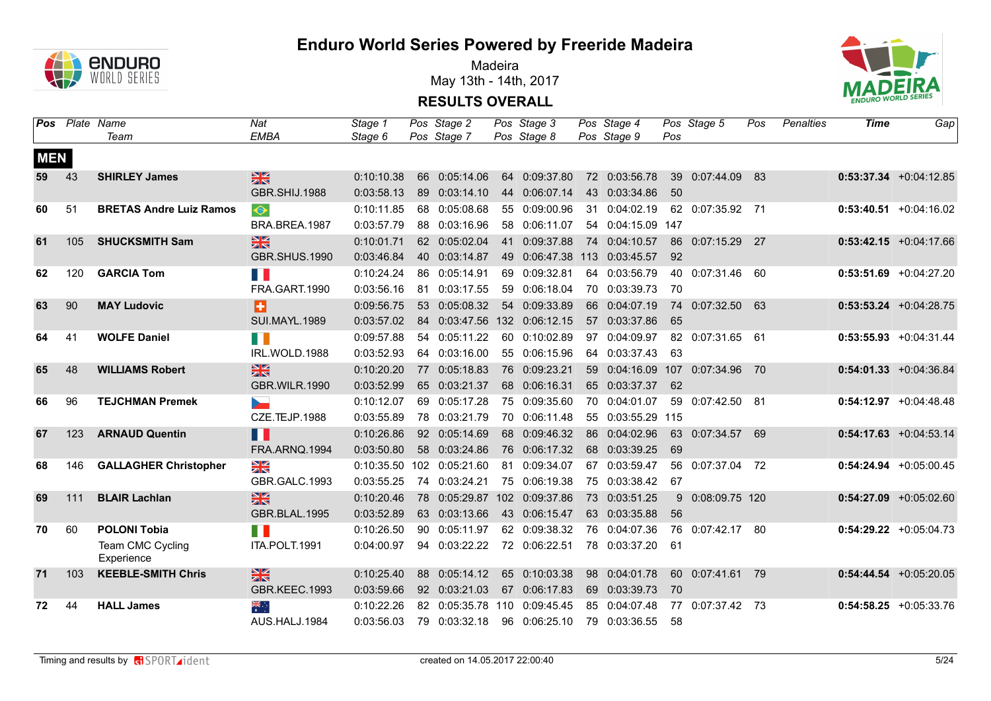

Madeira May 13th - 14th, 2017



|            | Pos Plate Name | Team                           | Nat<br><b>EMBA</b>   | Stage 1<br>Stage 6 |    | Pos Stage 2<br>Pos Stage 7   |     | Pos Stage 3<br>Pos Stage 8 | Pos Stage 4<br>Pos Stage 9 | Pos | Pos Stage 5      | Pos  | Penalties | <b>Time</b> | Gap                       |
|------------|----------------|--------------------------------|----------------------|--------------------|----|------------------------------|-----|----------------------------|----------------------------|-----|------------------|------|-----------|-------------|---------------------------|
| <b>MEN</b> |                |                                |                      |                    |    |                              |     |                            |                            |     |                  |      |           |             |                           |
| 59         | 43             | <b>SHIRLEY James</b>           | 噐                    | 0:10:10.38         |    | 66 0:05:14.06                |     | 64 0:09:37.80              | 72 0:03:56.78              |     | 39 0:07:44.09    | 83   |           |             | $0:53:37.34 +0:04:12.85$  |
|            |                |                                | GBR.SHIJ.1988        | 0:03:58.13         |    | 89 0:03:14.10                |     | 44 0:06:07.14              | 43 0:03:34.86              | 50  |                  |      |           |             |                           |
| 60         | 51             | <b>BRETAS Andre Luiz Ramos</b> | $\bullet$            | 0:10:11.85         |    | 68 0:05:08.68                |     | 55 0:09:00.96              | 31 0:04:02.19              |     | 62 0:07:35.92 71 |      |           |             | $0:53:40.51 + 0:04:16.02$ |
|            |                |                                | BRA.BREA.1987        | 0:03:57.79         |    | 88 0:03:16.96                |     | 58 0:06:11.07              | 54 0:04:15.09 147          |     |                  |      |           |             |                           |
| 61         | 105            | <b>SHUCKSMITH Sam</b>          | $rac{N}{N}$          | 0:10:01.71         |    | 62 0:05:02.04                |     | 41 0:09:37.88              | 74 0:04:10.57              |     | 86 0:07:15.29 27 |      |           |             | $0:53:42.15$ +0:04:17.66  |
|            |                |                                | <b>GBR.SHUS.1990</b> | 0:03:46.84         |    | 40 0:03:14.87                |     | 49 0:06:47.38              | 113 0:03:45.57             | 92  |                  |      |           |             |                           |
| 62         | 120            | <b>GARCIA Tom</b>              | H.                   | 0:10:24.24         |    | 86 0:05:14.91                |     | 69 0:09:32.81              | 64 0:03:56.79              |     | 40 0:07:31.46    | - 60 |           |             | $0:53:51.69$ +0:04:27.20  |
|            |                |                                | FRA.GART.1990        | 0:03:56.16         |    | 81 0:03:17.55                |     | 59 0:06:18.04              | 70 0:03:39.73              | 70  |                  |      |           |             |                           |
| 63         | 90             | <b>MAY Ludovic</b>             | B                    | 0:09:56.75         |    | 53 0:05:08.32                |     | 54 0:09:33.89              | 66 0:04:07.19              |     | 74 0:07:32.50    | 63   |           |             | $0:53:53.24 +0:04:28.75$  |
|            |                |                                | <b>SUI.MAYL.1989</b> | 0:03:57.02         |    | 84 0:03:47.56                |     | 132 0:06:12.15             | 57 0:03:37.86              | 65  |                  |      |           |             |                           |
| 64         | 41             | <b>WOLFE Daniel</b>            | a ka                 | 0:09:57.88         |    | 54 0:05:11.22                |     | 60 0:10:02.89              | 97 0:04:09.97              |     | 82 0:07:31.65 61 |      |           |             | $0:53:55.93 + 0:04:31.44$ |
|            |                |                                | IRL.WOLD.1988        | 0:03:52.93         |    | 64 0:03:16.00                |     | 55 0:06:15.96              | 64 0:03:37.43              | 63  |                  |      |           |             |                           |
| 65         | 48             | <b>WILLIAMS Robert</b>         | $rac{N}{N}$          | 0:10:20.20         | 77 | 0:05:18.83                   |     | 76 0:09:23.21              | 59 0:04:16.09              | 107 | 0:07:34.96       | 70   |           |             | $0:54:01.33 + 0:04:36.84$ |
|            |                |                                | <b>GBR.WILR.1990</b> | 0:03:52.99         |    | 65 0:03:21.37                |     | 68 0:06:16.31              | 65 0:03:37.37              | 62  |                  |      |           |             |                           |
| 66         | 96             | <b>TEJCHMAN Premek</b>         | <b>Septiment</b>     | 0:10:12.07         |    | 69 0:05:17.28                |     | 75 0:09:35.60              | 70 0:04:01.07              | 59  | 0:07:42.50 81    |      |           |             | $0:54:12.97$ +0:04:48.48  |
|            |                |                                | CZE.TEJP.1988        | 0:03:55.89         |    | 78 0:03:21.79                |     | 70 0:06:11.48              | 55 0:03:55.29 115          |     |                  |      |           |             |                           |
| 67         | 123            | <b>ARNAUD Quentin</b>          | H                    | 0:10:26.86         |    | 92 0:05:14.69                |     | 68 0:09:46.32              | 86 0:04:02.96              |     | 63 0:07:34.57    | 69   |           |             | $0:54:17.63 + 0:04:53.14$ |
|            |                |                                | FRA.ARNQ.1994        | 0:03:50.80         |    | 58 0:03:24.86                |     | 76 0:06:17.32              | 68 0:03:39.25              | 69  |                  |      |           |             |                           |
| 68         | 146            | <b>GALLAGHER Christopher</b>   | NK<br>ZK             |                    |    | 0:10:35.50 102 0:05:21.60    |     | 81 0:09:34.07              | 67 0:03:59.47              |     | 56 0:07:37.04 72 |      |           |             | $0:54:24.94$ +0:05:00.45  |
|            |                |                                | GBR.GALC.1993        | 0:03:55.25         |    | 74 0:03:24.21                |     | 75 0:06:19.38              | 75 0:03:38.42              | 67  |                  |      |           |             |                           |
| 69         | 111            | <b>BLAIR Lachlan</b>           | $\frac{N}{N}$        | 0:10:20.46         |    | 78 0:05:29.87 102 0:09:37.86 |     |                            | 73 0:03:51.25              |     | 9 0:08:09.75 120 |      |           |             | $0:54:27.09$ +0:05:02.60  |
|            |                |                                | GBR.BLAL.1995        | 0:03:52.89         |    | 63 0:03:13.66                |     | 43 0:06:15.47              | 63 0:03:35.88              | 56  |                  |      |           |             |                           |
| 70         | 60             | <b>POLONI Tobia</b>            | F.                   | 0:10:26.50         |    | 90 0:05:11.97                |     | 62 0:09:38.32              | 76 0:04:07.36              |     | 76 0:07:42.17 80 |      |           |             | $0:54:29.22 +0:05:04.73$  |
|            |                | Team CMC Cycling<br>Experience | ITA.POLT.1991        | 0:04:00.97         |    | 94 0:03:22.22                |     | 72 0:06:22.51              | 78 0:03:37.20              | 61  |                  |      |           |             |                           |
| 71         | 103            | <b>KEEBLE-SMITH Chris</b>      | 紧                    | 0:10:25.40         |    | 88 0:05:14.12                |     | 65 0:10:03.38              | 98 0:04:01.78              |     | 60 0:07:41.61 79 |      |           |             | $0:54:44.54 + 0:05:20.05$ |
|            |                |                                | GBR.KEEC.1993        | 0:03:59.66         |    | 92 0:03:21.03                |     | 67 0:06:17.83              | 69 0:03:39.73              | 70  |                  |      |           |             |                           |
| 72         | 44             | <b>HALL James</b>              | ्हें                 | 0:10:22.26         |    | 82 0:05:35.78                | 110 | 0:09:45.45                 | 85 0:04:07.48              | 77  | 0:07:37.42 73    |      |           |             | $0:54:58.25 + 0:05:33.76$ |
|            |                |                                | AUS.HALJ.1984        | 0:03:56.03         |    | 79 0:03:32.18                |     | 96 0:06:25.10              | 79 0:03:36.55              | 58  |                  |      |           |             |                           |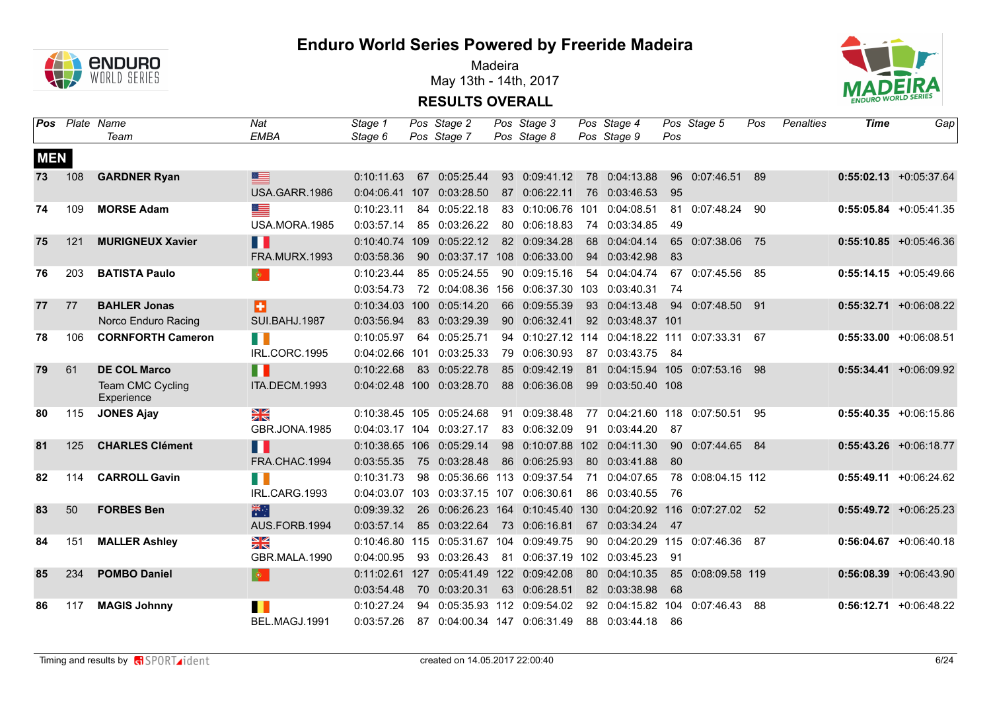

Madeira May 13th - 14th, 2017



|            |     | <b>Pos</b> Plate Name<br>Team  | Nat<br><b>EMBA</b>      | Stage 1<br>Stage 6 |     | Pos Stage 2<br>Pos Stage 7      | Pos Stage 3<br>Pos Stage 8 |    | Pos Stage 4<br>Pos Stage 9                                    | Pos  | Pos Stage 5               | Pos  | Penalties | Time | Gap                       |
|------------|-----|--------------------------------|-------------------------|--------------------|-----|---------------------------------|----------------------------|----|---------------------------------------------------------------|------|---------------------------|------|-----------|------|---------------------------|
| <b>MEN</b> |     |                                |                         |                    |     |                                 |                            |    |                                                               |      |                           |      |           |      |                           |
| 73         | 108 | <b>GARDNER Ryan</b>            | ⋿                       | 0:10:11.63         |     | 67 0:05:25.44                   | 93 0:09:41.12              |    | 78 0:04:13.88                                                 |      | 96 0:07:46.51             | 89   |           |      | $0:55:02.13 + 0:05:37.64$ |
|            |     |                                | USA.GARR.1986           |                    |     | 0:04:06.41 107 0:03:28.50       | 87 0:06:22.11              |    | 76 0:03:46.53                                                 | 95   |                           |      |           |      |                           |
| 74         | 109 | <b>MORSE Adam</b>              | ▀                       | 0:10:23.11         |     | 84 0:05:22.18                   | 83 0:10:06.76 101          |    | 0:04:08.51                                                    | 81   | 0:07:48.24 90             |      |           |      | $0:55:05.84$ +0:05:41.35  |
|            |     |                                | USA.MORA.1985           | 0:03:57.14         |     | 85 0:03:26.22                   | 80 0:06:18.83              |    | 74 0:03:34.85                                                 | 49   |                           |      |           |      |                           |
| 75         | 121 | <b>MURIGNEUX Xavier</b>        | Ш                       | 0:10:40.74         | 109 | 0:05:22.12                      | 82 0:09:34.28              |    | 68 0:04:04.14                                                 |      | 65 0:07:38.06             | - 75 |           |      | $0:55:10.85$ +0:05:46.36  |
|            |     |                                | <b>FRA.MURX.1993</b>    | 0:03:58.36         |     | 90  0:03:37.17  108  0:06:33.00 |                            |    | 94 0:03:42.98                                                 | 83   |                           |      |           |      |                           |
| 76         | 203 | <b>BATISTA Paulo</b>           | $\bullet$               | 0:10:23.44         | 85  | 0:05:24.55                      | 90 0:09:15.16              |    | 54 0:04:04.74                                                 | 67   | 0:07:45.56                | - 85 |           |      | $0:55:14.15$ +0:05:49.66  |
|            |     |                                |                         | 0:03:54.73         |     |                                 |                            |    | 72 0:04:08.36 156 0:06:37.30 103 0:03:40.31                   | -74  |                           |      |           |      |                           |
| 77         | 77  | <b>BAHLER Jonas</b>            | B                       | 0:10:34.03         | 100 | 0:05:14.20                      | 66 0:09:55.39              |    | 93 0:04:13.48                                                 |      | 94 0:07:48.50 91          |      |           |      | $0:55:32.71 + 0:06:08.22$ |
|            |     | Norco Enduro Racing            | <b>SUI.BAHJ.1987</b>    | 0:03:56.94         |     | 83 0:03:29.39                   | 90 0:06:32.41              |    | 92 0:03:48.37 101                                             |      |                           |      |           |      |                           |
| 78         | 106 | <b>CORNFORTH Cameron</b>       | $\mathbb{R}^n$          | 0:10:05.97         |     | 64 0:05:25.71                   |                            |    | 94  0:10:27.12  114  0:04:18.22  111                          |      | 0:07:33.31 67             |      |           |      | $0:55:33.00 + 0:06:08.51$ |
|            |     |                                | IRL.CORC.1995           | 0:04:02.66         | 101 | 0:03:25.33                      | 79 0:06:30.93              |    | 87 0:03:43.75 84                                              |      |                           |      |           |      |                           |
| 79         | 61  | <b>DE COL Marco</b>            | Ш                       | 0:10:22.68         |     | 83 0:05:22.78                   | 85 0:09:42.19              | 81 |                                                               |      | 0:04:15.94 105 0:07:53.16 | 98   |           |      | $0:55:34.41 + 0:06:09.92$ |
|            |     | Team CMC Cycling<br>Experience | ITA.DECM.1993           |                    |     | 0:04:02.48 100 0:03:28.70       | 88 0:06:36.08              |    | 99 0:03:50.40 108                                             |      |                           |      |           |      |                           |
| 80         | 115 | <b>JONES Ajay</b>              | $\frac{\sum x}{\sum x}$ |                    |     | 0:10:38.45 105 0:05:24.68       | 91 0:09:38.48              |    | 77  0:04:21.60  118  0:07:50.51                               |      |                           | -95  |           |      | $0:55:40.35 + 0:06:15.86$ |
|            |     |                                | GBR.JONA.1985           |                    |     | 0:04:03.17 104 0:03:27.17       | 83 0:06:32.09              | 91 | 0:03:44.20                                                    | - 87 |                           |      |           |      |                           |
| 81         | 125 | <b>CHARLES Clément</b>         | ╻╻                      | 0:10:38.65         |     | 106 0:05:29.14                  |                            |    | 98 0:10:07.88 102 0:04:11.30                                  |      | 90 0:07:44.65 84          |      |           |      | $0:55:43.26$ +0:06:18.77  |
|            |     |                                | FRA.CHAC.1994           | 0:03:55.35         |     | 75 0:03:28.48                   | 86 0:06:25.93              |    | 80 0:03:41.88                                                 | 80   |                           |      |           |      |                           |
| 82         | 114 | <b>CARROLL Gavin</b>           | H I                     | 0:10:31.73         |     | 98 0:05:36.66 113 0:09:37.54    |                            | 71 | 0:04:07.65                                                    |      | 78 0:08:04.15 112         |      |           |      | $0:55:49.11$ +0:06:24.62  |
|            |     |                                | IRL.CARG.1993           | 0:04:03.07         |     | 103 0:03:37.15 107 0:06:30.61   |                            |    | 86 0:03:40.55                                                 | - 76 |                           |      |           |      |                           |
| 83         | 50  | <b>FORBES Ben</b>              | 米啊                      | 0:09:39.32         |     |                                 |                            |    | 26 0:06:26.23 164 0:10:45.40 130 0:04:20.92 116 0:07:27.02 52 |      |                           |      |           |      | $0:55:49.72$ +0:06:25.23  |
|            |     |                                | AUS.FORB.1994           | 0:03:57.14         |     | 85 0:03:22.64                   | 73 0:06:16.81              |    | 67 0:03:34.24 47                                              |      |                           |      |           |      |                           |
| 84         | 151 | <b>MALLER Ashley</b>           | $\frac{N}{N}$           | 0:10:46.80         |     | 115 0:05:31.67 104 0:09:49.75   |                            |    | 90 0:04:20.29 115 0:07:46.36 87                               |      |                           |      |           |      | $0:56:04.67$ +0:06:40.18  |
|            |     |                                | GBR.MALA.1990           | 0:04:00.95         |     | 93 0:03:26.43                   |                            |    | 81  0:06:37.19  102  0:03:45.23  91                           |      |                           |      |           |      |                           |
| 85         | 234 | <b>POMBO Daniel</b>            | $\bullet$               | 0:11:02.61         |     | 127 0:05:41.49 122 0:09:42.08   |                            |    | 80 0:04:10.35                                                 |      | 85 0:08:09.58 119         |      |           |      | $0:56:08.39 + 0:06:43.90$ |
|            |     |                                |                         | 0:03:54.48         |     | 70 0:03:20.31                   | 63 0:06:28.51              |    | 82 0:03:38.98                                                 | 68   |                           |      |           |      |                           |
| 86         | 117 | <b>MAGIS Johnny</b>            | П                       | 0:10:27.24         | 94  |                                 | 0:05:35.93 112 0:09:54.02  |    | 92 0:04:15.82                                                 | 104  | 0:07:46.43                | 88   |           |      | $0:56:12.71$ +0:06:48.22  |
|            |     |                                | BEL.MAGJ.1991           | 0:03:57.26         |     | 87 0:04:00.34 147 0:06:31.49    |                            |    | 88 0:03:44.18                                                 | - 86 |                           |      |           |      |                           |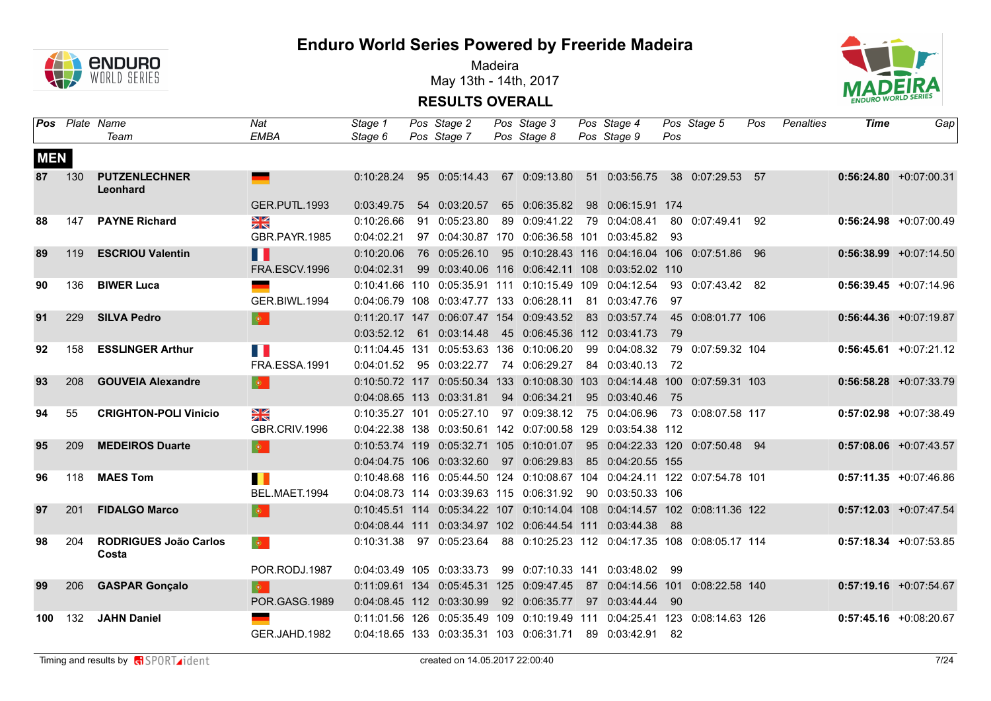

Madeira May 13th - 14th, 2017



|            |     | <b>Pos</b> Plate Name<br>Team         | Nat<br><b>EMBA</b>          | Stage 1<br>Stage 6 | Pos Stage 2<br>Pos Stage 7               | Pos Stage 3<br>Pos Stage 8 | Pos Stage 4<br>Pos Stage 9                                                 | Pos  | Pos Stage 5       | Pos | Penalties | Time | Gap                       |
|------------|-----|---------------------------------------|-----------------------------|--------------------|------------------------------------------|----------------------------|----------------------------------------------------------------------------|------|-------------------|-----|-----------|------|---------------------------|
| <b>MEN</b> |     |                                       |                             |                    |                                          |                            |                                                                            |      |                   |     |           |      |                           |
| 87         | 130 | <b>PUTZENLECHNER</b><br>Leonhard      |                             | 0:10:28.24         | 95 0:05:14.43                            |                            | 67 0:09:13.80 51 0:03:56.75 38 0:07:29.53 57                               |      |                   |     |           |      | $0:56:24.80 + 0:07:00.31$ |
|            |     |                                       | <b>GER.PUTL.1993</b>        | 0:03:49.75         | 54 0:03:20.57                            | 65 0:06:35.82              | 98 0:06:15.91 174                                                          |      |                   |     |           |      |                           |
| 88         | 147 | <b>PAYNE Richard</b>                  | <b>NK</b>                   | 0:10:26.66         | 91 0:05:23.80                            | 89 0:09:41.22              | 79 0:04:08.41                                                              |      | 80 0:07:49.41 92  |     |           |      | $0:56:24.98$ +0:07:00.49  |
|            |     |                                       | GBR.PAYR.1985               | 0:04:02.21         |                                          |                            | 97  0:04:30.87  170  0:06:36.58  101  0:03:45.82  93                       |      |                   |     |           |      |                           |
| 89         | 119 | <b>ESCRIOU Valentin</b>               | H                           | 0:10:20.06         | 76 0:05:26.10                            |                            | 95 0:10:28.43 116 0:04:16.04 106 0:07:51.86 96                             |      |                   |     |           |      | $0:56:38.99 + 0:07:14.50$ |
|            |     |                                       | FRA.ESCV.1996               | 0:04:02.31         |                                          |                            | 99  0:03:40.06  116  0:06:42.11  108  0:03:52.02  110                      |      |                   |     |           |      |                           |
| 90         | 136 | <b>BIWER Luca</b>                     |                             |                    |                                          |                            | 0:10:41.66 110 0:05:35.91 111 0:10:15.49 109 0:04:12.54                    |      | 93 0:07:43.42 82  |     |           |      | $0:56:39.45 +0:07:14.96$  |
|            |     |                                       | GER.BIWL.1994               |                    |                                          |                            | 0:04:06.79 108 0:03:47.77 133 0:06:28.11 81 0:03:47.76                     | 97   |                   |     |           |      |                           |
| 91         | 229 | <b>SILVA Pedro</b>                    | $\phi$                      |                    | 0:11:20.17 147 0:06:07.47 154 0:09:43.52 |                            | 83 0:03:57.74                                                              |      | 45 0:08:01.77 106 |     |           |      | $0:56:44.36 + 0:07:19.87$ |
|            |     |                                       |                             | 0:03:52.12         | 61 0:03:14.48                            |                            | 45 0:06:45.36 112 0:03:41.73                                               | 79   |                   |     |           |      |                           |
| 92         | 158 | <b>ESSLINGER Arthur</b>               | H.                          |                    | 0:11:04.45 131 0:05:53.63 136 0:10:06.20 |                            | 99 0:04:08.32                                                              |      | 79 0:07:59.32 104 |     |           |      | $0:56:45.61 + 0:07:21.12$ |
|            |     |                                       | FRA.ESSA.1991               | 0:04:01.52         | 95 0:03:22.77                            | 74 0:06:29.27              | 84 0:03:40.13                                                              | - 72 |                   |     |           |      |                           |
| 93         | 208 | <b>GOUVEIA Alexandre</b>              | $\mid \bullet \mid$         |                    |                                          |                            | 0:10:50.72 117 0:05:50.34 133 0:10:08.30 103 0:04:14.48 100 0:07:59.31 103 |      |                   |     |           |      | $0:56:58.28 + 0:07:33.79$ |
|            |     |                                       |                             |                    | 0:04:08.65 113 0:03:31.81                | 94 0:06:34.21              | 95 0:03:40.46                                                              | - 75 |                   |     |           |      |                           |
| 94         | 55  | <b>CRIGHTON-POLI Vinicio</b>          | NK<br>ZK                    |                    | 0:10:35.27 101 0:05:27.10                | 97 0:09:38.12              | 75 0:04:06.96                                                              |      | 73 0:08:07.58 117 |     |           |      | $0:57:02.98$ +0:07:38.49  |
|            |     |                                       | GBR.CRIV.1996               |                    |                                          |                            | 0:04:22.38 138 0:03:50.61 142 0:07:00.58 129 0:03:54.38 112                |      |                   |     |           |      |                           |
| 95         | 209 | <b>MEDEIROS Duarte</b>                | $\bullet$                   |                    | 0:10:53.74 119 0:05:32.71 105 0:10:01.07 |                            | 95  0:04:22.33  120  0:07:50.48  94                                        |      |                   |     |           |      | $0:57:08.06$ +0:07:43.57  |
|            |     |                                       |                             |                    | 0:04:04.75 106 0:03:32.60 97 0:06:29.83  |                            | 85 0:04:20.55 155                                                          |      |                   |     |           |      |                           |
| 96         | 118 | <b>MAES Tom</b>                       | . .                         |                    |                                          |                            | 0:10:48.68 116 0:05:44.50 124 0:10:08.67 104 0:04:24.11 122 0:07:54.78 101 |      |                   |     |           |      | $0:57:11.35$ +0:07:46.86  |
|            |     |                                       | BEL.MAET.1994               |                    | 0:04:08.73 114 0:03:39.63 115 0:06:31.92 |                            | 90 0:03:50.33 106                                                          |      |                   |     |           |      |                           |
| 97         | 201 | <b>FIDALGO Marco</b>                  | $\langle \bullet \rangle$ . |                    |                                          |                            | 0:10:45.51 114 0:05:34.22 107 0:10:14.04 108 0:04:14.57 102 0:08:11.36 122 |      |                   |     |           |      | $0:57:12.03$ +0:07:47.54  |
|            |     |                                       |                             |                    |                                          |                            | 0:04:08.44 111 0:03:34.97 102 0:06:44.54 111 0:03:44.38                    | - 88 |                   |     |           |      |                           |
| 98         | 204 | <b>RODRIGUES João Carlos</b><br>Costa | $\langle \bullet \rangle$   |                    | 0:10:31.38 97 0:05:23.64                 |                            | 88 0:10:25.23 112 0:04:17.35 108 0:08:05.17 114                            |      |                   |     |           |      | $0:57:18.34 +0:07:53.85$  |
|            |     |                                       | POR.RODJ.1987               |                    | 0:04:03.49 105 0:03:33.73                |                            | 99 0:07:10.33 141 0:03:48.02 99                                            |      |                   |     |           |      |                           |
| 99         | 206 | <b>GASPAR Gonçalo</b>                 | $\bullet$                   |                    | 0:11:09.61 134 0:05:45.31 125 0:09:47.45 |                            | 87 0:04:14.56 101 0:08:22.58 140                                           |      |                   |     |           |      | $0:57:19.16$ +0:07:54.67  |
|            |     |                                       | POR.GASG.1989               |                    | 0:04:08.45 112 0:03:30.99                | 92 0:06:35.77              | 97 0:03:44.44                                                              | 90   |                   |     |           |      |                           |
| 100        | 132 | <b>JAHN Daniel</b>                    |                             |                    |                                          |                            | 0:11:01.56 126 0:05:35.49 109 0:10:19.49 111 0:04:25.41 123 0:08:14.63 126 |      |                   |     |           |      | $0:57:45.16$ +0:08:20.67  |
|            |     |                                       | GER.JAHD.1982               |                    | 0:04:18.65 133 0:03:35.31 103 0:06:31.71 |                            | 89 0:03:42.91 82                                                           |      |                   |     |           |      |                           |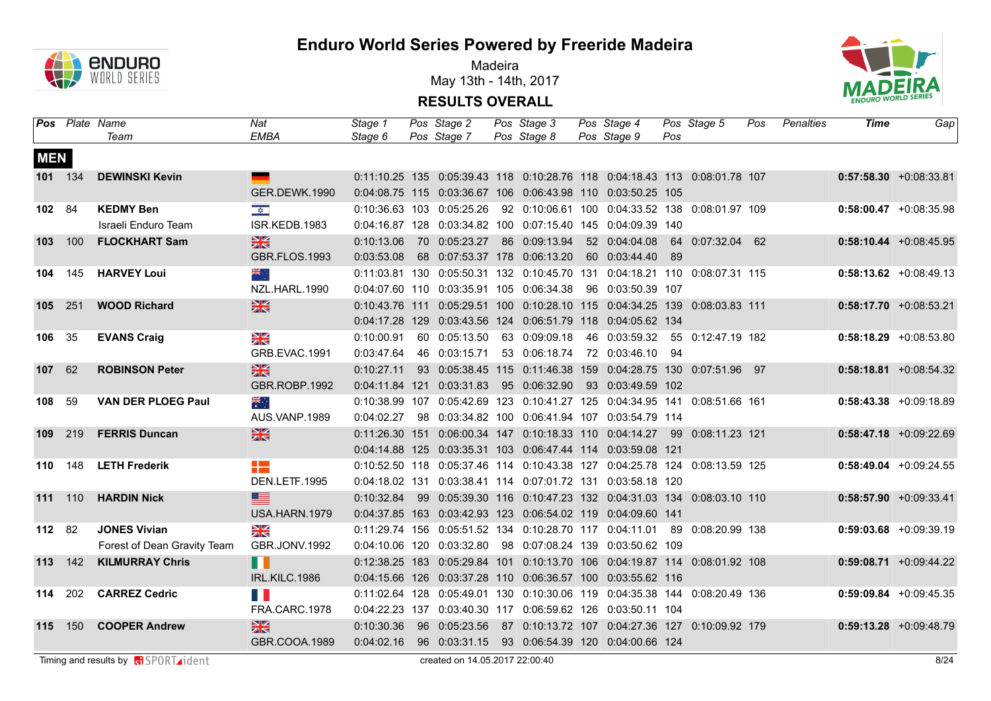

Madeira May 13th - 14th, 2017



|            |                | <b>Pos</b> Plate Name<br>Team | Nat<br><b>EMBA</b>   | Stage 1<br>Stage 6 | Pos Stage 2<br>Pos Stage 7   | Pos Stage 3<br>Pos Stage 8 | Pos Stage 4<br>Pos Stage 9                                                                                                                | Pos | Pos Stage 5       | Pos | Penalties | <b>Time</b> | Gap                       |
|------------|----------------|-------------------------------|----------------------|--------------------|------------------------------|----------------------------|-------------------------------------------------------------------------------------------------------------------------------------------|-----|-------------------|-----|-----------|-------------|---------------------------|
|            |                |                               |                      |                    |                              |                            |                                                                                                                                           |     |                   |     |           |             |                           |
| <b>MEN</b> |                |                               |                      |                    |                              |                            |                                                                                                                                           |     |                   |     |           |             |                           |
| 101 134    |                | <b>DEWINSKI Kevin</b>         |                      |                    |                              |                            | 0:11:10.25 135 0:05:39.43 118 0:10:28.76 118 0:04:18.43 113 0:08:01.78 107                                                                |     |                   |     |           |             | $0:57:58.30 + 0:08:33.81$ |
|            |                |                               | GER.DEWK.1990        |                    |                              |                            | 0:04:08.75 115 0:03:36.67 106 0:06:43.98 110 0:03:50.25 105                                                                               |     |                   |     |           |             |                           |
| 102 84     |                | <b>KEDMY Ben</b>              | $\frac{1}{2}$        |                    | 0:10:36.63 103 0:05:25.26    |                            | 92 0:10:06.61 100 0:04:33.52 138 0:08:01.97 109                                                                                           |     |                   |     |           |             | $0:58:00.47$ +0:08:35.98  |
|            |                | Israeli Enduro Team           | ISR.KEDB.1983        |                    |                              |                            | 0:04:16.87 128 0:03:34.82 100 0:07:15.40 145 0:04:09.39 140                                                                               |     |                   |     |           |             |                           |
| 103        | 100            | <b>FLOCKHART Sam</b>          | 黑                    | 0:10:13.06         | 70 0:05:23.27                | 86 0:09:13.94              | 52 0:04:04.08                                                                                                                             |     | 64 0:07:32.04 62  |     |           |             | $0:58:10.44 + 0:08:45.95$ |
|            |                |                               | <b>GBR.FLOS.1993</b> | 0:03:53.08         | 68 0:07:53.37 178 0:06:13.20 |                            | 60 0:03:44.40                                                                                                                             | 89  |                   |     |           |             |                           |
| 104        | 145            | <b>HARVEY Loui</b>            | ÷, ≫k                |                    |                              |                            | 0:11:03.81 130 0:05:50.31 132 0:10:45.70 131 0:04:18.21 110 0:08:07.31 115                                                                |     |                   |     |           |             | $0:58:13.62$ +0:08:49.13  |
|            |                |                               | NZL.HARL.1990        |                    |                              |                            | 0:04:07.60 110 0:03:35.91 105 0:06:34.38 96 0:03:50.39 107                                                                                |     |                   |     |           |             |                           |
| 105 251    |                | <b>WOOD Richard</b>           | $\frac{2}{\sqrt{2}}$ | 0:10:43.76 111     |                              |                            | 0:05:29.51 100 0:10:28.10 115 0:04:34.25 139 0:08:03.83 111                                                                               |     |                   |     |           |             | $0:58:17.70$ +0:08:53.21  |
|            |                |                               |                      |                    |                              |                            | 0:04:17.28 129 0:03:43.56 124 0:06:51.79 118 0:04:05.62 134                                                                               |     |                   |     |           |             |                           |
| 106 35     |                | <b>EVANS Craig</b>            | XK                   | 0:10:00.91         | 60 0:05:13.50                | 63 0:09:09.18              | 46 0:03:59.32                                                                                                                             |     | 55 0:12:47.19 182 |     |           |             | $0:58:18.29 + 0:08:53.80$ |
|            |                |                               | GRB.EVAC.1991        | 0:03:47.64         | 46 0:03:15.71                | 53 0:06:18.74              | 72 0:03:46.10 94                                                                                                                          |     |                   |     |           |             |                           |
| 107        | 62             | <b>ROBINSON Peter</b>         | $\frac{N}{N}$        | 0:10:27.11         |                              |                            | 93  0:05:38.45  115  0:11:46.38  159  0:04:28.75  130  0:07:51.96  97                                                                     |     |                   |     |           |             | $0:58:18.81 + 0:08:54.32$ |
|            |                |                               | GBR.ROBP.1992        |                    | 0:04:11.84 121 0:03:31.83    |                            | 95  0:06:32.90  93  0:03:49.59  102                                                                                                       |     |                   |     |           |             |                           |
| 108        | 59             | <b>VAN DER PLOEG Paul</b>     | $\frac{1}{\sqrt{2}}$ |                    |                              |                            | 0:10:38.99 107 0:05:42.69 123 0:10:41.27 125 0:04:34.95 141 0:08:51.66 161                                                                |     |                   |     |           |             | $0:58:43.38 + 0:09:18.89$ |
|            |                |                               | AUS.VANP.1989        | 0:04:02.27         |                              |                            | 98  0:03:34.82  100  0:06:41.94  107  0:03:54.79  114                                                                                     |     |                   |     |           |             |                           |
| 109 219    |                | <b>FERRIS Duncan</b>          | 黑                    |                    |                              |                            | 0:11:26.30 151 0:06:00.34 147 0:10:18.33 110 0:04:14.27 99 0:08:11.23 121                                                                 |     |                   |     |           |             | $0:58:47.18$ +0:09:22.69  |
|            |                |                               |                      |                    |                              |                            | 0:04:14.88 125 0:03:35.31 103 0:06:47.44 114 0:03:59.08 121                                                                               |     |                   |     |           |             |                           |
| 110        | 148            | <b>LETH Frederik</b>          | æ<br>DEN.LETF.1995   |                    |                              |                            | 0:10:52.50 118 0:05:37.46 114 0:10:43.38 127 0:04:25.78 124 0:08:13.59 125<br>0:04:18.02 131 0:03:38.41 114 0:07:01.72 131 0:03:58.18 120 |     |                   |     |           |             | $0:58:49.04$ +0:09:24.55  |
|            |                | <b>HARDIN Nick</b>            | ▆▆                   | 0:10:32.84         |                              |                            | 99  0:05:39.30  116  0:10:47.23  132  0:04:31.03  134  0:08:03.10  110                                                                    |     |                   |     |           |             | $0:58:57.90 +0:09:33.41$  |
| 111 110    |                |                               | USA.HARN.1979        |                    |                              |                            | 0:04:37.85 163 0:03:42.93 123 0:06:54.02 119 0:04:09.60 141                                                                               |     |                   |     |           |             |                           |
| 112 82     |                | <b>JONES Vivian</b>           | $\frac{N}{N}$        |                    |                              |                            | 0:11:29.74 156 0:05:51.52 134 0:10:28.70 117 0:04:11.01                                                                                   |     | 89 0:08:20.99 138 |     |           |             | $0:59:03.68$ +0:09:39.19  |
|            |                | Forest of Dean Gravity Team   | GBR.JONV.1992        |                    |                              |                            | 0:04:10.06 120 0:03:32.80 98 0:07:08.24 139 0:03:50.62 109                                                                                |     |                   |     |           |             |                           |
| 113 142    |                | <b>KILMURRAY Chris</b>        | H                    |                    |                              |                            | 0:12:38.25 183 0:05:29.84 101 0:10:13.70 106 0:04:19.87 114 0:08:01.92 108                                                                |     |                   |     |           |             | $0:59:08.71$ +0:09:44.22  |
|            |                |                               | IRL.KILC.1986        |                    |                              |                            | 0:04:15.66 126 0:03:37.28 110 0:06:36.57 100 0:03:55.62 116                                                                               |     |                   |     |           |             |                           |
| 114 202    |                | <b>CARREZ Cedric</b>          | H                    |                    |                              |                            | 0:11:02.64 128 0:05:49.01 130 0:10:30.06 119 0:04:35.38 144 0:08:20.49 136                                                                |     |                   |     |           |             | $0:59:09.84$ +0:09:45.35  |
|            |                |                               | FRA.CARC.1978        |                    |                              |                            | 0:04:22.23 137 0:03:40.30 117 0:06:59.62 126 0:03:50.11 104                                                                               |     |                   |     |           |             |                           |
|            | <b>115</b> 150 | <b>COOPER Andrew</b>          | 黑                    | 0:10:30.36         | 96 0:05:23.56                |                            | 87 0:10:13.72 107 0:04:27.36 127 0:10:09.92 179                                                                                           |     |                   |     |           |             | $0:59:13.28 + 0:09:48.79$ |
|            |                |                               | GBR.COOA.1989        |                    |                              |                            | 0:04:02.16  96  0:03:31.15  93  0:06:54.39  120  0:04:00.66  124                                                                          |     |                   |     |           |             |                           |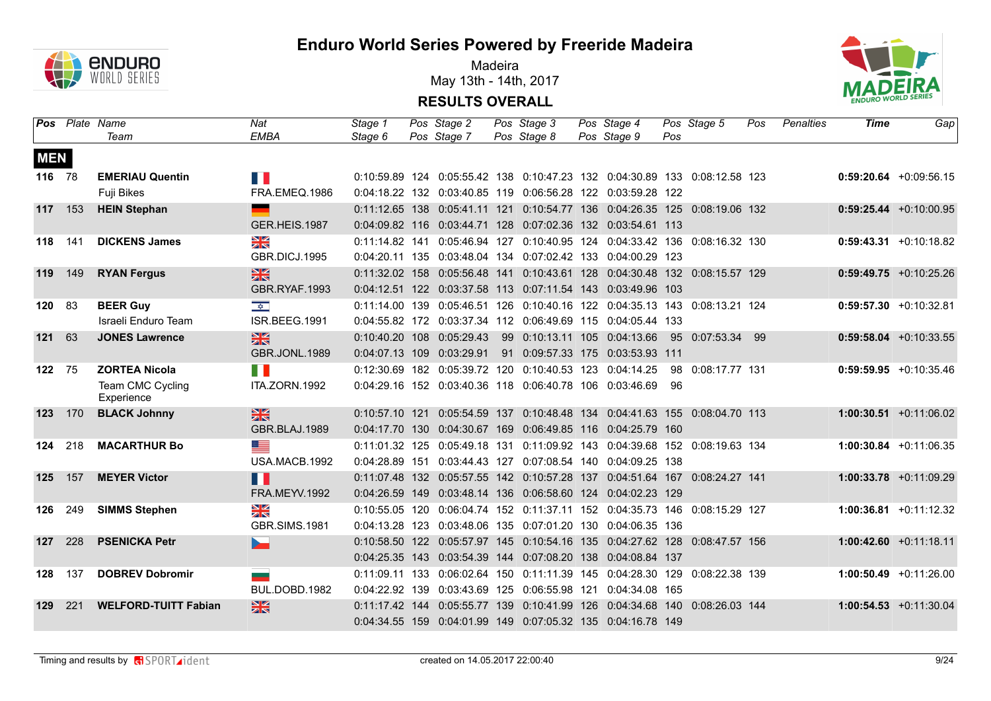

Madeira May 13th - 14th, 2017



|            |     | <b>Pos</b> Plate Name<br>Team  | Nat<br><b>EMBA</b>       | Stage 1<br>Stage 6 | Pos Stage 2<br>Pos Stage 7 | Pos Stage 3<br>Pos Stage 8 | Pos Stage 4<br>Pos Stage 9                                                 | Pos | Pos Stage 5       | Pos | Penalties | Time | Gap                       |
|------------|-----|--------------------------------|--------------------------|--------------------|----------------------------|----------------------------|----------------------------------------------------------------------------|-----|-------------------|-----|-----------|------|---------------------------|
|            |     |                                |                          |                    |                            |                            |                                                                            |     |                   |     |           |      |                           |
| <b>MEN</b> |     |                                |                          |                    |                            |                            |                                                                            |     |                   |     |           |      |                           |
| 116 78     |     | <b>EMERIAU Quentin</b>         | E B                      |                    |                            |                            | 0:10:59.89 124 0:05:55.42 138 0:10:47.23 132 0:04:30.89 133 0:08:12.58 123 |     |                   |     |           |      | $0:59:20.64$ +0:09:56.15  |
|            |     | Fuji Bikes                     | FRA.EMEQ.1986            |                    |                            |                            | 0:04:18.22 132 0:03:40.85 119 0:06:56.28 122 0:03:59.28 122                |     |                   |     |           |      |                           |
| 117 153    |     | <b>HEIN Stephan</b>            | $\overline{\phantom{a}}$ |                    |                            |                            | 0:11:12.65 138 0:05:41.11 121 0:10:54.77 136 0:04:26.35 125 0:08:19.06 132 |     |                   |     |           |      | $0:59:25.44 + 0:10:00.95$ |
|            |     |                                | GER.HEIS.1987            |                    |                            |                            | 0:04:09.82 116 0:03:44.71 128 0:07:02.36 132 0:03:54.61 113                |     |                   |     |           |      |                           |
| 118 141    |     | <b>DICKENS James</b>           | $\frac{N}{N}$            |                    |                            |                            | 0:11:14.82 141 0:05:46.94 127 0:10:40.95 124 0:04:33.42 136 0:08:16.32 130 |     |                   |     |           |      | $0:59:43.31 + 0:10:18.82$ |
|            |     |                                | GBR.DICJ.1995            |                    |                            |                            | 0:04:20.11 135 0:03:48.04 134 0:07:02.42 133 0:04:00.29 123                |     |                   |     |           |      |                           |
| 119 149    |     | <b>RYAN Fergus</b>             | $\frac{N}{N}$            | $0:11:32.02$ 158   |                            |                            | 0:05:56.48  141  0:10:43.61  128  0:04:30.48  132  0:08:15.57  129         |     |                   |     |           |      | $0:59:49.75$ +0:10:25.26  |
|            |     |                                | GBR.RYAF.1993            |                    |                            |                            | 0:04:12.51 122 0:03:37.58 113 0:07:11.54 143 0:03:49.96 103                |     |                   |     |           |      |                           |
| 120 83     |     | <b>BEER Guy</b>                | $\frac{\sqrt{x}}{x}$     |                    |                            |                            | 0:11:14.00 139 0:05:46.51 126 0:10:40.16 122 0:04:35.13 143 0:08:13.21 124 |     |                   |     |           |      | $0:59:57.30 + 0:10:32.81$ |
|            |     | Israeli Enduro Team            | ISR.BEEG.1991            |                    |                            |                            | 0:04:55.82 172 0:03:37.34 112 0:06:49.69 115 0:04:05.44 133                |     |                   |     |           |      |                           |
| 121        | 63  | <b>JONES Lawrence</b>          | $\frac{N}{N}$            |                    | 0:10:40.20 108 0:05:29.43  |                            | 99 0:10:13.11 105 0:04:13.66                                               |     | 95 0:07:53.34 99  |     |           |      | $0:59:58.04 +0:10:33.55$  |
|            |     |                                | <b>GBR.JONL.1989</b>     |                    | 0:04:07.13 109 0:03:29.91  |                            | 91 0:09:57.33 175 0:03:53.93 111                                           |     |                   |     |           |      |                           |
| 122 75     |     | <b>ZORTEA Nicola</b>           | H H                      | 0:12:30.69         |                            |                            | 182 0:05:39.72 120 0:10:40.53 123 0:04:14.25                               |     | 98 0:08:17.77 131 |     |           |      | $0:59:59.95$ +0:10:35.46  |
|            |     | Team CMC Cycling<br>Experience | ITA.ZORN.1992            |                    |                            |                            | 0:04:29.16 152 0:03:40.36 118 0:06:40.78 106 0:03:46.69                    | 96  |                   |     |           |      |                           |
| 123        | 170 | <b>BLACK Johnny</b>            | $\frac{N}{N}$            |                    |                            |                            | 0:10:57.10 121 0:05:54.59 137 0:10:48.48 134 0:04:41.63 155 0:08:04.70 113 |     |                   |     |           |      | $1:00:30.51$ +0:11:06.02  |
|            |     |                                | GBR.BLAJ.1989            |                    |                            |                            | 0:04:17.70 130 0:04:30.67 169 0:06:49.85 116 0:04:25.79 160                |     |                   |     |           |      |                           |
| 124 218    |     | <b>MACARTHUR Bo</b>            | ▆▆                       |                    |                            |                            | 0:11:01.32 125 0:05:49.18 131 0:11:09.92 143 0:04:39.68 152 0:08:19.63 134 |     |                   |     |           |      | $1:00:30.84$ +0:11:06.35  |
|            |     |                                | USA.MACB.1992            |                    |                            |                            | 0:04:28.89 151 0:03:44.43 127 0:07:08.54 140 0:04:09.25 138                |     |                   |     |           |      |                           |
| 125 157    |     | <b>MEYER Victor</b>            | n T                      |                    |                            |                            | 0:11:07.48 132 0:05:57.55 142 0:10:57.28 137 0:04:51.64 167 0:08:24.27 141 |     |                   |     |           |      | $1:00:33.78$ +0:11:09.29  |
|            |     |                                | <b>FRA.MEYV.1992</b>     |                    |                            |                            | 0:04:26.59 149 0:03:48.14 136 0:06:58.60 124 0:04:02.23 129                |     |                   |     |           |      |                           |
| 126        | 249 | <b>SIMMS Stephen</b>           | $\frac{N}{N}$            |                    |                            |                            | 0:10:55.05 120 0:06:04.74 152 0:11:37.11 152 0:04:35.73 146 0:08:15.29 127 |     |                   |     |           |      | $1:00:36.81 + 0:11:12.32$ |
|            |     |                                | <b>GBR.SIMS.1981</b>     |                    |                            |                            | 0:04:13.28 123 0:03:48.06 135 0:07:01.20 130 0:04:06.35 136                |     |                   |     |           |      |                           |
| 127        | 228 | <b>PSENICKA Petr</b>           | <b>Dents</b>             |                    |                            |                            | 0:10:58.50 122 0:05:57.97 145 0:10:54.16 135 0:04:27.62 128 0:08:47.57 156 |     |                   |     |           |      | $1:00:42.60 +0:11:18.11$  |
|            |     |                                |                          |                    |                            |                            | 0:04:25.35 143 0:03:54.39 144 0:07:08.20 138 0:04:08.84 137                |     |                   |     |           |      |                           |
| 128        | 137 | <b>DOBREV Dobromir</b>         | __                       |                    |                            |                            | 0:11:09.11 133 0:06:02.64 150 0:11:11.39 145 0:04:28.30 129 0:08:22.38 139 |     |                   |     |           |      | $1:00:50.49 +0:11:26.00$  |
|            |     |                                | BUL.DOBD.1982            |                    |                            |                            | 0:04:22.92 139 0:03:43.69 125 0:06:55.98 121 0:04:34.08 165                |     |                   |     |           |      |                           |
| 129        | 221 | <b>WELFORD-TUITT Fabian</b>    | $\frac{N}{N}$            |                    |                            |                            | 0:11:17.42 144 0:05:55.77 139 0:10:41.99 126 0:04:34.68 140 0:08:26.03 144 |     |                   |     |           |      | $1:00:54.53 + 0:11:30.04$ |
|            |     |                                |                          |                    |                            |                            | 0:04:34.55 159 0:04:01.99 149 0:07:05.32 135 0:04:16.78 149                |     |                   |     |           |      |                           |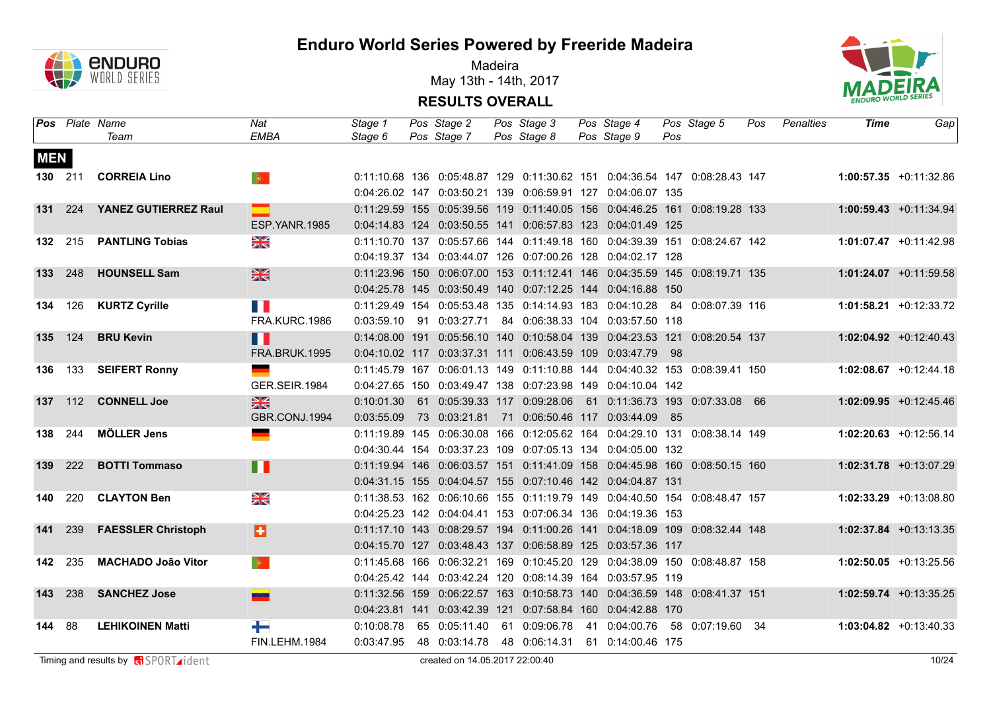

Madeira May 13th - 14th, 2017



|            |                | <b>Pos</b> Plate Name     | Nat                                  | Stage 1    | Pos Stage 2                  | Pos Stage 3   | Pos Stage 4                                                                        |     | Pos Stage 5 | Pos | Penalties | Time | Gap                      |
|------------|----------------|---------------------------|--------------------------------------|------------|------------------------------|---------------|------------------------------------------------------------------------------------|-----|-------------|-----|-----------|------|--------------------------|
|            |                | Team                      | <b>EMBA</b>                          | Stage 6    | Pos Stage 7                  | Pos Stage 8   | Pos Stage 9                                                                        | Pos |             |     |           |      |                          |
| <b>MEN</b> |                |                           |                                      |            |                              |               |                                                                                    |     |             |     |           |      |                          |
|            | 130 211        | <b>CORREIA Lino</b>       | $\langle \hat{\mathbf{Q}} \rangle$ . |            |                              |               | 0:11:10.68 136 0:05:48.87 129 0:11:30.62 151 0:04:36.54 147 0:08:28.43 147         |     |             |     |           |      | $1:00:57.35 +0:11:32.86$ |
|            |                |                           |                                      |            |                              |               | 0:04:26.02 147 0:03:50.21 139 0:06:59.91 127 0:04:06.07 135                        |     |             |     |           |      |                          |
|            | 131 224        | YANEZ GUTIERREZ Raul      | $\equiv$                             |            |                              |               | 0:11:29.59 155 0:05:39.56 119 0:11:40.05 156 0:04:46.25 161 0:08:19.28 133         |     |             |     |           |      | $1:00:59.43 +0:11:34.94$ |
|            |                |                           | ESP.YANR.1985                        |            |                              |               | 0:04:14.83 124 0:03:50.55 141 0:06:57.83 123 0:04:01.49 125                        |     |             |     |           |      |                          |
|            |                | 132 215 PANTLING Tobias   | $\frac{\Delta}{\Delta}$              |            |                              |               | 0:11:10.70 137 0:05:57.66 144 0:11:49.18 160 0:04:39.39 151 0:08:24.67 142         |     |             |     |           |      | $1:01:07.47 +0:11:42.98$ |
|            |                |                           |                                      |            |                              |               | 0:04:19.37 134 0:03:44.07 126 0:07:00.26 128 0:04:02.17 128                        |     |             |     |           |      |                          |
|            | 133 248        | <b>HOUNSELL Sam</b>       | $\frac{N}{N}$                        |            |                              |               | 0:11:23.96 150 0:06:07.00 153 0:11:12.41 146 0:04:35.59 145 0:08:19.71 135         |     |             |     |           |      | $1:01:24.07$ +0:11:59.58 |
|            |                |                           |                                      |            |                              |               | 0:04:25.78 145 0:03:50.49 140 0:07:12.25 144 0:04:16.88 150                        |     |             |     |           |      |                          |
|            |                | 134 126 KURTZ Cyrille     | T B                                  |            |                              |               | 0:11:29.49  154  0:05:53.48  135  0:14:14.93  183  0:04:10.28  84  0:08:07.39  116 |     |             |     |           |      | $1:01:58.21 +0:12:33.72$ |
|            |                |                           | FRA.KURC.1986                        |            |                              |               | 0:03:59.10  91  0:03:27.71  84  0:06:38.33  104  0:03:57.50  118                   |     |             |     |           |      |                          |
|            | <b>135</b> 124 | <b>BRU Kevin</b>          | H                                    |            |                              |               | 0:14:08.00 191 0:05:56.10 140 0:10:58.04 139 0:04:23.53 121 0:08:20.54 137         |     |             |     |           |      | $1:02:04.92 +0:12:40.43$ |
|            |                |                           | <b>FRA.BRUK.1995</b>                 |            |                              |               | 0:04:10.02 117 0:03:37.31 111 0:06:43.59 109 0:03:47.79 98                         |     |             |     |           |      |                          |
|            |                | 136 133 SEIFERT Ronny     |                                      |            |                              |               | 0:11:45.79 167 0:06:01.13 149 0:11:10.88 144 0:04:40.32 153 0:08:39.41 150         |     |             |     |           |      | $1:02:08.67$ +0:12:44.18 |
|            |                |                           | GER.SEIR.1984                        |            |                              |               | 0:04:27.65 150 0:03:49.47 138 0:07:23.98 149 0:04:10.04 142                        |     |             |     |           |      |                          |
|            | 137 112        | <b>CONNELL Joe</b>        | $\frac{N}{N}$                        | 0:10:01.30 | 61 0:05:39.33 117 0:09:28.06 |               | 61 0:11:36.73 193 0:07:33.08 66                                                    |     |             |     |           |      | $1:02:09.95$ +0:12:45.46 |
|            |                |                           | GBR.CONJ.1994                        | 0:03:55.09 |                              |               | 73  0:03:21.81  71  0:06:50.46  117  0:03:44.09  85                                |     |             |     |           |      |                          |
|            | 138 244        | <b>MÖLLER Jens</b>        | <u>e a</u>                           |            |                              |               | 0:11:19.89 145 0:06:30.08 166 0:12:05.62 164 0:04:29.10 131 0:08:38.14 149         |     |             |     |           |      | $1:02:20.63$ +0:12:56.14 |
|            |                |                           |                                      |            |                              |               | 0:04:30.44 154 0:03:37.23 109 0:07:05.13 134 0:04:05.00 132                        |     |             |     |           |      |                          |
|            | 139 222        | <b>BOTTI Tommaso</b>      | Ш                                    |            |                              |               | 0:11:19.94 146 0:06:03.57 151 0:11:41.09 158 0:04:45.98 160 0:08:50.15 160         |     |             |     |           |      | $1:02:31.78$ +0:13:07.29 |
|            |                |                           |                                      |            |                              |               | 0:04:31.15 155 0:04:04.57 155 0:07:10.46 142 0:04:04.87 131                        |     |             |     |           |      |                          |
|            | 140 220        | <b>CLAYTON Ben</b>        | $\frac{N}{N}$                        |            |                              |               | 0:11:38.53 162 0:06:10.66 155 0:11:19.79 149 0:04:40.50 154 0:08:48.47 157         |     |             |     |           |      | $1:02:33.29 +0:13:08.80$ |
|            |                |                           |                                      |            |                              |               | 0:04:25.23 142 0:04:04.41 153 0:07:06.34 136 0:04:19.36 153                        |     |             |     |           |      |                          |
| 141        | 239            | <b>FAESSLER Christoph</b> | B                                    |            |                              |               | 0:11:17.10 143 0:08:29.57 194 0:11:00.26 141 0:04:18.09 109 0:08:32.44 148         |     |             |     |           |      | $1:02:37.84$ +0:13:13.35 |
|            |                |                           |                                      |            |                              |               | 0:04:15.70 127 0:03:48.43 137 0:06:58.89 125 0:03:57.36 117                        |     |             |     |           |      |                          |
|            | 142 235        | <b>MACHADO João Vitor</b> | $\bullet$                            |            |                              |               | 0:11:45.68 166 0:06:32.21 169 0:10:45.20 129 0:04:38.09 150 0:08:48.87 158         |     |             |     |           |      | $1:02:50.05$ +0:13:25.56 |
|            |                |                           |                                      |            |                              |               | 0:04:25.42 144 0:03:42.24 120 0:08:14.39 164 0:03:57.95 119                        |     |             |     |           |      |                          |
|            | 143 238        | <b>SANCHEZ Jose</b>       | <b>BASE</b>                          |            |                              |               | 0:11:32.56 159 0:06:22.57 163 0:10:58.73 140 0:04:36.59 148 0:08:41.37 151         |     |             |     |           |      | $1:02:59.74$ +0:13:35.25 |
|            |                |                           |                                      |            |                              |               | 0:04:23.81 141 0:03:42.39 121 0:07:58.84 160 0:04:42.88 170                        |     |             |     |           |      |                          |
| 144 88     |                | <b>LEHIKOINEN Matti</b>   | ┶                                    | 0:10:08.78 | 65 0:05:11.40                | 61 0:09:06.78 | 41  0:04:00.76  58  0:07:19.60  34                                                 |     |             |     |           |      | $1:03:04.82 +0:13:40.33$ |
|            |                |                           | FIN.LEHM.1984                        |            | 0:03:47.95  48  0:03:14.78   |               | 48 0:06:14.31 61 0:14:00.46 175                                                    |     |             |     |           |      |                          |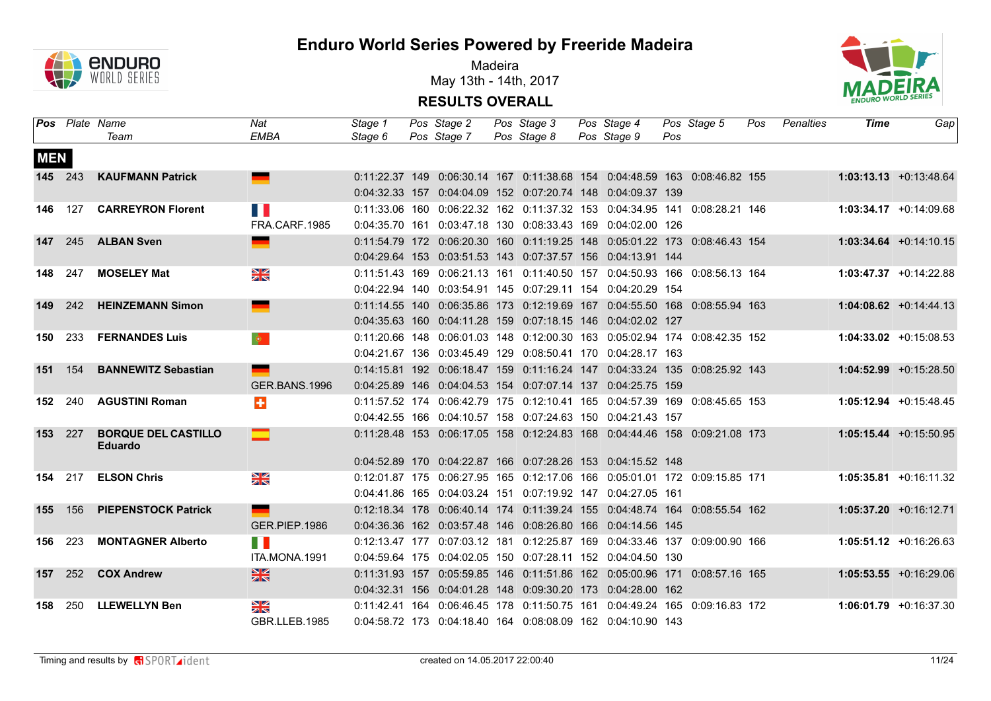

Madeira May 13th - 14th, 2017



|            |         | <b>Pos</b> Plate Name<br>Team                | Nat<br><b>EMBA</b> | Stage 1<br>Stage 6 | Pos Stage 2<br>Pos Stage 7 | Pos Stage 3<br>Pos Stage 8 | Pos Stage 4<br>Pos Stage 9                                                 | Pos | Pos Stage 5 | Pos | Penalties | Time | Gap                       |
|------------|---------|----------------------------------------------|--------------------|--------------------|----------------------------|----------------------------|----------------------------------------------------------------------------|-----|-------------|-----|-----------|------|---------------------------|
| <b>MEN</b> |         |                                              |                    |                    |                            |                            |                                                                            |     |             |     |           |      |                           |
|            | 145 243 | <b>KAUFMANN Patrick</b>                      | ▀                  |                    |                            |                            | 0:11:22.37 149 0:06:30.14 167 0:11:38.68 154 0:04:48.59 163 0:08:46.82 155 |     |             |     |           |      | $1:03:13.13 + 0:13:48.64$ |
|            |         |                                              |                    |                    |                            |                            | 0:04:32.33 157 0:04:04.09 152 0:07:20.74 148 0:04:09.37 139                |     |             |     |           |      |                           |
|            | 146 127 | <b>CARREYRON Florent</b>                     | T B                |                    |                            |                            | 0:11:33.06 160 0:06:22.32 162 0:11:37.32 153 0:04:34.95 141 0:08:28.21 146 |     |             |     |           |      | $1:03:34.17 + 0:14:09.68$ |
|            |         |                                              | FRA.CARF.1985      |                    |                            |                            | 0:04:35.70 161 0:03:47.18 130 0:08:33.43 169 0:04:02.00 126                |     |             |     |           |      |                           |
|            |         | 147 245 ALBAN Sven                           | ш.                 |                    |                            |                            | 0:11:54.79 172 0:06:20.30 160 0:11:19.25 148 0:05:01.22 173 0:08:46.43 154 |     |             |     |           |      | $1:03:34.64 + 0:14:10.15$ |
|            |         |                                              |                    |                    |                            |                            | 0:04:29.64 153 0:03:51.53 143 0:07:37.57 156 0:04:13.91 144                |     |             |     |           |      |                           |
|            | 148 247 | <b>MOSELEY Mat</b>                           | $\frac{N}{N}$      |                    |                            |                            | 0:11:51.43 169 0:06:21.13 161 0:11:40.50 157 0:04:50.93 166 0:08:56.13 164 |     |             |     |           |      | $1:03:47.37 +0:14:22.88$  |
|            |         |                                              |                    |                    |                            |                            | 0:04:22.94 140 0:03:54.91 145 0:07:29.11 154 0:04:20.29 154                |     |             |     |           |      |                           |
|            | 149 242 | <b>HEINZEMANN Simon</b>                      | ▀                  |                    |                            |                            | 0:11:14.55 140 0:06:35.86 173 0:12:19.69 167 0:04:55.50 168 0:08:55.94 163 |     |             |     |           |      | $1:04:08.62 +0:14:44.13$  |
|            |         |                                              |                    |                    |                            |                            | 0:04:35.63 160 0:04:11.28 159 0:07:18.15 146 0:04:02.02 127                |     |             |     |           |      |                           |
|            | 150 233 | <b>FERNANDES Luis</b>                        | $\bullet$          |                    |                            |                            | 0:11:20.66 148 0:06:01.03 148 0:12:00.30 163 0:05:02.94 174 0:08:42.35 152 |     |             |     |           |      | $1:04:33.02 +0:15:08.53$  |
|            |         |                                              |                    |                    |                            |                            | 0:04:21.67 136 0:03:45.49 129 0:08:50.41 170 0:04:28.17 163                |     |             |     |           |      |                           |
|            | 151 154 | <b>BANNEWITZ Sebastian</b>                   | <b>College</b>     |                    |                            |                            | 0:14:15.81 192 0:06:18.47 159 0:11:16.24 147 0:04:33.24 135 0:08:25.92 143 |     |             |     |           |      | $1:04:52.99$ +0:15:28.50  |
|            |         |                                              | GER.BANS.1996      |                    |                            |                            | 0:04:25.89 146 0:04:04.53 154 0:07:07.14 137 0:04:25.75 159                |     |             |     |           |      |                           |
|            |         | 152 240 AGUSTINI Roman                       | $\ddot{}$          |                    |                            |                            | 0:11:57.52 174 0:06:42.79 175 0:12:10.41 165 0:04:57.39 169 0:08:45.65 153 |     |             |     |           |      | $1:05:12.94 +0:15:48.45$  |
|            |         |                                              |                    |                    |                            |                            | 0:04:42.55 166 0:04:10.57 158 0:07:24.63 150 0:04:21.43 157                |     |             |     |           |      |                           |
|            | 153 227 | <b>BORQUE DEL CASTILLO</b><br><b>Eduardo</b> | ⊏                  |                    |                            |                            | 0:11:28.48 153 0:06:17.05 158 0:12:24.83 168 0:04:44.46 158 0:09:21.08 173 |     |             |     |           |      | $1:05:15.44 +0:15:50.95$  |
|            |         |                                              |                    |                    |                            |                            | 0:04:52.89 170 0:04:22.87 166 0:07:28.26 153 0:04:15.52 148                |     |             |     |           |      |                           |
|            |         | 154 217 ELSON Chris                          | $\frac{N}{N}$      |                    |                            |                            | 0:12:01.87 175 0:06:27.95 165 0:12:17.06 166 0:05:01.01 172 0:09:15.85 171 |     |             |     |           |      | $1:05:35.81 + 0:16:11.32$ |
|            |         |                                              |                    |                    |                            |                            | 0:04:41.86 165 0:04:03.24 151 0:07:19.92 147 0:04:27.05 161                |     |             |     |           |      |                           |
|            | 155 156 | <b>PIEPENSTOCK Patrick</b>                   | $\blacksquare$     |                    |                            |                            | 0:12:18.34 178 0:06:40.14 174 0:11:39.24 155 0:04:48.74 164 0:08:55.54 162 |     |             |     |           |      | 1:05:37.20 +0:16:12.71    |
|            |         |                                              | GER.PIEP.1986      |                    |                            |                            | 0:04:36.36 162 0:03:57.48 146 0:08:26.80 166 0:04:14.56 145                |     |             |     |           |      |                           |
|            | 156 223 | <b>MONTAGNER Alberto</b>                     | H.                 |                    |                            |                            | 0:12:13.47 177 0:07:03.12 181 0:12:25.87 169 0:04:33.46 137 0:09:00.90 166 |     |             |     |           |      | $1:05:51.12 +0:16:26.63$  |
|            |         |                                              | ITA.MONA.1991      |                    |                            |                            | 0:04:59.64 175 0:04:02.05 150 0:07:28.11 152 0:04:04.50 130                |     |             |     |           |      |                           |
|            |         | 157 252 COX Andrew                           | $\frac{N}{N}$      |                    |                            |                            | 0:11:31.93 157 0:05:59.85 146 0:11:51.86 162 0:05:00.96 171 0:08:57.16 165 |     |             |     |           |      | $1:05:53.55 + 0:16:29.06$ |
|            |         |                                              |                    |                    |                            |                            | 0:04:32.31 156 0:04:01.28 148 0:09:30.20 173 0:04:28.00 162                |     |             |     |           |      |                           |
| 158        | 250     | <b>LLEWELLYN Ben</b>                         | NK<br>ZK           |                    |                            |                            | 0:11:42.41 164 0:06:46.45 178 0:11:50.75 161 0:04:49.24 165 0:09:16.83 172 |     |             |     |           |      | $1:06:01.79 +0:16:37.30$  |
|            |         |                                              | GBR.LLEB.1985      |                    |                            |                            | 0:04:58.72 173 0:04:18.40 164 0:08:08.09 162 0:04:10.90 143                |     |             |     |           |      |                           |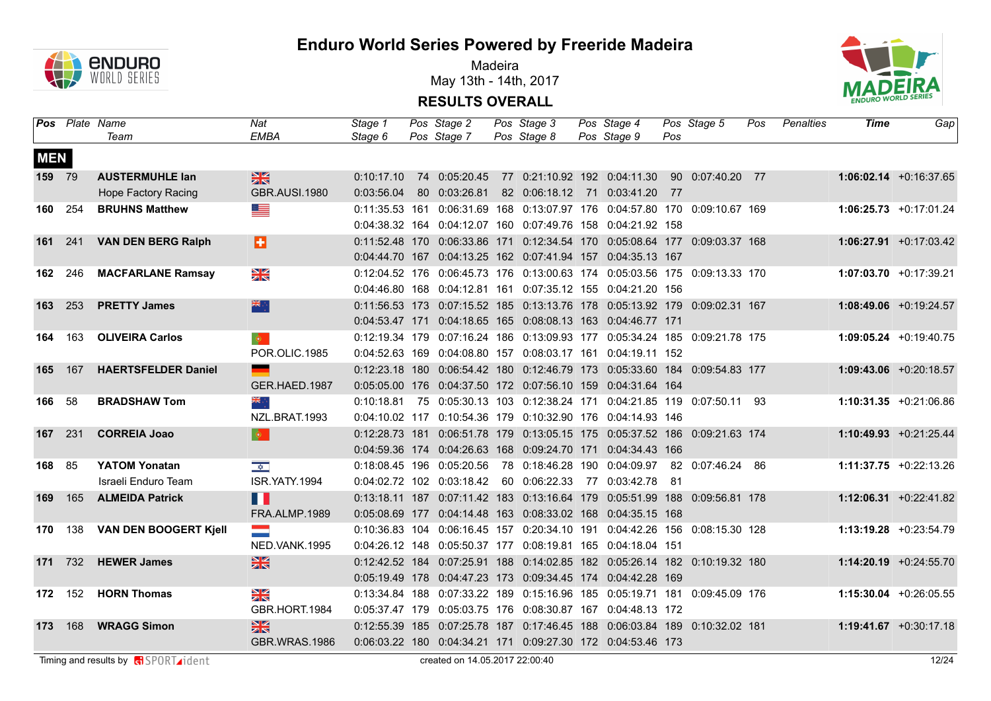

Madeira May 13th - 14th, 2017



|                |                | <b>Pos</b> Plate Name<br>Team | Nat<br><b>EMBA</b>      | Stage 1<br>Stage 6 | Pos Stage 2<br>Pos Stage 7 | Pos Stage 3<br>Pos Stage 8 | Pos Stage 4<br>Pos Stage 9                                                         | Pos | Pos Stage 5 | Pos | Penalties | Time | Gap                       |
|----------------|----------------|-------------------------------|-------------------------|--------------------|----------------------------|----------------------------|------------------------------------------------------------------------------------|-----|-------------|-----|-----------|------|---------------------------|
| <b>MEN</b>     |                |                               |                         |                    |                            |                            |                                                                                    |     |             |     |           |      |                           |
| <b>159</b> 79  |                | <b>AUSTERMUHLE lan</b>        | $\frac{N}{N}$           | 0:10:17.10         |                            |                            | 77  0:21:10.92  192  0:04:11.30  90  0:07:40.20  77                                |     |             |     |           |      | $1:06:02.14$ +0:16:37.65  |
|                |                | <b>Hope Factory Racing</b>    | <b>GBR.AUSI.1980</b>    | 0:03:56.04         | 80 0:03:26.81              |                            | 82 0:06:18.12 71 0:03:41.20 77                                                     |     |             |     |           |      |                           |
| 160 254        |                | <b>BRUHNS Matthew</b>         |                         |                    |                            |                            | 0:11:35.53 161 0:06:31.69 168 0:13:07.97 176 0:04:57.80 170 0:09:10.67 169         |     |             |     |           |      | $1:06:25.73 +0:17:01.24$  |
|                |                |                               |                         |                    |                            |                            | 0:04:38.32 164 0:04:12.07 160 0:07:49.76 158 0:04:21.92 158                        |     |             |     |           |      |                           |
|                |                | 161 241 VAN DEN BERG Ralph    | a                       |                    |                            |                            | 0:11:52.48 170 0:06:33.86 171 0:12:34.54 170 0:05:08.64 177 0:09:03.37 168         |     |             |     |           |      | $1:06:27.91 +0:17:03.42$  |
|                |                |                               |                         |                    |                            |                            | 0:04:44.70 167 0:04:13.25 162 0:07:41.94 157 0:04:35.13 167                        |     |             |     |           |      |                           |
|                | <b>162</b> 246 | <b>MACFARLANE Ramsay</b>      | N<br>X                  |                    |                            |                            | 0:12:04.52 176 0:06:45.73 176 0:13:00.63 174 0:05:03.56 175 0:09:13.33 170         |     |             |     |           |      | $1:07:03.70 +0:17:39.21$  |
|                |                |                               |                         |                    |                            |                            | 0:04:46.80 168 0:04:12.81 161 0:07:35.12 155 0:04:21.20 156                        |     |             |     |           |      |                           |
| 163 253        |                | <b>PRETTY James</b>           | 米亭                      |                    |                            |                            | 0:11:56.53 173 0:07:15.52 185 0:13:13.76 178 0:05:13.92 179 0:09:02.31 167         |     |             |     |           |      | $1:08:49.06$ +0:19:24.57  |
|                |                |                               |                         |                    |                            |                            | 0:04:53.47 171 0:04:18.65 165 0:08:08.13 163 0:04:46.77 171                        |     |             |     |           |      |                           |
|                | 164 163        | <b>OLIVEIRA Carlos</b>        | $\bullet$               |                    |                            |                            | 0:12:19.34 179 0:07:16.24 186 0:13:09.93 177 0:05:34.24 185 0:09:21.78 175         |     |             |     |           |      | $1:09:05.24 +0:19:40.75$  |
|                |                |                               | POR.OLIC.1985           |                    |                            |                            | 0:04:52.63 169 0:04:08.80 157 0:08:03.17 161 0:04:19.11 152                        |     |             |     |           |      |                           |
| <b>165</b> 167 |                | <b>HAERTSFELDER Daniel</b>    | <u>e a</u>              |                    |                            |                            | 0:12:23.18 180  0:06:54.42 180  0:12:46.79  173  0:05:33.60  184  0:09:54.83  177  |     |             |     |           |      | $1:09:43.06$ +0:20:18.57  |
|                |                |                               | GER.HAED.1987           |                    |                            |                            | 0:05:05.00 176 0:04:37.50 172 0:07:56.10 159 0:04:31.64 164                        |     |             |     |           |      |                           |
| 166 58         |                | <b>BRADSHAW Tom</b>           | ं श्रेह                 | 0:10:18.81         |                            |                            | 75  0:05:30.13  103  0:12:38.24  171  0:04:21.85  119  0:07:50.11  93              |     |             |     |           |      | $1:10:31.35 + 0:21:06.86$ |
|                |                |                               | NZL.BRAT.1993           |                    |                            |                            | 0:04:10.02 117 0:10:54.36 179 0:10:32.90 176 0:04:14.93 146                        |     |             |     |           |      |                           |
| 167 231        |                | <b>CORREIA Joao</b>           | $\bullet$               |                    |                            |                            | 0:12:28.73 181 0:06:51.78 179 0:13:05.15 175 0:05:37.52 186 0:09:21.63 174         |     |             |     |           |      | 1:10:49.93 +0:21:25.44    |
|                |                |                               |                         |                    |                            |                            | 0:04:59.36 174 0:04:26.63 168 0:09:24.70 171 0:04:34.43 166                        |     |             |     |           |      |                           |
| 168 85         |                | <b>YATOM Yonatan</b>          | $\frac{1}{\sqrt{2}}$    |                    | 0:18:08.45 196 0:05:20.56  |                            | 78  0:18:46.28  190  0:04:09.97  82  0:07:46.24  86                                |     |             |     |           |      | 1:11:37.75 +0:22:13.26    |
|                |                | Israeli Enduro Team           | ISR.YATY.1994           |                    | 0:04:02.72 102 0:03:18.42  |                            | 60  0:06:22.33  77  0:03:42.78  81                                                 |     |             |     |           |      |                           |
| 169            | 165            | <b>ALMEIDA Patrick</b>        | H                       |                    |                            |                            | 0:13:18.11 187  0:07:11.42  183  0:13:16.64  179  0:05:51.99  188  0:09:56.81  178 |     |             |     |           |      | $1:12:06.31 + 0:22:41.82$ |
|                |                |                               | FRA.ALMP.1989           |                    |                            |                            | 0:05:08.69 177 0:04:14.48 163 0:08:33.02 168 0:04:35.15 168                        |     |             |     |           |      |                           |
|                |                | 170 138 VAN DEN BOOGERT Kjell | $\equiv$                |                    |                            |                            | 0:10:36.83 104 0:06:16.45 157 0:20:34.10 191 0:04:42.26 156 0:08:15.30 128         |     |             |     |           |      | 1:13:19.28 +0:23:54.79    |
|                |                |                               | NED.VANK.1995           |                    |                            |                            | 0:04:26.12 148 0:05:50.37 177 0:08:19.81 165 0:04:18.04 151                        |     |             |     |           |      |                           |
|                | 171 732        | <b>HEWER James</b>            | $\frac{N}{N}$           |                    |                            |                            | 0:12:42.52 184 0:07:25.91 188 0:14:02.85 182 0:05:26.14 182 0:10:19.32 180         |     |             |     |           |      | 1:14:20.19 +0:24:55.70    |
|                |                |                               |                         |                    |                            |                            | 0:05:19.49 178 0:04:47.23 173 0:09:34.45 174 0:04:42.28 169                        |     |             |     |           |      |                           |
|                |                | 172 152 HORN Thomas           | $\frac{\sum x}{\sum x}$ |                    |                            |                            | 0:13:34.84 188 0:07:33.22 189 0:15:16.96 185 0:05:19.71 181 0:09:45.09 176         |     |             |     |           |      | $1:15:30.04$ +0:26:05.55  |
|                |                |                               | GBR.HORT.1984           |                    |                            |                            | 0:05:37.47 179 0:05:03.75 176 0:08:30.87 167 0:04:48.13 172                        |     |             |     |           |      |                           |
|                | 173 168        | <b>WRAGG Simon</b>            | $\frac{N}{N}$           |                    |                            |                            | 0:12:55.39 185 0:07:25.78 187 0:17:46.45 188 0:06:03.84 189 0:10:32.02 181         |     |             |     |           |      | $1:19:41.67 + 0:30:17.18$ |
|                |                |                               | <b>GBR.WRAS.1986</b>    |                    |                            |                            | 0:06:03.22 180 0:04:34.21 171 0:09:27.30 172 0:04:53.46 173                        |     |             |     |           |      |                           |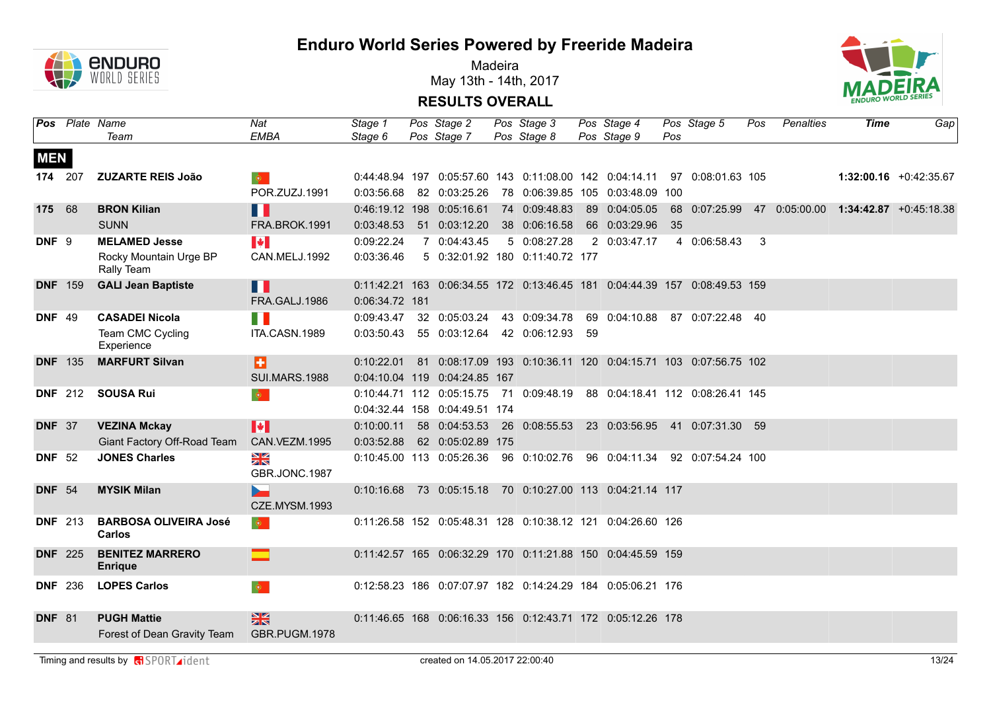

Madeira May 13th - 14th, 2017



**RESULTS OVERALL**

|                  |                | Pos Plate Name<br>Team                            | Nat<br><b>EMBA</b>             | Stage 1<br>Stage 6 | Pos Stage 2<br>Pos Stage 7    | Pos Stage 3<br>Pos Stage 8                                                 |     | Pos Stage 4<br>Pos Stage 9       | Pos | Pos Stage 5       | Pos | Penalties | Time | Gap                                                                     |
|------------------|----------------|---------------------------------------------------|--------------------------------|--------------------|-------------------------------|----------------------------------------------------------------------------|-----|----------------------------------|-----|-------------------|-----|-----------|------|-------------------------------------------------------------------------|
| <b>MEN</b>       |                |                                                   |                                |                    |                               |                                                                            |     |                                  |     |                   |     |           |      |                                                                         |
|                  | 174 207        | <b>ZUZARTE REIS João</b>                          | $\bullet$                      |                    |                               | 0:44:48.94 197 0:05:57.60 143 0:11:08.00 142 0:04:14.11 97 0:08:01.63 105  |     |                                  |     |                   |     |           |      | $1:32:00.16$ +0:42:35.67                                                |
|                  |                |                                                   | POR.ZUZJ.1991                  | 0:03:56.68         | 82 0:03:25.26                 | 78  0:06:39.85  105  0:03:48.09  100                                       |     |                                  |     |                   |     |           |      |                                                                         |
| 175 68           |                | <b>BRON Kilian</b>                                | H I                            |                    | 0:46:19.12 198 0:05:16.61     | 74 0:09:48.83                                                              |     |                                  |     |                   |     |           |      | 89  0:04:05.05  68  0:07:25.99  47  0:05:00.00  1:34:42.87  +0:45:18.38 |
|                  |                | <b>SUNN</b>                                       | FRA.BROK.1991                  | 0:03:48.53         | 51 0:03:12.20                 | 38 0:06:16.58                                                              |     | 66 0:03:29.96                    | 35  |                   |     |           |      |                                                                         |
| DNF <sub>9</sub> |                | <b>MELAMED Jesse</b>                              | $\blacktriangleright$          | 0:09:22.24         | 7 0:04:43.45                  | 5 0:08:27.28                                                               |     | 2 0:03:47.17                     |     | 4 0:06:58.43      | -3  |           |      |                                                                         |
|                  |                | Rocky Mountain Urge BP<br>Rally Team              | CAN.MELJ.1992                  | 0:03:36.46         |                               | 5 0:32:01.92 180 0:11:40.72 177                                            |     |                                  |     |                   |     |           |      |                                                                         |
| <b>DNF</b> 159   |                | <b>GALI Jean Baptiste</b>                         | H                              |                    |                               | 0:11:42.21 163 0:06:34.55 172 0:13:46.45 181 0:04:44.39 157 0:08:49.53 159 |     |                                  |     |                   |     |           |      |                                                                         |
|                  |                |                                                   | FRA.GALJ.1986                  | 0:06:34.72 181     |                               |                                                                            |     |                                  |     |                   |     |           |      |                                                                         |
| <b>DNF 49</b>    |                | <b>CASADEI Nicola</b>                             | H                              | 0:09:43.47         | 32 0:05:03.24                 | 43 0:09:34.78                                                              |     | 69 0:04:10.88                    |     | 87 0:07:22.48 40  |     |           |      |                                                                         |
|                  |                | Team CMC Cycling<br>Experience                    | ITA.CASN.1989                  |                    | 0:03:50.43  55  0:03:12.64    | 42 0:06:12.93                                                              | -59 |                                  |     |                   |     |           |      |                                                                         |
| <b>DNF</b> 135   |                | <b>MARFURT Silvan</b>                             | a                              | 0:10:22.01         |                               | 81  0:08:17.09  193  0:10:36.11  120  0:04:15.71  103  0:07:56.75  102     |     |                                  |     |                   |     |           |      |                                                                         |
|                  |                |                                                   | <b>SUI.MARS.1988</b>           |                    | 0:04:10.04 119 0:04:24.85 167 |                                                                            |     |                                  |     |                   |     |           |      |                                                                         |
|                  | <b>DNF</b> 212 | <b>SOUSA Rui</b>                                  | $\bullet$                      |                    | 0:10:44.71 112 0:05:15.75     | 71 0:09:48.19                                                              |     | 88 0:04:18.41 112 0:08:26.41 145 |     |                   |     |           |      |                                                                         |
|                  |                |                                                   |                                |                    | 0:04:32.44 158 0:04:49.51 174 |                                                                            |     |                                  |     |                   |     |           |      |                                                                         |
| <b>DNF 37</b>    |                | <b>VEZINA Mckay</b>                               | H                              | 0:10:00.11         | 58 0:04:53.53                 | 26  0:08:55.53  23  0:03:56.95  41  0:07:31.30  59                         |     |                                  |     |                   |     |           |      |                                                                         |
|                  |                | Giant Factory Off-Road Team                       | CAN.VEZM.1995                  | 0:03:52.88         | 62 0:05:02.89 175             |                                                                            |     |                                  |     |                   |     |           |      |                                                                         |
| <b>DNF 52</b>    |                | <b>JONES Charles</b>                              | $\frac{N}{N}$<br>GBR.JONC.1987 |                    |                               | 0:10:45.00 113 0:05:26.36 96 0:10:02.76 96 0:04:11.34                      |     |                                  |     | 92 0:07:54.24 100 |     |           |      |                                                                         |
| <b>DNF</b> 54    |                | <b>MYSIK Milan</b>                                |                                |                    |                               | 0:10:16.68 73 0:05:15.18 70 0:10:27.00 113 0:04:21.14 117                  |     |                                  |     |                   |     |           |      |                                                                         |
|                  |                |                                                   | CZE.MYSM.1993                  |                    |                               |                                                                            |     |                                  |     |                   |     |           |      |                                                                         |
| <b>DNF</b> 213   |                | <b>BARBOSA OLIVEIRA José</b><br>Carlos            | $\langle \mathbf{0} \rangle$   |                    |                               | 0:11:26.58 152 0:05:48.31 128 0:10:38.12 121 0:04:26.60 126                |     |                                  |     |                   |     |           |      |                                                                         |
| <b>DNF 225</b>   |                | <b>BENITEZ MARRERO</b><br><b>Enrique</b>          |                                |                    |                               | 0:11:42.57 165 0:06:32.29 170 0:11:21.88 150 0:04:45.59 159                |     |                                  |     |                   |     |           |      |                                                                         |
| <b>DNF</b> 236   |                | <b>LOPES Carlos</b>                               | $\langle \bullet \rangle$      |                    |                               | 0:12:58.23 186 0:07:07.97 182 0:14:24.29 184 0:05:06.21 176                |     |                                  |     |                   |     |           |      |                                                                         |
| <b>DNF 81</b>    |                | <b>PUGH Mattie</b><br>Forest of Dean Gravity Team | 噐<br>GBR.PUGM.1978             |                    |                               | 0:11:46.65 168 0:06:16.33 156 0:12:43.71 172 0:05:12.26 178                |     |                                  |     |                   |     |           |      |                                                                         |

Timing and results by **c**ondent and results by **condential created on 14.05.2017** 22:00:40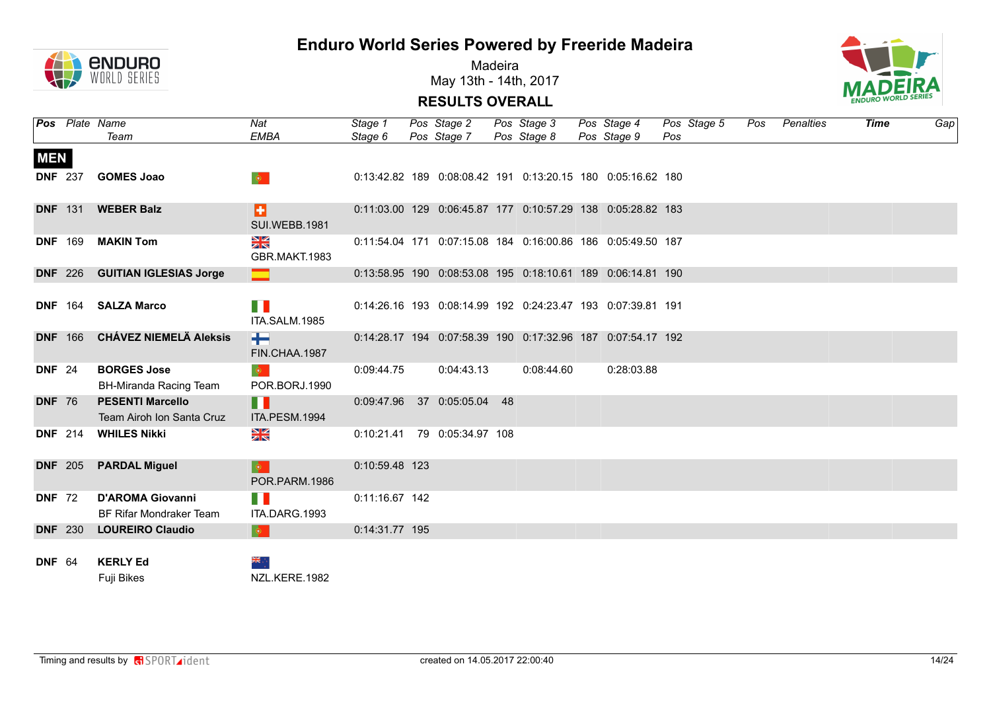



Madeira May 13th - 14th, 2017



|               |                | <b>Pos</b> Plate Name                                | Nat                                              | Stage 1        | Pos Stage 2                                                 | Pos Stage 3 | Pos Stage 4 | Pos Stage 5 | Pos | Penalties | Time | Gap |
|---------------|----------------|------------------------------------------------------|--------------------------------------------------|----------------|-------------------------------------------------------------|-------------|-------------|-------------|-----|-----------|------|-----|
|               |                | Team                                                 | <b>EMBA</b>                                      | Stage 6        | Pos Stage 7                                                 | Pos Stage 8 | Pos Stage 9 | Pos         |     |           |      |     |
| <b>MEN</b>    |                |                                                      |                                                  |                |                                                             |             |             |             |     |           |      |     |
|               | <b>DNF 237</b> | <b>GOMES Joao</b>                                    | $\langle \mathbf{Q} \rangle$ .                   |                | 0:13:42.82 189 0:08:08.42 191 0:13:20.15 180 0:05:16.62 180 |             |             |             |     |           |      |     |
|               | <b>DNF</b> 131 | <b>WEBER Balz</b>                                    | E<br><b>SUI.WEBB.1981</b>                        |                | 0:11:03.00 129 0:06:45.87 177 0:10:57.29 138 0:05:28.82 183 |             |             |             |     |           |      |     |
|               | <b>DNF</b> 169 | <b>MAKIN Tom</b>                                     | $\frac{N}{N}$<br>GBR.MAKT.1983                   |                | 0:11:54.04 171 0:07:15.08 184 0:16:00.86 186 0:05:49.50 187 |             |             |             |     |           |      |     |
|               |                | DNF 226 GUITIAN IGLESIAS Jorge                       |                                                  |                | 0:13:58.95 190 0:08:53.08 195 0:18:10.61 189 0:06:14.81 190 |             |             |             |     |           |      |     |
|               |                |                                                      |                                                  |                |                                                             |             |             |             |     |           |      |     |
|               |                | DNF 164 SALZA Marco                                  | n n<br>ITA.SALM.1985                             |                | 0:14:26.16 193 0:08:14.99 192 0:24:23.47 193 0:07:39.81 191 |             |             |             |     |           |      |     |
|               |                | DNF 166 CHÁVEZ NIEMELÄ Aleksis                       | ÷<br>FIN.CHAA.1987                               |                | 0:14:28.17 194 0:07:58.39 190 0:17:32.96 187 0:07:54.17 192 |             |             |             |     |           |      |     |
| <b>DNF 24</b> |                | <b>BORGES Jose</b><br>BH-Miranda Racing Team         | $\langle \mathbf{\Phi} \rangle$<br>POR.BORJ.1990 | 0:09:44.75     | 0:04:43.13                                                  | 0:08:44.60  | 0:28:03.88  |             |     |           |      |     |
| <b>DNF 76</b> |                | <b>PESENTI Marcello</b><br>Team Airoh Ion Santa Cruz | . .<br>ITA.PESM.1994                             |                | 0:09:47.96 37 0:05:05.04 48                                 |             |             |             |     |           |      |     |
|               |                | DNF 214 WHILES Nikki                                 | $\frac{\sum x}{\sum x}$                          |                | 0:10:21.41 79 0:05:34.97 108                                |             |             |             |     |           |      |     |
|               | <b>DNF</b> 205 | <b>PARDAL Miguel</b>                                 | $\mid \bullet \mid$<br>POR.PARM.1986             | 0:10:59.48 123 |                                                             |             |             |             |     |           |      |     |
| <b>DNF 72</b> |                | <b>D'AROMA Giovanni</b><br>BF Rifar Mondraker Team   | <b>TABLE</b><br>ITA.DARG.1993                    | 0:11:16.67 142 |                                                             |             |             |             |     |           |      |     |
|               | <b>DNF</b> 230 | <b>LOUREIRO Claudio</b>                              | $\bullet$                                        | 0:14:31.77 195 |                                                             |             |             |             |     |           |      |     |
|               |                |                                                      |                                                  |                |                                                             |             |             |             |     |           |      |     |
| <b>DNF 64</b> |                | <b>KERLY Ed</b><br><b>Fuji Bikes</b>                 | 养生<br>NZL.KERE.1982                              |                |                                                             |             |             |             |     |           |      |     |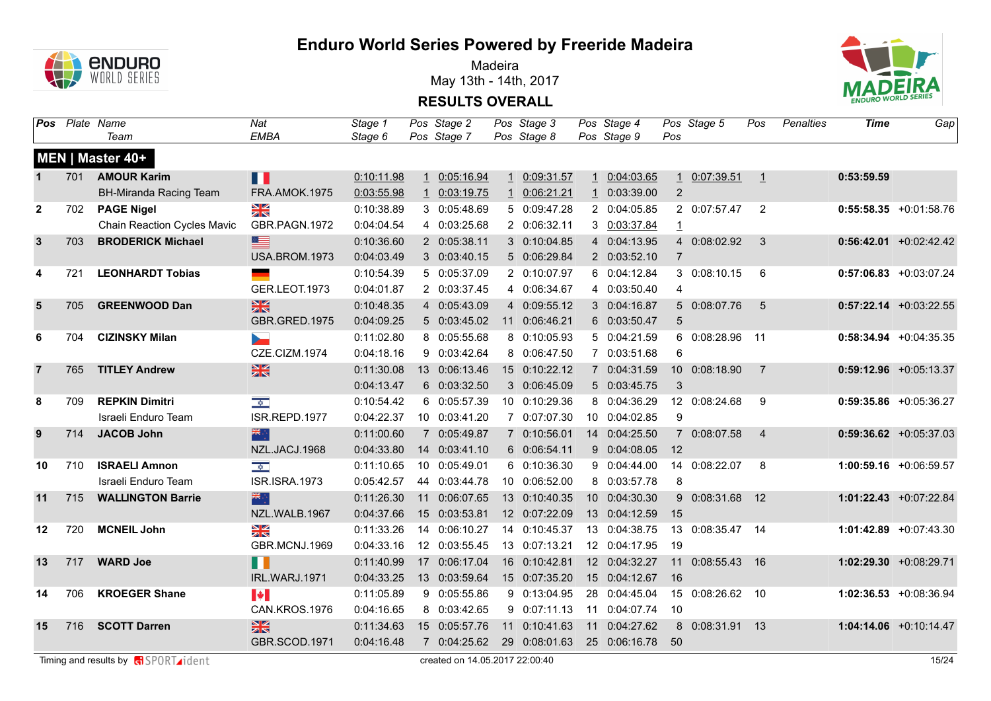

Madeira May 13th - 14th, 2017



**RESULTS OVERALL**

|                | <b>Pos</b> Plate Name | Team                               | Nat<br><b>EMBA</b>    | Stage 1<br>Stage 6 | Pos Stage 2<br>Pos Stage 7 | Pos Stage 3<br>Pos Stage 8 |              | Pos Stage 4<br>Pos Stage 9 | Pos            | Pos Stage 5      | Pos            | Penalties | Time       | Gap                       |
|----------------|-----------------------|------------------------------------|-----------------------|--------------------|----------------------------|----------------------------|--------------|----------------------------|----------------|------------------|----------------|-----------|------------|---------------------------|
|                |                       | MEN   Master 40+                   |                       |                    |                            |                            |              |                            |                |                  |                |           |            |                           |
| $\mathbf{1}$   | 701                   | <b>AMOUR Karim</b>                 | Ш                     | 0:10:11.98         | 1 0:05:16.94               | 1 0:09:31.57               | $\mathbf{1}$ | 0:04:03.65                 |                | 1 0:07:39.51     | $\perp$        |           | 0:53:59.59 |                           |
|                |                       | <b>BH-Miranda Racing Team</b>      | FRA.AMOK.1975         | 0:03:55.98         | 1 0:03:19.75               | 1 0:06:21.21               |              | 1 0:03:39.00               | $\overline{2}$ |                  |                |           |            |                           |
| $\mathbf{2}$   | 702                   | <b>PAGE Nigel</b>                  | $\frac{N}{N}$         | 0:10:38.89         | 3 0:05:48.69               | 5 0:09:47.28               |              | 2 0:04:05.85               |                | 2 0:07:57.47     | 2              |           |            | $0:55:58.35 + 0:01:58.76$ |
|                |                       | <b>Chain Reaction Cycles Mavic</b> | GBR.PAGN.1972         | 0:04:04.54         | 4 0:03:25.68               | 2 0:06:32.11               |              | 3 0:03:37.84               | $\mathbf{1}$   |                  |                |           |            |                           |
| $\mathbf{3}$   | 703                   | <b>BRODERICK Michael</b>           | ≣                     | 0:10:36.60         | 2 0:05:38.11               | 3 0:10:04.85               |              | 4 0:04:13.95               |                | 4 0:08:02.92     | 3              |           |            | $0:56:42.01$ +0:02:42.42  |
|                |                       |                                    | USA.BROM.1973         | 0:04:03.49         | 3 0:03:40.15               | 5 0:06:29.84               |              | 2 0:03:52.10               | $\overline{7}$ |                  |                |           |            |                           |
| 4              | 721                   | <b>LEONHARDT Tobias</b>            |                       | 0:10:54.39         | 5 0:05:37.09               | 2 0:10:07.97               |              | 6 0:04:12.84               |                | 3 0:08:10.15     | 6              |           |            | $0:57:06.83$ +0:03:07.24  |
|                |                       |                                    | GER.LEOT.1973         | 0:04:01.87         | 2 0:03:37.45               | 4 0:06:34.67               |              | 4 0:03:50.40               | 4              |                  |                |           |            |                           |
| $5\phantom{1}$ | 705                   | <b>GREENWOOD Dan</b>               | $\frac{N}{N}$         | 0:10:48.35         | 4 0:05:43.09               | 4 0:09:55.12               |              | 3 0:04:16.87               |                | 5 0:08:07.76     | 5              |           |            | $0:57:22.14$ +0:03:22.55  |
|                |                       |                                    | GBR.GRED.1975         | 0:04:09.25         | 5 0:03:45.02               | 11 0:06:46.21              |              | 6 0:03:50.47               | $\overline{5}$ |                  |                |           |            |                           |
| 6              | 704                   | <b>CIZINSKY Milan</b>              | <b>Septiment</b>      | 0:11:02.80         | 8 0:05:55.68               | 8 0:10:05.93               |              | 5 0:04:21.59               |                | 6 0:08:28.96     | 11             |           |            | $0:58:34.94 +0:04:35.35$  |
|                |                       |                                    | CZE.CIZM.1974         | 0:04:18.16         | 9 0:03:42.64               | 8 0:06:47.50               |              | 7 0:03:51.68               | 6              |                  |                |           |            |                           |
| $\overline{7}$ | 765                   | <b>TITLEY Andrew</b>               | 黑                     | 0:11:30.08         | 13 0:06:13.46              | 15 0:10:22.12              |              | 7 0:04:31.59               |                | 10 0:08:18.90    | 7              |           |            | $0:59:12.96$ +0:05:13.37  |
|                |                       |                                    |                       | 0:04:13.47         | 6 0:03:32.50               | 3 0:06:45.09               |              | 5 0:03:45.75               | 3              |                  |                |           |            |                           |
| 8              | 709                   | <b>REPKIN Dimitri</b>              | $\frac{1}{\sqrt{2}}$  | 0:10:54.42         | 6 0:05:57.39               | 10 0:10:29.36              |              | 8 0:04:36.29               |                | 12 0:08:24.68    | 9              |           |            | $0:59:35.86$ +0:05:36.27  |
|                |                       | Israeli Enduro Team                | ISR.REPD.1977         | 0:04:22.37         | 10 0:03:41.20              | 7 0:07:07.30               |              | 10 0:04:02.85              | 9              |                  |                |           |            |                           |
| 9              | 714                   | <b>JACOB John</b>                  | 米辛                    | 0:11:00.60         | 7 0:05:49.87               | 7 0:10:56.01               |              | 14 0:04:25.50              |                | 7 0:08:07.58     | $\overline{4}$ |           |            | $0:59:36.62$ +0:05:37.03  |
|                |                       |                                    | NZL.JACJ.1968         | 0:04:33.80         | 14 0:03:41.10              | 6 0:06:54.11               |              | 9 0:04:08.05               | 12             |                  |                |           |            |                           |
| 10             | 710                   | <b>ISRAELI Amnon</b>               | $\frac{1}{\sqrt{2}}$  | 0:11:10.65         | 10 0:05:49.01              | 6 0:10:36.30               |              | 9 0:04:44.00               |                | 14 0:08:22.07    | 8              |           |            | 1:00:59.16 +0:06:59.57    |
|                |                       | Israeli Enduro Team                | <b>ISR.ISRA.1973</b>  | 0:05:42.57         | 44 0:03:44.78              | 10 0:06:52.00              |              | 8 0:03:57.78               | 8              |                  |                |           |            |                           |
| 11             | 715                   | <b>WALLINGTON Barrie</b>           | 深心                    | 0:11:26.30         | 11 0:06:07.65              | 13 0:10:40.35              |              | 10 0:04:30.30              |                | 9 0:08:31.68 12  |                |           |            | $1:01:22.43 +0:07:22.84$  |
|                |                       |                                    | NZL.WALB.1967         | 0:04:37.66         | 15 0:03:53.81              | 12 0:07:22.09              |              | 13 0:04:12.59              | 15             |                  |                |           |            |                           |
| 12             | 720                   | <b>MCNEIL John</b>                 | NK<br>ZK              | 0:11:33.26         | 14 0:06:10.27              | 14 0:10:45.37              |              | 13 0:04:38.75              |                | 13 0:08:35.47 14 |                |           |            | 1:01:42.89 +0:07:43.30    |
|                |                       |                                    | GBR.MCNJ.1969         | 0:04:33.16         | 12 0:03:55.45              | 13 0:07:13.21              |              | 12 0:04:17.95              | 19             |                  |                |           |            |                           |
| 13             | 717                   | <b>WARD Joe</b>                    | ╻╻                    | 0:11:40.99         | 17 0:06:17.04              | 16 0:10:42.81              |              | 12 0:04:32.27              | 11             | 0:08:55.43 16    |                |           |            | 1:02:29.30 +0:08:29.71    |
|                |                       |                                    | IRL.WARJ.1971         | 0:04:33.25         | 13 0:03:59.64              | 15 0:07:35.20              |              | 15 0:04:12.67              | 16             |                  |                |           |            |                           |
| 14             | 706                   | <b>KROEGER Shane</b>               | $\blacktriangleright$ | 0:11:05.89         | 9 0:05:55.86               | 9 0:13:04.95               |              | 28 0:04:45.04              |                | 15 0:08:26.62 10 |                |           |            | $1:02:36.53$ +0:08:36.94  |
|                |                       |                                    | CAN.KROS.1976         | 0:04:16.65         | 8 0:03:42.65               | 9 0:07:11.13               |              | 11 0:04:07.74              | 10             |                  |                |           |            |                           |
| 15             | 716                   | <b>SCOTT Darren</b>                | 黑                     | 0:11:34.63         | 15 0:05:57.76              | 11 0:10:41.63              |              | 11 0:04:27.62              |                | 8 0:08:31.91 13  |                |           |            | $1:04:14.06 + 0:10:14.47$ |
|                |                       |                                    | GBR.SCOD.1971         | 0:04:16.48         | 7 0:04:25.62               | 29 0:08:01.63              |              | 25 0:06:16.78              | 50             |                  |                |           |            |                           |

Timing and results by **c**ontrollering the CHS of the CHS of the CHS of the CHS of the CHS of the CHS of the CHS of the CHS of the CHS of the CHS of the CHS of the CHS of the CHS of the CHS of the CHS of the CHS of the CHS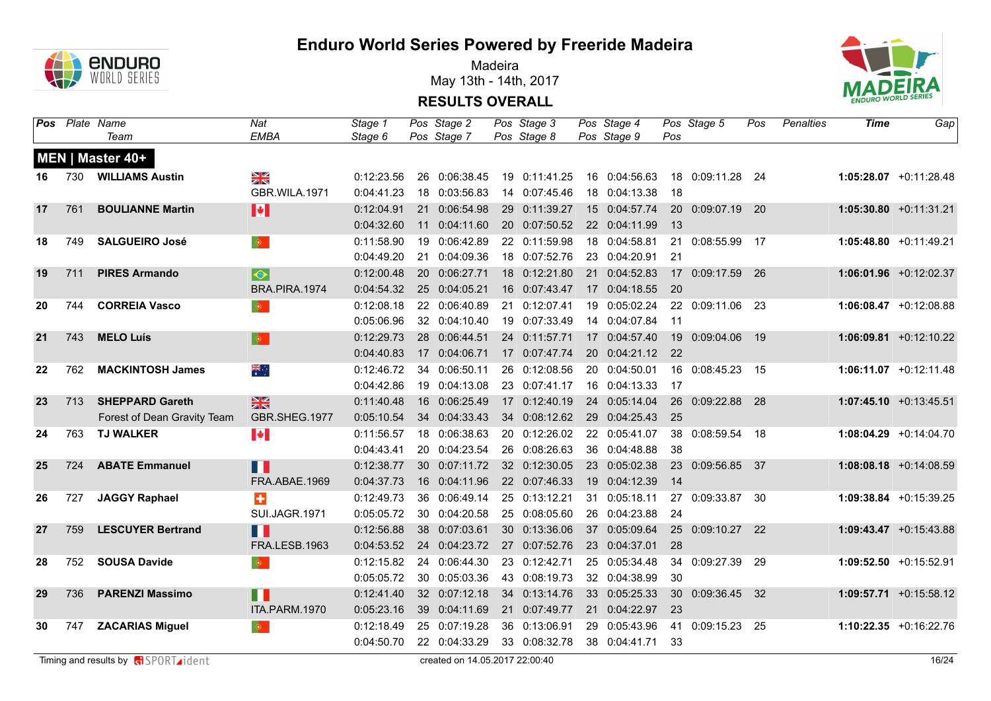

Madeira May 13th - 14th, 2017



|    |     | <b>Pos</b> Plate Name<br>Team | Nat<br><b>EMBA</b>           | Stage 1<br>Stage 6       | Pos Stage 2<br>Pos Stage 7     | Pos Stage 3<br>Pos Stage 8     | Pos Stage 4<br>Pos Stage 9     | Pos             | Pos Stage 5      | Pos | Penalties | Time | Gap                       |
|----|-----|-------------------------------|------------------------------|--------------------------|--------------------------------|--------------------------------|--------------------------------|-----------------|------------------|-----|-----------|------|---------------------------|
|    |     | MEN   Master 40+              |                              |                          |                                |                                |                                |                 |                  |     |           |      |                           |
| 16 | 730 | <b>WILLIAMS Austin</b>        | XK                           | 0:12:23.56               | 26 0:06:38.45                  | 19 0:11:41.25                  | 16 0:04:56.63                  |                 | 18 0:09:11.28 24 |     |           |      | $1:05:28.07$ +0:11:28.48  |
|    |     |                               | GBR.WILA.1971                | 0:04:41.23               | 18 0:03:56.83                  | 14 0:07:45.46                  | 18 0:04:13.38                  | 18              |                  |     |           |      |                           |
| 17 | 761 | <b>BOULIANNE Martin</b>       | H                            | 0:12:04.91               | 21 0:06:54.98                  | 29 0:11:39.27                  | 15 0:04:57.74                  |                 | 20 0:09:07.19 20 |     |           |      | $1:05:30.80 +0:11:31.21$  |
|    |     |                               |                              | 0:04:32.60               | 11 0:04:11.60                  | 20 0:07:50.52                  | 22 0:04:11.99                  | 13              |                  |     |           |      |                           |
| 18 | 749 | <b>SALGUEIRO José</b>         | $\langle \bullet \rangle$    | 0:11:58.90               | 19 0:06:42.89                  | 22 0:11:59.98                  | 18 0:04:58.81                  |                 | 21 0:08:55.99 17 |     |           |      | $1:05:48.80 +0:11:49.21$  |
|    |     |                               |                              | 0:04:49.20               | 21 0:04:09.36                  | 18 0:07:52.76                  | 23 0:04:20.91                  | 21              |                  |     |           |      |                           |
| 19 | 711 | <b>PIRES Armando</b>          | $\overline{\bullet}$         | 0:12:00.48               | 20 0:06:27.71                  | 18 0:12:21.80                  | 21 0:04:52.83                  |                 | 17 0:09:17.59 26 |     |           |      | $1:06:01.96$ +0:12:02.37  |
|    |     |                               | BRA.PIRA.1974                | 0:04:54.32               | 25 0:04:05.21                  | 16 0:07:43.47                  | 17 0:04:18.55                  | $\overline{20}$ |                  |     |           |      |                           |
| 20 | 744 | <b>CORREIA Vasco</b>          | $\langle \mathbf{0} \rangle$ | 0:12:08.18               | 22 0:06:40.89                  | 21 0:12:07.41                  | 19 0:05:02.24                  |                 | 22 0:09:11.06 23 |     |           |      | $1:06:08.47 +0:12:08.88$  |
|    |     |                               |                              | 0:05:06.96               | 32 0:04:10.40                  | 19 0:07:33.49                  | 14 0:04:07.84                  | $-11$           |                  |     |           |      |                           |
| 21 | 743 | <b>MELO Luís</b>              | $\bullet$                    | 0:12:29.73               | 28 0:06:44.51                  | 24 0:11:57.71                  | 17 0:04:57.40                  | 19              | 0:09:04.06 19    |     |           |      | $1:06:09.81 + 0:12:10.22$ |
|    |     |                               |                              | 0:04:40.83               | 17 0:04:06.71                  | 17 0:07:47.74                  | 20 0:04:21.12 22               |                 |                  |     |           |      |                           |
| 22 | 762 | <b>MACKINTOSH James</b>       | ्<br>∗                       | 0:12:46.72               | 34 0:06:50.11                  | 26 0:12:08.56                  | 20 0:04:50.01                  |                 | 16 0:08:45.23 15 |     |           |      | $1:06:11.07 +0:12:11.48$  |
|    |     |                               |                              | 0:04:42.86               | 19 0:04:13.08                  | 23 0:07:41.17                  | 16 0:04:13.33                  | 17              |                  |     |           |      |                           |
| 23 | 713 | <b>SHEPPARD Gareth</b>        | $\frac{N}{N}$                | 0:11:40.48               | 16 0:06:25.49                  | 17 0:12:40.19                  | 24 0:05:14.04                  |                 | 26 0:09:22.88 28 |     |           |      | $1:07:45.10 + 0:13:45.51$ |
|    |     | Forest of Dean Gravity Team   | GBR.SHEG.1977                | 0:05:10.54               | 34 0:04:33.43                  | 34 0:08:12.62                  | 29 0:04:25.43                  | 25              |                  |     |           |      |                           |
| 24 | 763 | <b>TJ WALKER</b>              | $\blacktriangleright$        | 0:11:56.57               | 18 0:06:38.63                  | 20 0:12:26.02                  | 22 0:05:41.07                  |                 | 38 0:08:59.54 18 |     |           |      | $1:08:04.29$ +0:14:04.70  |
|    | 724 | <b>ABATE Emmanuel</b>         |                              | 0:04:43.41<br>0:12:38.77 | 20 0:04:23.54<br>30 0:07:11.72 | 26 0:08:26.63<br>32 0:12:30.05 | 36 0:04:48.88<br>23 0:05:02.38 | 38              | 23 0:09:56.85 37 |     |           |      | $1:08:08.18$ +0:14:08.59  |
| 25 |     |                               | m<br>FRA.ABAE.1969           | 0:04:37.73               | 16 0:04:11.96                  | 22 0:07:46.33                  | 19 0:04:12.39                  | 14              |                  |     |           |      |                           |
| 26 | 727 | <b>JAGGY Raphael</b>          | ÷                            | 0:12:49.73               | 36 0:06:49.14                  | 25 0:13:12.21                  | 31 0:05:18.11                  |                 | 27 0:09:33.87 30 |     |           |      | 1:09:38.84 +0:15:39.25    |
|    |     |                               | <b>SUI.JAGR.1971</b>         | 0:05:05.72               | 30 0:04:20.58                  | 25 0:08:05.60                  | 26 0:04:23.88                  | 24              |                  |     |           |      |                           |
| 27 | 759 | <b>LESCUYER Bertrand</b>      | H                            | 0:12:56.88               | 38 0:07:03.61                  | 30 0:13:36.06                  | 37 0:05:09.64                  |                 | 25 0:09:10.27 22 |     |           |      | $1:09:43.47 +0:15:43.88$  |
|    |     |                               | FRA.LESB.1963                | 0:04:53.52               | 24 0:04:23.72                  | 27 0:07:52.76                  | 23 0:04:37.01                  | 28              |                  |     |           |      |                           |
| 28 | 752 | <b>SOUSA Davide</b>           | $\langle \mathbf{0} \rangle$ | 0:12:15.82               | 24 0:06:44.30                  | 23 0:12:42.71                  | 25 0:05:34.48                  |                 | 34 0:09:27.39 29 |     |           |      | $1:09:52.50 +0:15:52.91$  |
|    |     |                               |                              | 0:05:05.72               | 30 0:05:03.36                  | 43 0:08:19.73                  | 32 0:04:38.99                  | 30              |                  |     |           |      |                           |
| 29 | 736 | <b>PARENZI Massimo</b>        | Ш                            | 0:12:41.40               | 32 0:07:12.18                  | 34 0:13:14.76                  | 33 0:05:25.33                  | 30 <sup>°</sup> | 0:09:36.45 32    |     |           |      | $1:09:57.71 + 0:15:58.12$ |
|    |     |                               | ITA.PARM.1970                | 0:05:23.16               | 39 0:04:11.69                  | 21 0:07:49.77                  | 21 0:04:22.97                  | 23              |                  |     |           |      |                           |
| 30 | 747 | <b>ZACARIAS Miguel</b>        | $\langle \bullet \rangle$    | 0:12:18.49               | 25 0:07:19.28                  | 36 0:13:06.91                  | 29 0:05:43.96                  |                 | 41 0:09:15.23 25 |     |           |      | 1:10:22.35 +0:16:22.76    |
|    |     |                               |                              | 0:04:50.70               | 22 0:04:33.29                  | 33 0:08:32.78                  | 38 0:04:41.71                  | 33              |                  |     |           |      |                           |
|    |     |                               |                              |                          |                                |                                |                                |                 |                  |     |           |      |                           |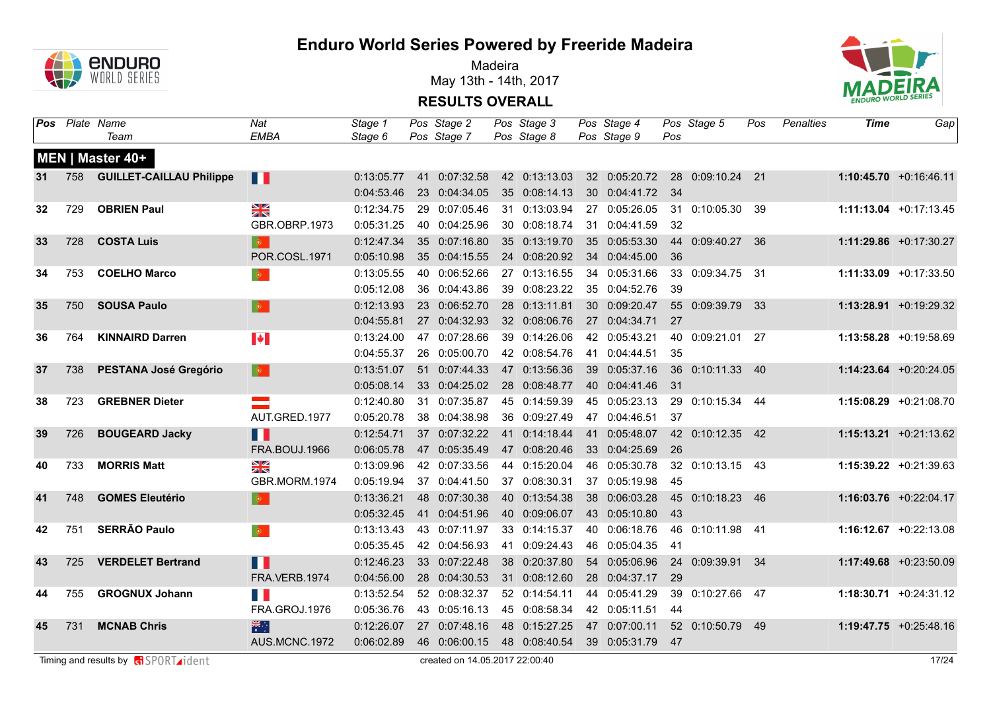

Madeira May 13th - 14th, 2017



|    | <b>Pos</b> Plate Name | Team                         | Nat<br><b>EMBA</b>           | Stage 1<br>Stage 6       | Pos Stage 2<br>Pos Stage 7     | Pos Stage 3<br>Pos Stage 8     | Pos Stage 4<br>Pos Stage 9     | Pos  | Pos Stage 5      | Pos | Penalties | <b>Time</b> | Gap                       |
|----|-----------------------|------------------------------|------------------------------|--------------------------|--------------------------------|--------------------------------|--------------------------------|------|------------------|-----|-----------|-------------|---------------------------|
|    |                       | MEN   Master 40+             |                              |                          |                                |                                |                                |      |                  |     |           |             |                           |
| 31 |                       | 758 GUILLET-CAILLAU Philippe | H                            | 0:13:05.77               | 41 0:07:32.58                  | 42 0:13:13.03                  | 32 0:05:20.72                  |      | 28 0:09:10.24 21 |     |           |             | $1:10:45.70 + 0:16:46.11$ |
|    |                       |                              |                              | 0:04:53.46               | 23 0:04:34.05                  | 35 0:08:14.13                  | 30 0:04:41.72 34               |      |                  |     |           |             |                           |
| 32 | 729                   | <b>OBRIEN Paul</b>           | $\frac{N}{N}$                | 0:12:34.75               | 29 0:07:05.46                  | 31 0:13:03.94                  | 27 0:05:26.05                  | 31   | 0:10:05.30 39    |     |           |             | $1:11:13.04 +0:17:13.45$  |
|    |                       |                              | GBR.OBRP.1973                | 0:05:31.25               | 40 0:04:25.96                  | 30 0:08:18.74                  | 31 0:04:41.59                  | 32   |                  |     |           |             |                           |
| 33 | 728                   | <b>COSTA Luis</b>            | $\langle \bullet \rangle$    | 0:12:47.34               | 35 0:07:16.80                  | 35 0:13:19.70                  | 35 0:05:53.30                  |      | 44 0:09:40.27 36 |     |           |             | $1:11:29.86 + 0:17:30.27$ |
|    |                       |                              | POR.COSL.1971                | 0:05:10.98               | 35 0:04:15.55                  | 24 0:08:20.92                  | 34 0:04:45.00                  | 36   |                  |     |           |             |                           |
| 34 | 753                   | <b>COELHO Marco</b>          | $\langle \mathbf{0} \rangle$ | 0:13:05.55               | 40 0:06:52.66                  | 27 0:13:16.55                  | 34 0:05:31.66                  | 33   | 0:09:34.75 31    |     |           |             | $1:11:33.09 +0:17:33.50$  |
|    |                       |                              |                              | 0:05:12.08               | 36 0:04:43.86                  | 39 0:08:23.22                  | 35 0:04:52.76                  | 39   |                  |     |           |             |                           |
| 35 | 750                   | <b>SOUSA Paulo</b>           | $ \Phi\rangle$               | 0:12:13.93               | 23 0:06:52.70                  | 28 0:13:11.81                  | 30 0:09:20.47                  |      | 55 0:09:39.79 33 |     |           |             | $1:13:28.91 + 0:19:29.32$ |
|    |                       |                              |                              | 0:04:55.81               | 27 0:04:32.93                  | 32 0:08:06.76                  | 27 0:04:34.71                  | 27   |                  |     |           |             |                           |
| 36 | 764                   | <b>KINNAIRD Darren</b>       | $\blacktriangleright$        | 0:13:24.00               | 47 0:07:28.66                  | 39 0:14:26.06                  | 42 0:05:43.21                  |      | 40 0:09:21.01 27 |     |           |             | 1:13:58.28 +0:19:58.69    |
|    |                       |                              |                              | 0:04:55.37               | 26 0:05:00.70                  | 42 0:08:54.76                  | 41 0:04:44.51                  | 35   |                  |     |           |             |                           |
| 37 | 738                   | <b>PESTANA José Gregório</b> | $\mid \bullet \mid$          | 0:13:51.07               | 51 0:07:44.33                  | 47 0:13:56.36                  | 39 0:05:37.16                  |      | 36 0:10:11.33 40 |     |           |             | $1:14:23.64$ +0:20:24.05  |
|    |                       |                              |                              | 0:05:08.14               | 33 0:04:25.02                  | 28 0:08:48.77                  | 40 0:04:41.46                  | 31   |                  |     |           |             |                           |
| 38 | 723                   | <b>GREBNER Dieter</b>        | <u>a sa</u>                  | 0:12:40.80               | 31 0:07:35.87                  | 45 0:14:59.39                  | 45 0:05:23.13                  | 29   | $0:10:15.34$ 44  |     |           |             | 1:15:08.29 +0:21:08.70    |
|    |                       |                              | AUT.GRED.1977                | 0:05:20.78               | 38 0:04:38.98                  | 36 0:09:27.49                  | 47 0:04:46.51                  | 37   |                  |     |           |             |                           |
| 39 | 726                   | <b>BOUGEARD Jacky</b>        | Ш                            | 0:12:54.71               | 37 0:07:32.22                  | 41 0:14:18.44                  | 41 0:05:48.07                  |      | 42 0:10:12.35 42 |     |           |             | $1:15:13.21 + 0:21:13.62$ |
|    |                       |                              | FRA.BOUJ.1966                | 0:06:05.78               | 47 0:05:35.49                  | 47 0:08:20.46                  | 33 0:04:25.69                  | 26   |                  |     |           |             |                           |
| 40 | 733                   | <b>MORRIS Matt</b>           | $\frac{N}{N}$                | 0:13:09.96               | 42 0:07:33.56                  | 44 0:15:20.04                  | 46 0:05:30.78                  |      | 32 0:10:13.15 43 |     |           |             | $1:15:39.22 +0:21:39.63$  |
|    |                       |                              | GBR.MORM.1974                | 0:05:19.94               | 37 0:04:41.50                  | 37 0:08:30.31                  | 37 0:05:19.98                  | 45   |                  |     |           |             |                           |
| 41 | 748                   | <b>GOMES Eleutério</b>       | $\bullet$                    | 0:13:36.21               | 48 0:07:30.38                  | 40 0:13:54.38                  | 38 0:06:03.28                  | 43   | 45 0:10:18.23 46 |     |           |             | $1:16:03.76$ +0:22:04.17  |
| 42 | 751                   | <b>SERRÃO Paulo</b>          |                              | 0:05:32.45               | 41 0:04:51.96<br>43 0:07:11.97 | 40 0:09:06.07<br>33 0:14:15.37 | 43 0:05:10.80<br>40 0:06:18.76 | 46   | 0:10:11.98 41    |     |           |             | $1:16:12.67 + 0:22:13.08$ |
|    |                       |                              | $\langle \bullet \rangle$    | 0:13:13.43<br>0:05:35.45 | 42 0:04:56.93                  | 41 0:09:24.43                  | 46 0:05:04.35                  | - 41 |                  |     |           |             |                           |
| 43 | 725                   | <b>VERDELET Bertrand</b>     |                              | 0:12:46.23               | 33 0:07:22.48                  | 38 0:20:37.80                  | 54 0:05:06.96                  |      | 24 0:09:39.91 34 |     |           |             | 1:17:49.68 +0:23:50.09    |
|    |                       |                              | H T<br>FRA.VERB.1974         | 0:04:56.00               | 28 0:04:30.53                  | 31 0:08:12.60                  | 28 0:04:37.17                  | 29   |                  |     |           |             |                           |
|    | 755                   | <b>GROGNUX Johann</b>        |                              | 0:13:52.54               | 52 0:08:32.37                  | 52 0:14:54.11                  | 44 0:05:41.29                  | 39   | 0:10:27.66 47    |     |           |             | $1:18:30.71 + 0:24:31.12$ |
| 44 |                       |                              | H I<br>FRA.GROJ.1976         | 0:05:36.76               | 43 0:05:16.13                  | 45 0:08:58.34                  | 42 0:05:11.51                  | 44   |                  |     |           |             |                           |
| 45 | 731                   | <b>MCNAB Chris</b>           | 米                            | 0:12:26.07               | 27 0:07:48.16                  | 48 0:15:27.25                  | 47 0:07:00.11                  |      | 52 0:10:50.79 49 |     |           |             | $1:19:47.75 + 0:25:48.16$ |
|    |                       |                              | AUS.MCNC.1972                | 0:06:02.89               | 46 0:06:00.15                  | 48 0:08:40.54                  | 39 0:05:31.79 47               |      |                  |     |           |             |                           |
|    |                       |                              |                              |                          |                                |                                |                                |      |                  |     |           |             |                           |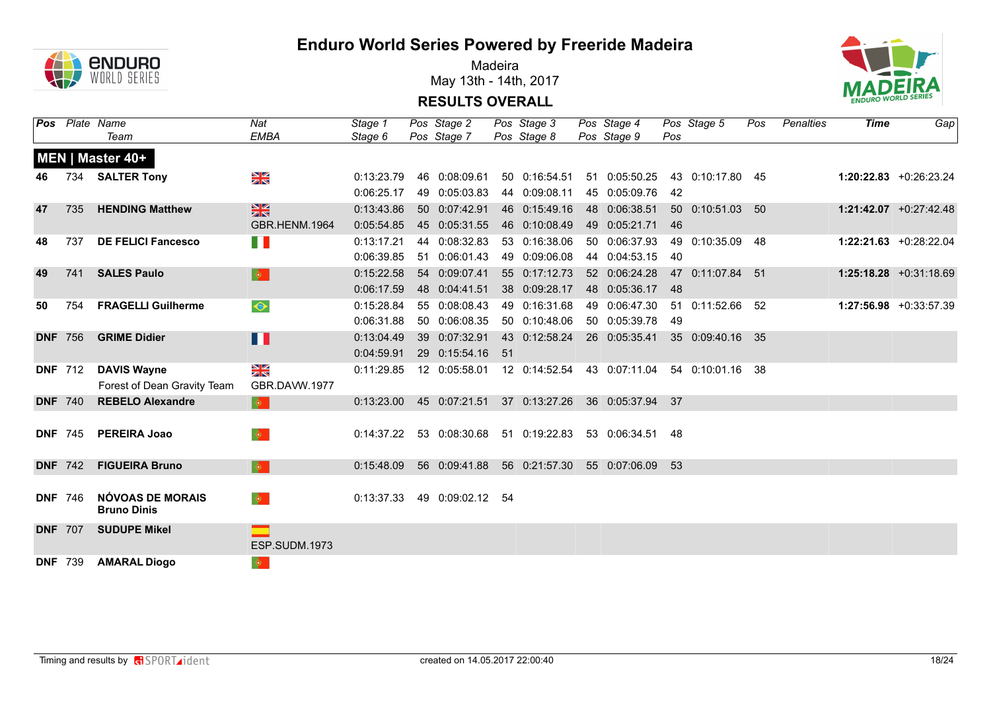

Madeira May 13th - 14th, 2017



| Pos |                | Plate Name                  | Nat                             | Stage 1    | Pos Stage 2      | Pos Stage 3   | Pos Stage 4      |     | Pos Stage 5      | Pos | Penalties | <b>Time</b> | Gap                       |
|-----|----------------|-----------------------------|---------------------------------|------------|------------------|---------------|------------------|-----|------------------|-----|-----------|-------------|---------------------------|
|     |                | Team                        | <b>EMBA</b>                     | Stage 6    | Pos Stage 7      | Pos Stage 8   | Pos Stage 9      | Pos |                  |     |           |             |                           |
|     |                | MEN   Master 40+            |                                 |            |                  |               |                  |     |                  |     |           |             |                           |
| 46  |                | 734 SALTER Tony             | $\frac{N}{N}$                   | 0:13:23.79 | 46 0:08:09.61    | 50 0:16:54.51 | 51 0:05:50.25    |     | 43 0:10:17.80 45 |     |           |             | $1:20:22.83$ +0:26:23.24  |
|     |                |                             |                                 | 0:06:25.17 | 49 0:05:03.83    | 44 0:09:08.11 | 45 0:05:09.76    | 42  |                  |     |           |             |                           |
| 47  | 735            | <b>HENDING Matthew</b>      | $rac{N}{N}$                     | 0:13:43.86 | 50 0:07:42.91    | 46 0:15:49.16 | 48 0:06:38.51    |     | 50 0:10:51.03 50 |     |           |             | $1:21:42.07$ +0:27:42.48  |
|     |                |                             | GBR.HENM.1964                   | 0:05:54.85 | 45 0:05:31.55    | 46 0:10:08.49 | 49 0:05:21.71    | 46  |                  |     |           |             |                           |
| 48  | 737            | <b>DE FELICI Fancesco</b>   | n l                             | 0:13:17.21 | 44 0:08:32.83    | 53 0:16:38.06 | 50 0:06:37.93    |     | 49 0:10:35.09 48 |     |           |             | $1:22:21.63$ +0:28:22.04  |
|     |                |                             |                                 | 0:06:39.85 | 51 0:06:01.43    | 49 0:09:06.08 | 44 0:04:53.15    | 40  |                  |     |           |             |                           |
| 49  | 741            | <b>SALES Paulo</b>          | $\langle \mathbf{\Phi} \rangle$ | 0:15:22.58 | 54 0:09:07.41    | 55 0:17:12.73 | 52 0:06:24.28    |     | 47 0:11:07.84 51 |     |           |             | $1:25:18.28 + 0:31:18.69$ |
|     |                |                             |                                 | 0:06:17.59 | 48 0:04:41.51    | 38 0:09:28.17 | 48 0:05:36.17    | 48  |                  |     |           |             |                           |
| 50  | 754            | <b>FRAGELLI Guilherme</b>   | $\bullet$                       | 0:15:28.84 | 55 0:08:08.43    | 49 0:16:31.68 | 49 0:06:47.30    |     | 51 0:11:52.66 52 |     |           |             | 1:27:56.98 +0:33:57.39    |
|     |                |                             |                                 | 0:06:31.88 | 50 0:06:08.35    | 50 0:10:48.06 | 50 0:05:39.78    | 49  |                  |     |           |             |                           |
|     | <b>DNF</b> 756 | <b>GRIME Didier</b>         | Ш                               | 0:13:04.49 | 39 0:07:32.91    | 43 0:12:58.24 | 26 0:05:35.41    |     | 35 0:09:40.16 35 |     |           |             |                           |
|     |                |                             |                                 | 0:04:59.91 | 29 0:15:54.16 51 |               |                  |     |                  |     |           |             |                           |
|     | <b>DNF</b> 712 | <b>DAVIS Wayne</b>          | $\frac{N}{N}$                   | 0:11:29.85 | 12 0:05:58.01    | 12 0:14:52.54 | 43 0:07:11.04    |     | 54 0:10:01.16 38 |     |           |             |                           |
|     |                | Forest of Dean Gravity Team | GBR.DAVW.1977                   |            |                  |               |                  |     |                  |     |           |             |                           |
|     | <b>DNF</b> 740 | <b>REBELO Alexandre</b>     | $\langle \mathbf{\Phi} \rangle$ | 0:13:23.00 | 45 0:07:21.51    | 37 0:13:27.26 | 36 0:05:37.94    | 37  |                  |     |           |             |                           |
|     |                |                             |                                 |            |                  |               |                  |     |                  |     |           |             |                           |
|     | <b>DNF 745</b> | <b>PEREIRA Joao</b>         | $\langle \Phi \rangle$          | 0:14:37.22 | 53 0:08:30.68    | 51 0:19:22.83 | 53 0:06:34.51 48 |     |                  |     |           |             |                           |
|     |                |                             |                                 |            |                  |               |                  |     |                  |     |           |             |                           |
|     | <b>DNF</b> 742 | <b>FIGUEIRA Bruno</b>       | $\langle \mathbf{0} \rangle$    | 0:15:48.09 | 56 0:09:41.88    | 56 0:21:57.30 | 55 0:07:06.09    | 53  |                  |     |           |             |                           |
|     |                |                             |                                 |            |                  |               |                  |     |                  |     |           |             |                           |
|     | <b>DNF 746</b> | NÓVOAS DE MORAIS            | $\langle \bullet \rangle$       | 0:13:37.33 | 49 0:09:02.12 54 |               |                  |     |                  |     |           |             |                           |
|     |                | <b>Bruno Dinis</b>          |                                 |            |                  |               |                  |     |                  |     |           |             |                           |
|     | <b>DNF 707</b> | <b>SUDUPE Mikel</b>         |                                 |            |                  |               |                  |     |                  |     |           |             |                           |
|     |                |                             | ESP.SUDM.1973                   |            |                  |               |                  |     |                  |     |           |             |                           |
|     | <b>DNF 739</b> | <b>AMARAL Diogo</b>         | $ \Phi\rangle$                  |            |                  |               |                  |     |                  |     |           |             |                           |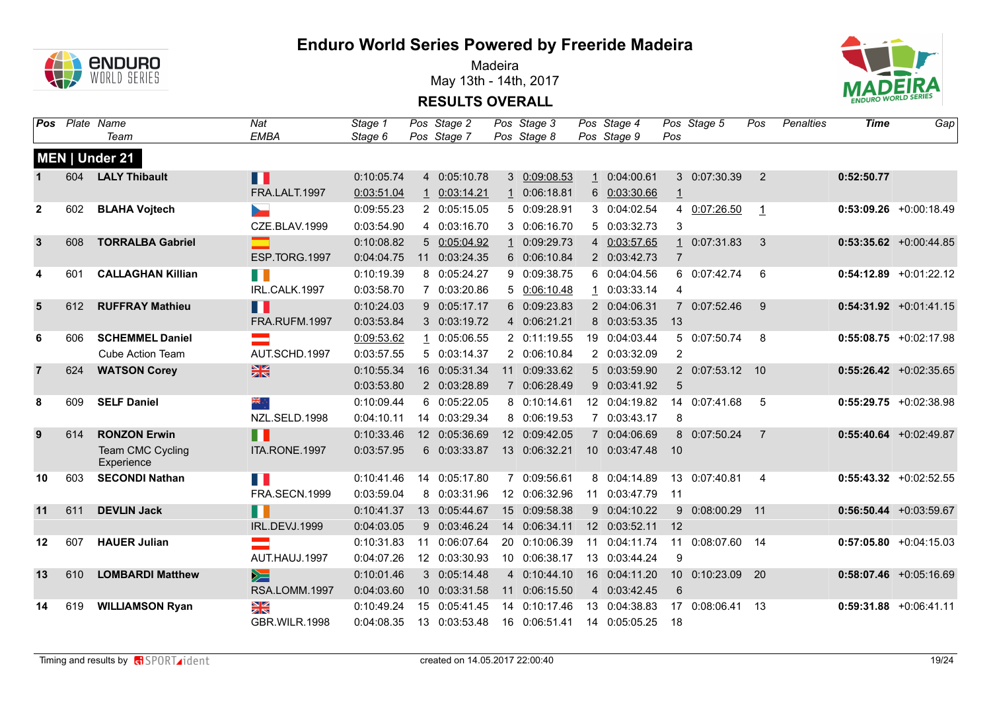

Madeira May 13th - 14th, 2017



|                |     | Pos Plate Name<br>Team         | Nat<br><b>EMBA</b> | Stage 1<br>Stage 6 |    | Pos Stage 2<br>Pos Stage 7 | Pos Stage 3<br>Pos Stage 8 |                | Pos Stage 4<br>Pos Stage 9 | Pos            | Pos Stage 5      | Pos            | Penalties | <b>Time</b> | Gap                       |
|----------------|-----|--------------------------------|--------------------|--------------------|----|----------------------------|----------------------------|----------------|----------------------------|----------------|------------------|----------------|-----------|-------------|---------------------------|
|                |     | MEN   Under 21                 |                    |                    |    |                            |                            |                |                            |                |                  |                |           |             |                           |
| $\mathbf 1$    | 604 | <b>LALY Thibault</b>           | H                  | 0:10:05.74         |    | 4 0:05:10.78               | 3 0:09:08.53               | $\mathbf{1}$   | 0:04:00.61                 |                | 3 0:07:30.39     | 2              |           | 0:52:50.77  |                           |
|                |     |                                | FRA.LALT.1997      | 0:03:51.04         |    | 1 0:03:14.21               | 1 0:06:18.81               |                | 6 0:03:30.66               | $\perp$        |                  |                |           |             |                           |
| $\overline{2}$ | 602 | <b>BLAHA Vojtech</b>           |                    | 0:09:55.23         |    | 2 0:05:15.05               | 5 0:09:28.91               |                | 3 0:04:02.54               |                | 4 0:07:26.50     | $\mathbf{1}$   |           |             | $0:53:09.26$ +0:00:18.49  |
|                |     |                                | CZE.BLAV.1999      | 0:03:54.90         |    | 4 0:03:16.70               | 3 0:06:16.70               |                | 5 0:03:32.73               | 3              |                  |                |           |             |                           |
| $\mathbf{3}$   | 608 | <b>TORRALBA Gabriel</b>        |                    | 0:10:08.82         |    | 5 0:05:04.92               | 1 0:09:29.73               | $\overline{4}$ | 0:03:57.65                 |                | 1 0:07:31.83     | 3              |           |             | $0:53:35.62 +0:00:44.85$  |
|                |     |                                | ESP.TORG.1997      | 0:04:04.75         |    | 11 0:03:24.35              | 6 0:06:10.84               |                | 2 0:03:42.73               | $\overline{7}$ |                  |                |           |             |                           |
| 4              | 601 | <b>CALLAGHAN Killian</b>       | n B                | 0:10:19.39         |    | 8 0:05:24.27               | 9 0:09:38.75               |                | 6 0:04:04.56               |                | 6 0:07:42.74     | 6              |           |             | $0:54:12.89$ +0:01:22.12  |
|                |     |                                | IRL.CALK.1997      | 0:03:58.70         |    | 7 0:03:20.86               | 5 0:06:10.48               | $\mathbf{1}$   | 0:03:33.14                 | 4              |                  |                |           |             |                           |
| 5              | 612 | <b>RUFFRAY Mathieu</b>         | n T                | 0:10:24.03         |    | 9 0:05:17.17               | 6 0:09:23.83               |                | 2 0:04:06.31               |                | 7 0:07:52.46     | 9              |           |             | $0:54:31.92$ +0:01:41.15  |
|                |     |                                | FRA.RUFM.1997      | 0:03:53.84         |    | 3 0:03:19.72               | 4 0:06:21.21               |                | 8 0:03:53.35               | 13             |                  |                |           |             |                           |
| 6              | 606 | <b>SCHEMMEL Daniel</b>         | $\equiv$           | 0:09:53.62         |    | 1 0:05:06.55               | 2 0:11:19.55               |                | 19 0:04:03.44              |                | 5 0:07:50.74     | 8              |           |             | $0:55:08.75$ +0:02:17.98  |
|                |     | <b>Cube Action Team</b>        | AUT.SCHD.1997      | 0:03:57.55         |    | 5 0:03:14.37               | 2 0:06:10.84               |                | 2 0:03:32.09               | $\overline{2}$ |                  |                |           |             |                           |
| $\overline{7}$ | 624 | <b>WATSON Corey</b>            | $\frac{N}{N}$      | 0:10:55.34         |    | 16 0:05:31.34              | 11 0:09:33.62              |                | 5 0:03:59.90               |                | 2 0:07:53.12 10  |                |           |             | $0:55:26.42$ +0:02:35.65  |
|                |     |                                |                    | 0:03:53.80         |    | 2 0:03:28.89               | 7 0:06:28.49               |                | 9 0:03:41.92               | $\overline{5}$ |                  |                |           |             |                           |
| 8              | 609 | <b>SELF Daniel</b>             | ÷, ek              | 0:10:09.44         |    | 6 0:05:22.05               | 8 0:10:14.61               |                | 12 0:04:19.82              |                | 14 0:07:41.68    | 5              |           |             | $0:55:29.75$ +0:02:38.98  |
|                |     |                                | NZL.SELD.1998      | 0:04:10.11         |    | 14 0:03:29.34              | 8 0:06:19.53               |                | 7 0:03:43.17               | 8              |                  |                |           |             |                           |
| 9              | 614 | <b>RONZON Erwin</b>            | n n                | 0:10:33.46         |    | 12 0:05:36.69              | 12 0:09:42.05              |                | 7 0:04:06.69               |                | 8 0:07:50.24     | $\overline{7}$ |           |             | $0:55:40.64$ +0:02:49.87  |
|                |     | Team CMC Cycling<br>Experience | ITA.RONE.1997      | 0:03:57.95         |    | 6 0:03:33.87               | 13 0:06:32.21              |                | 10 0:03:47.48              | 10             |                  |                |           |             |                           |
| 10             | 603 | <b>SECONDI Nathan</b>          | n B                | 0:10:41.46         |    | 14 0:05:17.80              | 7 0:09:56.61               |                | 8 0:04:14.89               |                | 13 0:07:40.81    | $\overline{4}$ |           |             | $0:55:43.32$ +0:02:52.55  |
|                |     |                                | FRA.SECN.1999      | 0:03:59.04         |    | 8 0:03:31.96               | 12 0:06:32.96              | 11             | 0:03:47.79                 | 11             |                  |                |           |             |                           |
| 11             | 611 | <b>DEVLIN Jack</b>             | H                  | 0:10:41.37         |    | 13 0:05:44.67              | 15 0:09:58.38              |                | 9 0:04:10.22               |                | 9 0:08:00.29 11  |                |           |             | $0:56:50.44$ +0:03:59.67  |
|                |     |                                | IRL.DEVJ.1999      | 0:04:03.05         | 9  | 0:03:46.24                 | 14 0:06:34.11              |                | 12 0:03:52.11              | 12             |                  |                |           |             |                           |
| 12             | 607 | <b>HAUER Julian</b>            | an an I            | 0:10:31.83         | 11 | 0:06:07.64                 | 20 0:10:06.39              | 11             | 0:04:11.74                 |                | 11 0:08:07.60 14 |                |           |             | $0:57:05.80 + 0:04:15.03$ |
|                |     |                                | AUT.HAUJ.1997      | 0:04:07.26         |    | 12 0:03:30.93              | 10 0:06:38.17              |                | 13 0:03:44.24              | 9              |                  |                |           |             |                           |
| 13             | 610 | <b>LOMBARDI Matthew</b>        | $\geq$             | 0:10:01.46         |    | 3 0:05:14.48               | 4 0:10:44.10               |                | 16 0:04:11.20              |                | 10 0:10:23.09 20 |                |           |             | $0:58:07.46$ +0:05:16.69  |
|                |     |                                | RSA.LOMM.1997      | 0:04:03.60         |    | 10 0:03:31.58              | 11 0:06:15.50              |                | 4 0:03:42.45               | 6              |                  |                |           |             |                           |
| 14             | 619 | <b>WILLIAMSON Ryan</b>         | XK                 | 0:10:49.24         | 15 | 0:05:41.45                 | 14 0:10:17.46              | 13             | 0:04:38.83                 | 17             | 0:08:06.41       | - 13           |           |             | $0:59:31.88$ +0:06:41.11  |
|                |     |                                | GBR.WILR.1998      | 0:04:08.35         |    | 13 0:03:53.48              | 16 0:06:51.41              |                | 14 0:05:05.25              | 18             |                  |                |           |             |                           |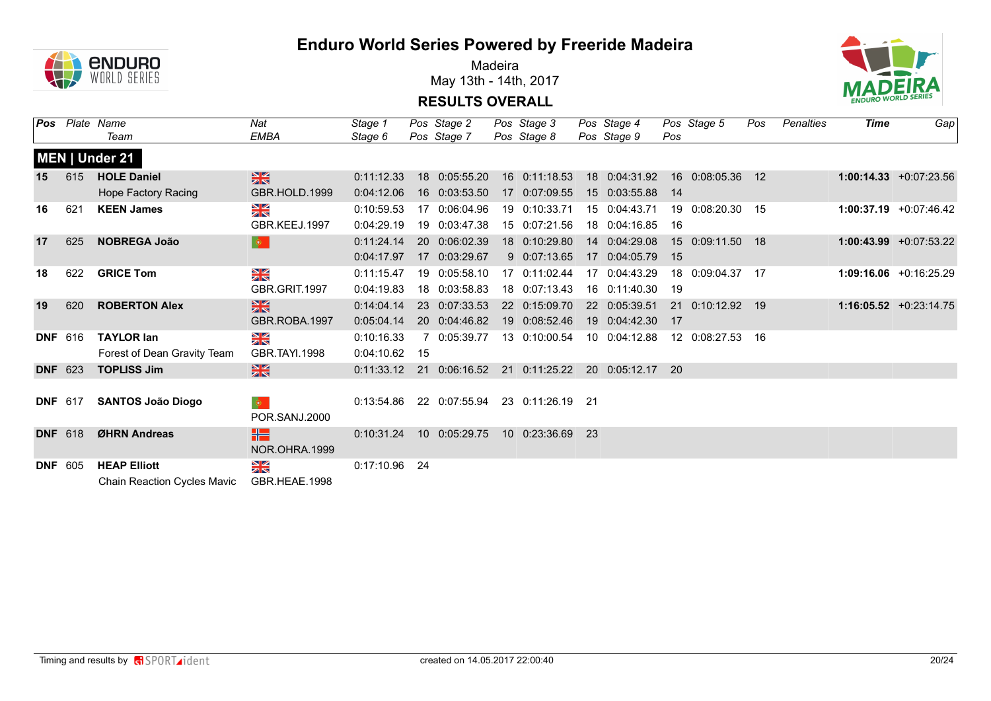

Madeira May 13th - 14th, 2017



|            | <b>Pos</b> Plate Name | Team                        | Nat<br><b>EMBA</b>                | Stage 1<br>Stage 6 |    | Pos Stage 2<br>Pos Stage 7 | Pos Stage 3<br>Pos Stage 8 |     | Pos Stage 4<br>Pos Stage 9 | Pos | Pos Stage 5        | Pos | Penalties | Time | Gap                       |
|------------|-----------------------|-----------------------------|-----------------------------------|--------------------|----|----------------------------|----------------------------|-----|----------------------------|-----|--------------------|-----|-----------|------|---------------------------|
|            |                       | MEN   Under 21              |                                   |                    |    |                            |                            |     |                            |     |                    |     |           |      |                           |
| 15         | 615                   | <b>HOLE Daniel</b>          | $\frac{N}{N}$                     | 0:11:12.33         |    | 18 0:05:55.20              | 16 0:11:18.53              |     | 18 0:04:31.92              |     | 16 0:08:05.36 12   |     |           |      | $1:00:14.33 + 0:07:23.56$ |
|            |                       | Hope Factory Racing         | GBR.HOLD.1999                     | 0:04:12.06         |    | 16 0:03:53.50              | 17 0:07:09.55              |     | 15 0:03:55.88              | -14 |                    |     |           |      |                           |
| 16         | 621                   | <b>KEEN James</b>           | $\frac{N}{N}$                     | 0:10:59.53         |    | 17 0:06:04.96              | 19 0:10:33.71              |     | 15 0:04:43.71              |     | 19  0:08:20.30  15 |     |           |      | $1:00:37.19 + 0:07:46.42$ |
|            |                       |                             | GBR.KEEJ.1997                     | 0:04:29.19         |    | 19 0:03:47.38              | 15 0:07:21.56              |     | 18 0:04:16.85              | 16  |                    |     |           |      |                           |
| 17         | 625                   | <b>NOBREGA João</b>         | $ \bullet $                       | 0:11:24.14         |    | 20 0:06:02.39              | 18 0:10:29.80              |     | 14 0:04:29.08              |     | 15 0:09:11.50 18   |     |           |      | $1:00:43.99 +0:07:53.22$  |
|            |                       |                             |                                   | 0:04:17.97         |    | 17 0:03:29.67              | 9 0:07:13.65               |     | 17 0:04:05.79              | 15  |                    |     |           |      |                           |
| 18         | 622                   | <b>GRICE Tom</b>            | $\frac{N}{N}$                     | 0:11:15.47         |    | 19 0:05:58.10              | 17 0:11:02.44              |     | 17 0:04:43.29              |     | 18 0:09:04.37 17   |     |           |      | $1:09:16.06 + 0:16:25.29$ |
|            |                       |                             | GBR.GRIT.1997                     | 0:04:19.83         |    | 18 0:03:58.83              | 18 0:07:13.43              |     | 16 0:11:40.30              | 19  |                    |     |           |      |                           |
| 19         | 620                   | <b>ROBERTON Alex</b>        | $\frac{N}{N}$                     | 0:14:04.14         |    | 23 0:07:33.53              | 22 0:15:09.70              |     | 22 0:05:39.51              |     | 21 0:10:12.92 19   |     |           |      | $1:16:05.52 + 0:23:14.75$ |
|            |                       |                             | GBR.ROBA.1997                     | 0:05:04.14         |    | 20 0:04:46.82              | 19 0:08:52.46              |     | 19 0:04:42.30              | 17  |                    |     |           |      |                           |
|            | <b>DNF</b> 616        | <b>TAYLOR lan</b>           | $\frac{N}{N}$                     | 0:10:16.33         |    | 7 0:05:39.77               | 13 0:10:00.54              |     | 10 0:04:12.88              |     | 12 0:08:27.53 16   |     |           |      |                           |
|            |                       | Forest of Dean Gravity Team | GBR.TAYI.1998                     | 0:04:10.62         | 15 |                            |                            |     |                            |     |                    |     |           |      |                           |
|            | <b>DNF</b> 623        | <b>TOPLISS Jim</b>          | $\frac{N}{N}$                     | 0:11:33.12         |    | 21 0:06:16.52              | 21 0:11:25.22              |     | 20 0:05:12.17              | -20 |                    |     |           |      |                           |
|            |                       |                             |                                   |                    |    |                            |                            |     |                            |     |                    |     |           |      |                           |
|            | <b>DNF</b> 617        | <b>SANTOS João Diogo</b>    | $ \Phi_{\perp} $<br>POR.SANJ.2000 | 0:13:54.86         |    | 22 0:07:55.94              | 23 0:11:26.19 21           |     |                            |     |                    |     |           |      |                           |
|            | <b>DNF 618</b>        | ØHRN Andreas                |                                   | 0:10:31.24         |    | 10 0:05:29.75              | 10 0:23:36.69              | -23 |                            |     |                    |     |           |      |                           |
|            |                       |                             | HE<br>NOR.OHRA.1999               |                    |    |                            |                            |     |                            |     |                    |     |           |      |                           |
| <b>DNF</b> | 605                   | <b>HEAP Elliott</b>         | $\frac{N}{N}$                     | 0:17:10.96 24      |    |                            |                            |     |                            |     |                    |     |           |      |                           |
|            |                       | Chain Reaction Cycles Mavic | GBR.HEAE.1998                     |                    |    |                            |                            |     |                            |     |                    |     |           |      |                           |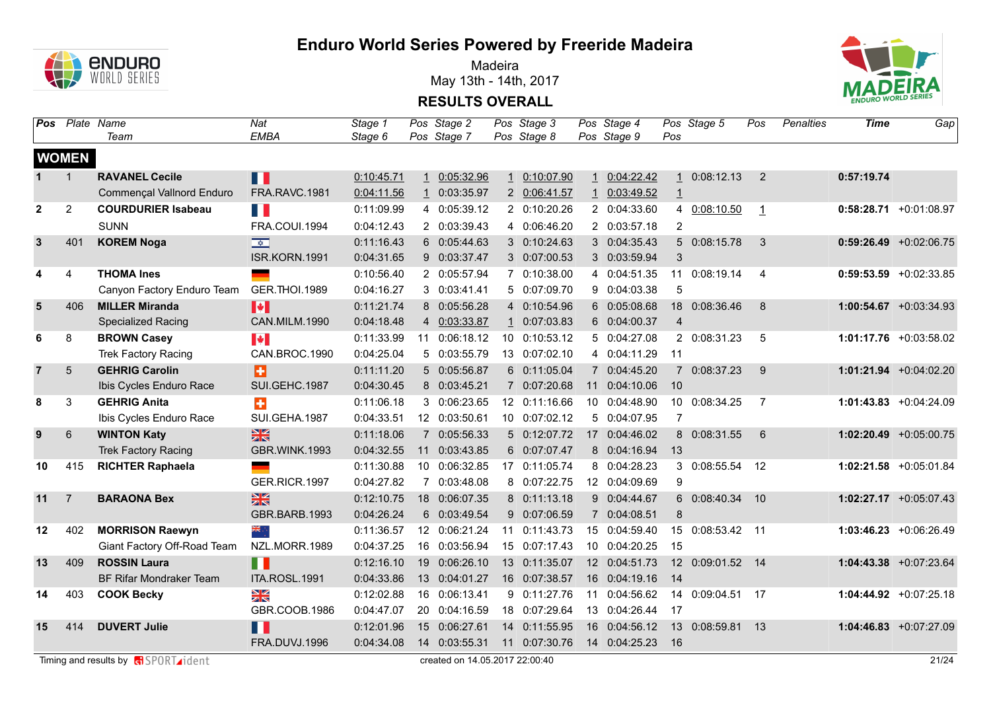

Madeira May 13th - 14th, 2017



|                |                | Pos Plate Name<br>Team         | Nat<br><b>EMBA</b>      | Stage 1<br>Stage 6 |    | Pos Stage 2<br>Pos Stage 7 | Pos Stage 3<br>Pos Stage 8 |              | Pos Stage 4<br>Pos Stage 9 | Pos              | Pos Stage 5      | Pos            | <b>Penalties</b> | <b>Time</b> | Gap                       |
|----------------|----------------|--------------------------------|-------------------------|--------------------|----|----------------------------|----------------------------|--------------|----------------------------|------------------|------------------|----------------|------------------|-------------|---------------------------|
|                |                |                                |                         |                    |    |                            |                            |              |                            |                  |                  |                |                  |             |                           |
|                | <b>WOMEN</b>   |                                |                         |                    |    |                            |                            |              |                            |                  |                  |                |                  |             |                           |
| $1 \quad$      | $\mathbf{1}$   | <b>RAVANEL Cecile</b>          | Ш                       | 0:10:45.71         |    | 1 0:05:32.96               | 1 0:10:07.90               | 1            | 0:04:22.42                 |                  | 1 0:08:12.13     | $\overline{2}$ |                  | 0:57:19.74  |                           |
|                |                | Commençal Vallnord Enduro      | <b>FRA.RAVC.1981</b>    | 0:04:11.56         |    | 1 0:03:35.97               | 2 0:06:41.57               | $\mathbf{1}$ | 0:03:49.52                 | $\perp$          |                  |                |                  |             |                           |
| $\mathbf{2}$   | $\overline{2}$ | <b>COURDURIER Isabeau</b>      | a i                     | 0:11:09.99         |    | 4 0:05:39.12               | 2 0:10:20.26               |              | 2 0:04:33.60               |                  | 4 0:08:10.50     | $\mathbf{1}$   |                  |             | $0:58:28.71 +0:01:08.97$  |
|                |                | <b>SUNN</b>                    | FRA.COUI.1994           | 0:04:12.43         |    | 2 0:03:39.43               | 4 0:06:46.20               |              | 2 0:03:57.18               | $\overline{2}$   |                  |                |                  |             |                           |
| 3              | 401            | <b>KOREM Noga</b>              | $\overline{\mathbf{v}}$ | 0:11:16.43         |    | 6 0:05:44.63               | 3 0:10:24.63               |              | 3 0:04:35.43               |                  | 5 0:08:15.78     | 3              |                  |             | $0:59:26.49$ +0:02:06.75  |
|                |                |                                | ISR.KORN.1991           | 0:04:31.65         |    | 9 0:03:37.47               | 3 0:07:00.53               |              | 3 0:03:59.94               | 3                |                  |                |                  |             |                           |
| 4              | 4              | <b>THOMA Ines</b>              |                         | 0:10:56.40         |    | 2 0:05:57.94               | 7 0:10:38.00               | 4            | 0:04:51.35                 | 11               | 0:08:19.14       | 4              |                  |             | $0:59:53.59$ +0:02:33.85  |
|                |                | Canyon Factory Enduro Team     | <b>GER.THOI.1989</b>    | 0:04:16.27         |    | 3 0:03:41.41               | 5 0:07:09.70               | 9            | 0:04:03.38                 | 5                |                  |                |                  |             |                           |
| 5              | 406            | <b>MILLER Miranda</b>          | $\blacktriangleright$   | 0:11:21.74         |    | 8 0:05:56.28               | 4 0:10:54.96               |              | 6 0:05:08.68               |                  | 18 0:08:36.46    | 8              |                  |             | $1:00:54.67$ +0:03:34.93  |
|                |                | <b>Specialized Racing</b>      | CAN.MILM.1990           | 0:04:18.48         |    | 4 0:03:33.87               | 1 0:07:03.83               |              | 6 0:04:00.37               | 4                |                  |                |                  |             |                           |
| 6              | 8              | <b>BROWN Casey</b>             | <b>IV</b>               | 0:11:33.99         |    | 11 0:06:18.12              | 10 0:10:53.12              |              | 5 0:04:27.08               |                  | 2 0:08:31.23     | 5              |                  |             | 1:01:17.76 +0:03:58.02    |
|                |                | <b>Trek Factory Racing</b>     | CAN.BROC.1990           | 0:04:25.04         |    | 5 0:03:55.79               | 13 0:07:02.10              |              | 4 0:04:11.29               | 11               |                  |                |                  |             |                           |
| $\overline{7}$ | 5              | <b>GEHRIG Carolin</b>          | Ð                       | 0:11:11.20         |    | 5 0:05:56.87               | 6 0:11:05.04               |              | 7 0:04:45.20               |                  | 7 0:08:37.23     | 9              |                  |             | 1:01:21.94 +0:04:02.20    |
|                |                | Ibis Cycles Enduro Race        | SUI.GEHC.1987           | 0:04:30.45         |    | 8 0:03:45.21               | 7 0:07:20.68               | 11           | 0:04:10.06                 | 10               |                  |                |                  |             |                           |
| 8              | 3              | <b>GEHRIG Anita</b>            | ÷                       | 0:11:06.18         |    | 3 0:06:23.65               | 12 0:11:16.66              |              | 10 0:04:48.90              |                  | 10 0:08:34.25    | $\overline{7}$ |                  |             | $1:01:43.83 + 0:04:24.09$ |
|                |                | Ibis Cycles Enduro Race        | SUI.GEHA.1987           | 0:04:33.51         |    | 12 0:03:50.61              | 10 0:07:02.12              |              | 5 0:04:07.95               | $\overline{7}$   |                  |                |                  |             |                           |
| 9              | 6              | <b>WINTON Katy</b>             | $\frac{N}{N}$           | 0:11:18.06         |    | 7 0:05:56.33               | 5 0:12:07.72               |              | 17 0:04:46.02              |                  | 8 0:08:31.55     | 6              |                  |             | 1:02:20.49 +0:05:00.75    |
|                |                | <b>Trek Factory Racing</b>     | GBR.WINK.1993           | 0:04:32.55         | 11 | 0:03:43.85                 | 6 0:07:07.47               |              | 8 0:04:16.94               | 13               |                  |                |                  |             |                           |
| 10             | 415            | <b>RICHTER Raphaela</b>        |                         | 0:11:30.88         |    | 10 0:06:32.85              | 17 0:11:05.74              |              | 8 0:04:28.23               |                  | 3 0:08:55.54 12  |                |                  |             | 1:02:21.58 +0:05:01.84    |
|                |                |                                | GER.RICR.1997           | 0:04:27.82         |    | 7 0:03:48.08               | 8 0:07:22.75               |              | 12 0:04:09.69              | 9                |                  |                |                  |             |                           |
| 11             | $\overline{7}$ | <b>BARAONA Bex</b>             | $\frac{N}{N}$           | 0:12:10.75         |    | 18 0:06:07.35              | 8 0:11:13.18               |              | 9 0:04:44.67               |                  | 6 0:08:40.34 10  |                |                  |             | 1:02:27.17 +0:05:07.43    |
|                |                |                                | GBR.BARB.1993           | 0:04:26.24         |    | 6 0:03:49.54               | 9 0:07:06.59               |              | 7 0:04:08.51               | 8                |                  |                |                  |             |                           |
| 12             | 402            | <b>MORRISON Raewyn</b>         | ैं,                     | 0:11:36.57         |    | 12 0:06:21.24              | 11 0:11:43.73              |              | 15 0:04:59.40              | 15 <sup>15</sup> | 0:08:53.42 11    |                |                  |             | 1:03:46.23 +0:06:26.49    |
|                |                | Giant Factory Off-Road Team    | NZL.MORR.1989           | 0:04:37.25         |    | 16 0:03:56.94              | 15 0:07:17.43              |              | 10 0:04:20.25              | 15               |                  |                |                  |             |                           |
| 13             | 409            | <b>ROSSIN Laura</b>            | H                       | 0:12:16.10         |    | 19 0:06:26.10              | 13 0:11:35.07              |              | 12 0:04:51.73              |                  | 12 0:09:01.52 14 |                |                  |             | 1:04:43.38 +0:07:23.64    |
|                |                | <b>BF Rifar Mondraker Team</b> | ITA.ROSL.1991           | 0:04:33.86         |    | 13 0:04:01.27              | 16 0:07:38.57              |              | 16 0:04:19.16              | -14              |                  |                |                  |             |                           |
| 14             | 403            | <b>COOK Becky</b>              | NK<br>NK                | 0:12:02.88         |    | 16 0:06:13.41              | 9 0:11:27.76               | 11           | 0:04:56.62                 | 14               | 0:09:04.51 17    |                |                  |             | 1:04:44.92 +0:07:25.18    |
|                |                |                                | GBR.COOB.1986           | 0:04:47.07         |    | 20 0:04:16.59              | 18 0:07:29.64              |              | 13 0:04:26.44              | 17               |                  |                |                  |             |                           |
| 15             | 414            | <b>DUVERT Julie</b>            | M.                      | 0:12:01.96         | 15 | 0:06:27.61                 | 14 0:11:55.95              |              | 16 0:04:56.12              | 13 <sup>°</sup>  | 0:08:59.81       | 13             |                  |             | $1:04:46.83 + 0:07:27.09$ |
|                |                |                                | FRA.DUVJ.1996           | 0:04:34.08         |    | 14 0:03:55.31              | 11 0:07:30.76              |              | 14 0:04:25.23              | - 16             |                  |                |                  |             |                           |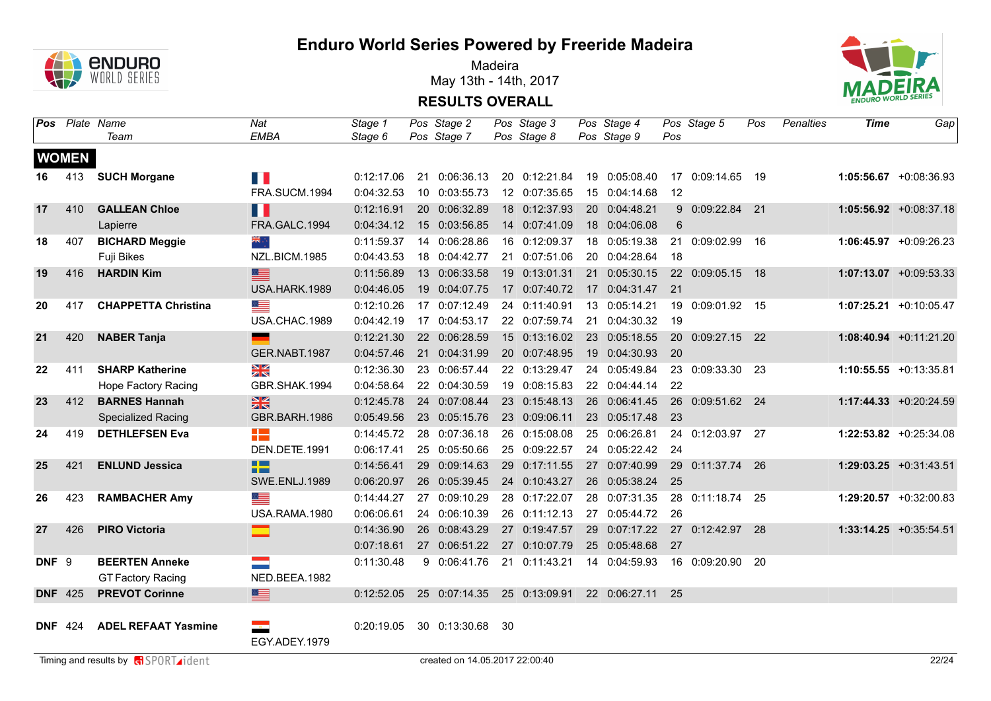

Madeira May 13th - 14th, 2017



|                  |                | Pos Plate Name             | Nat                    | Stage 1    |    | Pos Stage 2                 |     | Pos Stage 3   | Pos Stage 4   |     | Pos Stage 5      | Pos | Penalties | <b>Time</b> | Gap                       |
|------------------|----------------|----------------------------|------------------------|------------|----|-----------------------------|-----|---------------|---------------|-----|------------------|-----|-----------|-------------|---------------------------|
|                  |                | Team                       | <b>EMBA</b>            | Stage 6    |    | Pos Stage 7                 |     | Pos Stage 8   | Pos Stage 9   | Pos |                  |     |           |             |                           |
|                  | <b>WOMEN</b>   |                            |                        |            |    |                             |     |               |               |     |                  |     |           |             |                           |
| 16               | 413            | <b>SUCH Morgane</b>        | H II                   | 0:12:17.06 |    | 21 0:06:36.13               |     | 20 0:12:21.84 | 19 0:05:08.40 |     | 17 0:09:14.65 19 |     |           |             | $1:05:56.67 + 0:08:36.93$ |
|                  |                |                            | FRA.SUCM.1994          | 0:04:32.53 |    | 10 0:03:55.73               |     | 12 0:07:35.65 | 15 0:04:14.68 | 12  |                  |     |           |             |                           |
| 17               | 410            | <b>GALLEAN Chloe</b>       | Ш                      | 0:12:16.91 |    | 20 0:06:32.89               |     | 18 0:12:37.93 | 20 0:04:48.21 |     | 9 0:09:22.84 21  |     |           |             | $1:05:56.92 +0:08:37.18$  |
|                  |                | Lapierre                   | FRA.GALC.1994          | 0:04:34.12 |    | 15 0:03:56.85               |     | 14 0:07:41.09 | 18 0:04:06.08 | 6   |                  |     |           |             |                           |
| 18               | 407            | <b>BICHARD Meggie</b>      | $\frac{1}{2}$          | 0:11:59.37 |    | 14 0:06:28.86               |     | 16 0:12:09.37 | 18 0:05:19.38 |     | 21 0:09:02.99    | 16  |           |             | $1:06:45.97 +0:09:26.23$  |
|                  |                | Fuji Bikes                 | NZL.BICM.1985          | 0:04:43.53 |    | 18 0:04:42.77               |     | 21 0:07:51.06 | 20 0:04:28.64 | 18  |                  |     |           |             |                           |
| 19               | 416            | <b>HARDIN Kim</b>          | ≣                      | 0:11:56.89 |    | 13 0:06:33.58               |     | 19 0:13:01.31 | 21 0:05:30.15 |     | 22 0:09:05.15 18 |     |           |             | $1:07:13.07 + 0:09:53.33$ |
|                  |                |                            | USA.HARK.1989          | 0:04:46.05 |    | 19 0:04:07.75               |     | 17 0:07:40.72 | 17 0:04:31.47 | 21  |                  |     |           |             |                           |
| 20               | 417            | <b>CHAPPETTA Christina</b> |                        | 0:12:10.26 |    | 17 0:07:12.49               |     | 24 0:11:40.91 | 13 0:05:14.21 |     | 19 0:09:01.92 15 |     |           |             | $1:07:25.21 + 0:10:05.47$ |
|                  |                |                            | USA.CHAC.1989          | 0:04:42.19 |    | 17 0:04:53.17               |     | 22 0:07:59.74 | 21 0:04:30.32 | 19  |                  |     |           |             |                           |
| 21               | 420            | <b>NABER Tanja</b>         | <u>e a</u>             | 0:12:21.30 |    | 22 0:06:28.59               |     | 15 0:13:16.02 | 23 0:05:18.55 |     | 20 0:09:27.15 22 |     |           |             | $1:08:40.94$ +0:11:21.20  |
|                  |                |                            | GER.NABT.1987          | 0:04:57.46 |    | 21 0:04:31.99               |     | 20 0:07:48.95 | 19 0:04:30.93 | 20  |                  |     |           |             |                           |
| 22               | 411            | <b>SHARP Katherine</b>     | $\frac{N}{N}$          | 0:12:36.30 |    | 23 0:06:57.44               |     | 22 0:13:29.47 | 24 0:05:49.84 |     | 23 0:09:33.30 23 |     |           |             | $1:10:55.55 + 0:13:35.81$ |
|                  |                | Hope Factory Racing        | GBR.SHAK.1994          | 0:04:58.64 |    | 22 0:04:30.59               |     | 19 0:08:15.83 | 22 0:04:44.14 | 22  |                  |     |           |             |                           |
| 23               | 412            | <b>BARNES Hannah</b>       | $\frac{N}{N}$          | 0:12:45.78 |    | 24 0:07:08.44               |     | 23 0:15:48.13 | 26 0:06:41.45 |     | 26 0:09:51.62 24 |     |           |             | 1:17:44.33 +0:20:24.59    |
|                  |                | <b>Specialized Racing</b>  | GBR.BARH.1986          | 0:05:49.56 |    | 23 0:05:15.76               |     | 23 0:09:06.11 | 23 0:05:17.48 | 23  |                  |     |           |             |                           |
| 24               | 419            | <b>DETHLEFSEN Eva</b>      | 22                     | 0:14:45.72 |    | 28 0:07:36.18               |     | 26 0:15:08.08 | 25 0:06:26.81 |     | 24 0:12:03.97 27 |     |           |             | $1:22:53.82$ +0:25:34.08  |
|                  |                |                            | DEN.DETE.1991          | 0:06:17.41 |    | 25 0:05:50.66               |     | 25 0:09:22.57 | 24 0:05:22.42 | 24  |                  |     |           |             |                           |
| 25               | 421            | <b>ENLUND Jessica</b>      | $\blacksquare$<br>a ma | 0:14:56.41 |    | 29 0:09:14.63               |     | 29 0:17:11.55 | 27 0:07:40.99 |     | 29 0:11:37.74 26 |     |           |             | $1:29:03.25 +0:31:43.51$  |
|                  |                |                            | <b>SWE.ENLJ.1989</b>   | 0:06:20.97 |    | 26 0:05:39.45               |     | 24 0:10:43.27 | 26 0:05:38.24 | 25  |                  |     |           |             |                           |
| 26               | 423            | <b>RAMBACHER Amy</b>       | ▀                      | 0:14:44.27 | 27 | 0:09:10.29                  |     | 28 0:17:22.07 | 28 0:07:31.35 | 28  | $0:11:18.74$ 25  |     |           |             | $1:29:20.57 +0:32:00.83$  |
|                  |                |                            | USA.RAMA.1980          | 0:06:06.61 |    | 24 0:06:10.39               |     | 26 0:11:12.13 | 27 0:05:44.72 | 26  |                  |     |           |             |                           |
| 27               | 426            | <b>PIRO Victoria</b>       | ▅                      | 0:14:36.90 |    | 26 0:08:43.29               |     | 27 0:19:47.57 | 29 0:07:17.22 |     | 27 0:12:42.97 28 |     |           |             | $1:33:14.25 +0:35:54.51$  |
|                  |                |                            |                        | 0:07:18.61 |    | 27 0:06:51.22               |     | 27 0:10:07.79 | 25 0:05:48.68 | 27  |                  |     |           |             |                           |
| DNF <sub>9</sub> |                | <b>BEERTEN Anneke</b>      | $\mathbb{R}^n$         | 0:11:30.48 |    | 9 0:06:41.76                |     | 21 0:11:43.21 | 14 0:04:59.93 |     | 16 0:09:20.90 20 |     |           |             |                           |
|                  |                | <b>GT Factory Racing</b>   | NED.BEEA.1982          |            |    |                             |     |               |               |     |                  |     |           |             |                           |
| <b>DNF</b> 425   |                | <b>PREVOT Corinne</b>      | ≣                      | 0:12:52.05 |    | 25 0:07:14.35 25 0:13:09.91 |     |               | 22 0:06:27.11 | 25  |                  |     |           |             |                           |
|                  |                |                            |                        |            |    |                             |     |               |               |     |                  |     |           |             |                           |
|                  | <b>DNF</b> 424 | <b>ADEL REFAAT Yasmine</b> | EGY.ADEY.1979          | 0:20:19.05 |    | 30 0:13:30.68               | -30 |               |               |     |                  |     |           |             |                           |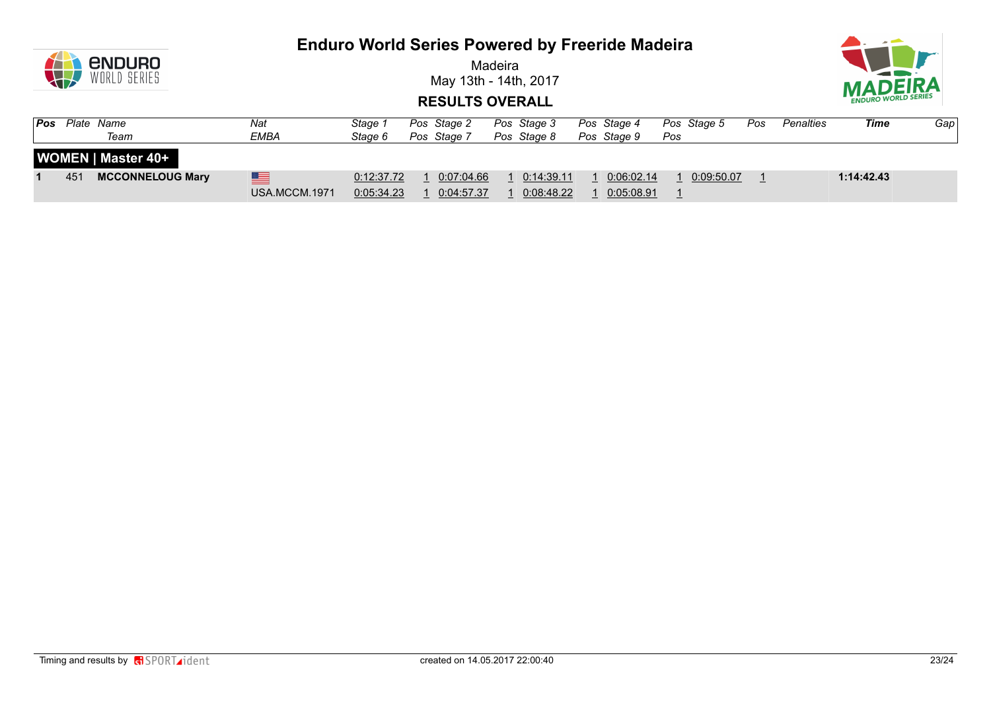

Madeira May 13th - 14th, 2017



| Pos | Plate Name | Team                      | Nat<br><b>EMBA</b> | Stage 1<br>Stage 6       | Pos Stage 2<br>Pos Stage 7 | Pos Stage 3<br>Pos Stage 8 | Pos Stage 4<br>Pos Stage 9 | Pos | Pos Stage 5    | Pos | Penalties | Time       | Gapl |
|-----|------------|---------------------------|--------------------|--------------------------|----------------------------|----------------------------|----------------------------|-----|----------------|-----|-----------|------------|------|
|     |            | <b>WOMEN   Master 40+</b> |                    |                          |                            |                            |                            |     |                |     |           |            |      |
|     | 451        | <b>MCCONNELOUG Mary</b>   | ▆<br>USA.MCCM.1971 | 0:12:37.72<br>0:05:34.23 | 0:07:04.66<br>0:04:57.37   | 0:14:39.11<br>0:08:48.22   | 0:06:02.14<br>0:05:08.91   |     | 1   0:09:50.07 |     |           | 1:14:42.43 |      |